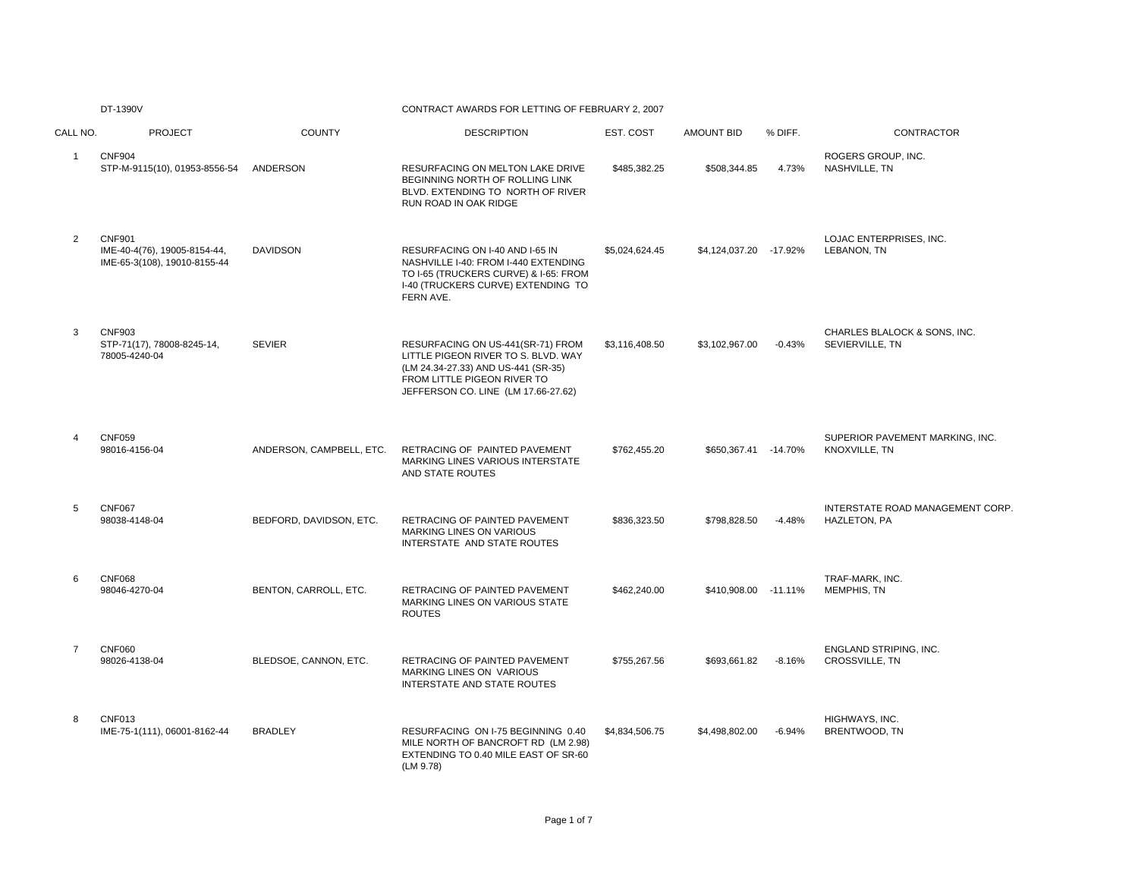## DT-1390V CONTRACT AWARDS FOR LETTING OF FEBRUARY 2, 2007

| CALL NO.       | <b>PROJECT</b>                                                                | <b>COUNTY</b>            | <b>DESCRIPTION</b>                                                                                                                                                                    | EST. COST      | <b>AMOUNT BID</b>    | % DIFF.  | <b>CONTRACTOR</b>                                |
|----------------|-------------------------------------------------------------------------------|--------------------------|---------------------------------------------------------------------------------------------------------------------------------------------------------------------------------------|----------------|----------------------|----------|--------------------------------------------------|
| $\mathbf 1$    | <b>CNF904</b><br>STP-M-9115(10), 01953-8556-54                                | <b>ANDERSON</b>          | RESURFACING ON MELTON LAKE DRIVE<br>BEGINNING NORTH OF ROLLING LINK<br>BLVD. EXTENDING TO NORTH OF RIVER<br>RUN ROAD IN OAK RIDGE                                                     | \$485,382.25   | \$508,344.85         | 4.73%    | ROGERS GROUP, INC.<br>NASHVILLE, TN              |
| 2              | <b>CNF901</b><br>IME-40-4(76), 19005-8154-44,<br>IME-65-3(108), 19010-8155-44 | <b>DAVIDSON</b>          | RESURFACING ON I-40 AND I-65 IN<br>NASHVILLE I-40: FROM I-440 EXTENDING<br>TO I-65 (TRUCKERS CURVE) & I-65: FROM<br>I-40 (TRUCKERS CURVE) EXTENDING TO<br>FERN AVE.                   | \$5,024,624.45 | \$4,124,037.20       | -17.92%  | LOJAC ENTERPRISES, INC.<br>LEBANON, TN           |
| 3              | <b>CNF903</b><br>STP-71(17), 78008-8245-14,<br>78005-4240-04                  | <b>SEVIER</b>            | RESURFACING ON US-441(SR-71) FROM<br>LITTLE PIGEON RIVER TO S. BLVD. WAY<br>(LM 24.34-27.33) AND US-441 (SR-35)<br>FROM LITTLE PIGEON RIVER TO<br>JEFFERSON CO. LINE (LM 17.66-27.62) | \$3,116,408.50 | \$3,102,967.00       | $-0.43%$ | CHARLES BLALOCK & SONS, INC.<br>SEVIERVILLE, TN  |
| $\overline{4}$ | <b>CNF059</b><br>98016-4156-04                                                | ANDERSON, CAMPBELL, ETC. | RETRACING OF PAINTED PAVEMENT<br>MARKING LINES VARIOUS INTERSTATE<br>AND STATE ROUTES                                                                                                 | \$762,455.20   | \$650,367.41 -14.70% |          | SUPERIOR PAVEMENT MARKING, INC.<br>KNOXVILLE, TN |
| 5              | <b>CNF067</b><br>98038-4148-04                                                | BEDFORD, DAVIDSON, ETC.  | RETRACING OF PAINTED PAVEMENT<br><b>MARKING LINES ON VARIOUS</b><br>INTERSTATE AND STATE ROUTES                                                                                       | \$836,323.50   | \$798,828.50         | $-4.48%$ | INTERSTATE ROAD MANAGEMENT CORP.<br>HAZLETON, PA |
| 6              | <b>CNF068</b><br>98046-4270-04                                                | BENTON, CARROLL, ETC.    | RETRACING OF PAINTED PAVEMENT<br>MARKING LINES ON VARIOUS STATE<br><b>ROUTES</b>                                                                                                      | \$462,240.00   | \$410.908.00 -11.11% |          | TRAF-MARK, INC.<br>MEMPHIS, TN                   |
| $\overline{7}$ | <b>CNF060</b><br>98026-4138-04                                                | BLEDSOE, CANNON, ETC.    | RETRACING OF PAINTED PAVEMENT<br>MARKING LINES ON VARIOUS<br><b>INTERSTATE AND STATE ROUTES</b>                                                                                       | \$755,267.56   | \$693.661.82         | $-8.16%$ | <b>ENGLAND STRIPING, INC.</b><br>CROSSVILLE, TN  |
| 8              | <b>CNF013</b><br>IME-75-1(111), 06001-8162-44                                 | <b>BRADLEY</b>           | RESURFACING ON I-75 BEGINNING 0.40<br>MILE NORTH OF BANCROFT RD (LM 2.98)<br>EXTENDING TO 0.40 MILE EAST OF SR-60<br>(LM 9.78)                                                        | \$4,834,506.75 | \$4,498,802.00       | $-6.94%$ | HIGHWAYS, INC.<br>BRENTWOOD, TN                  |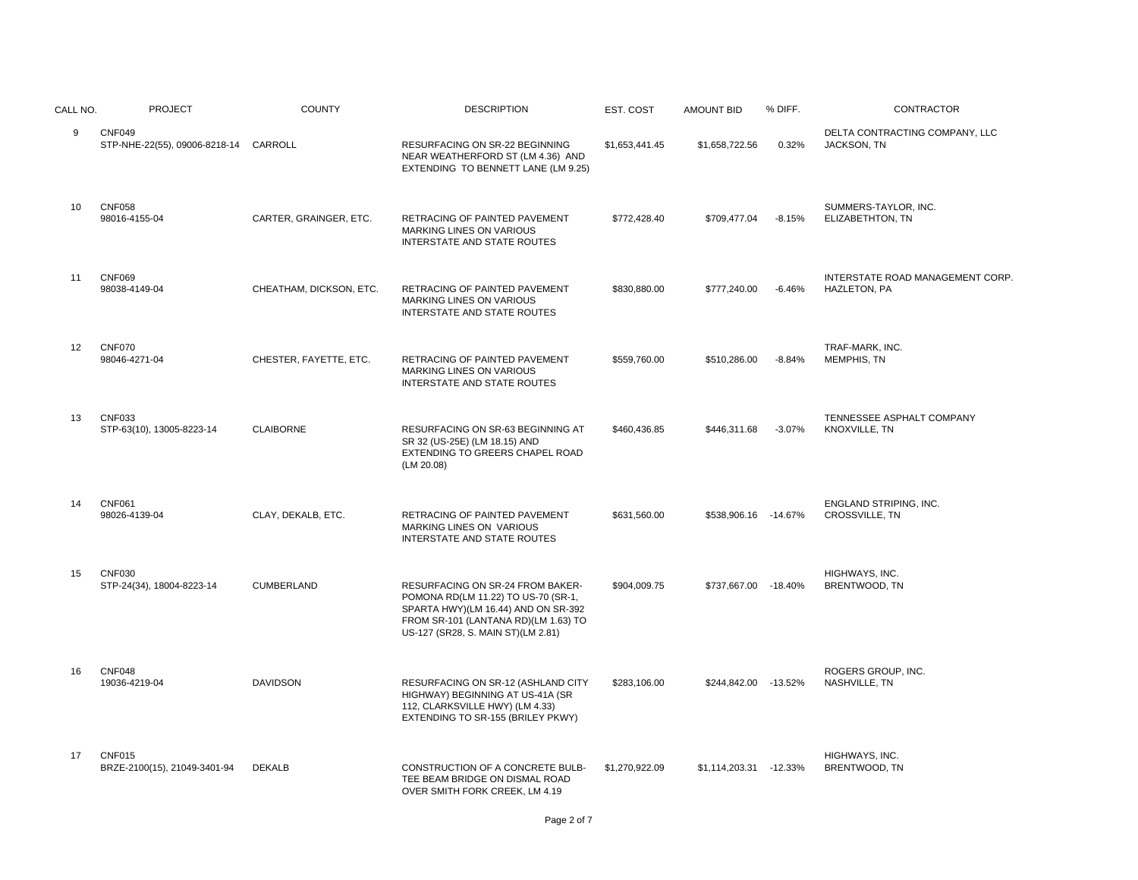| CALL NO. | <b>PROJECT</b>                                 | <b>COUNTY</b>           | <b>DESCRIPTION</b>                                                                                                                                                                           | EST. COST      | <b>AMOUNT BID</b>      | % DIFF.  | CONTRACTOR                                           |
|----------|------------------------------------------------|-------------------------|----------------------------------------------------------------------------------------------------------------------------------------------------------------------------------------------|----------------|------------------------|----------|------------------------------------------------------|
| 9        | <b>CNF049</b><br>STP-NHE-22(55), 09006-8218-14 | CARROLL                 | RESURFACING ON SR-22 BEGINNING<br>NEAR WEATHERFORD ST (LM 4.36) AND<br>EXTENDING TO BENNETT LANE (LM 9.25)                                                                                   | \$1,653,441.45 | \$1,658,722.56         | 0.32%    | DELTA CONTRACTING COMPANY, LLC<br><b>JACKSON, TN</b> |
| 10       | <b>CNF058</b><br>98016-4155-04                 | CARTER, GRAINGER, ETC.  | RETRACING OF PAINTED PAVEMENT<br><b>MARKING LINES ON VARIOUS</b><br>INTERSTATE AND STATE ROUTES                                                                                              | \$772,428.40   | \$709,477.04           | $-8.15%$ | SUMMERS-TAYLOR, INC.<br>ELIZABETHTON, TN             |
| 11       | <b>CNF069</b><br>98038-4149-04                 | CHEATHAM, DICKSON, ETC. | RETRACING OF PAINTED PAVEMENT<br><b>MARKING LINES ON VARIOUS</b><br>INTERSTATE AND STATE ROUTES                                                                                              | \$830,880.00   | \$777,240.00           | $-6.46%$ | INTERSTATE ROAD MANAGEMENT CORP.<br>HAZLETON, PA     |
| 12       | <b>CNF070</b><br>98046-4271-04                 | CHESTER, FAYETTE, ETC.  | RETRACING OF PAINTED PAVEMENT<br><b>MARKING LINES ON VARIOUS</b><br>INTERSTATE AND STATE ROUTES                                                                                              | \$559,760.00   | \$510,286.00           | $-8.84%$ | TRAF-MARK, INC.<br>MEMPHIS, TN                       |
| 13       | <b>CNF033</b><br>STP-63(10), 13005-8223-14     | <b>CLAIBORNE</b>        | RESURFACING ON SR-63 BEGINNING AT<br>SR 32 (US-25E) (LM 18.15) AND<br>EXTENDING TO GREERS CHAPEL ROAD<br>(LM 20.08)                                                                          | \$460,436.85   | \$446,311.68           | $-3.07%$ | TENNESSEE ASPHALT COMPANY<br>KNOXVILLE, TN           |
| 14       | <b>CNF061</b><br>98026-4139-04                 | CLAY, DEKALB, ETC.      | RETRACING OF PAINTED PAVEMENT<br>MARKING LINES ON VARIOUS<br>INTERSTATE AND STATE ROUTES                                                                                                     | \$631,560.00   | \$538,906.16 -14.67%   |          | ENGLAND STRIPING, INC.<br>CROSSVILLE, TN             |
| 15       | <b>CNF030</b><br>STP-24(34), 18004-8223-14     | <b>CUMBERLAND</b>       | RESURFACING ON SR-24 FROM BAKER-<br>POMONA RD(LM 11.22) TO US-70 (SR-1,<br>SPARTA HWY)(LM 16.44) AND ON SR-392<br>FROM SR-101 (LANTANA RD)(LM 1.63) TO<br>US-127 (SR28, S. MAIN ST)(LM 2.81) | \$904,009.75   | \$737,667.00 -18.40%   |          | HIGHWAYS, INC.<br>BRENTWOOD, TN                      |
| 16       | CNF048<br>19036-4219-04                        | <b>DAVIDSON</b>         | RESURFACING ON SR-12 (ASHLAND CITY<br>HIGHWAY) BEGINNING AT US-41A (SR<br>112, CLARKSVILLE HWY) (LM 4.33)<br>EXTENDING TO SR-155 (BRILEY PKWY)                                               | \$283,106.00   | \$244,842.00 -13.52%   |          | ROGERS GROUP, INC.<br>NASHVILLE, TN                  |
| 17       | <b>CNF015</b><br>BRZE-2100(15), 21049-3401-94  | <b>DEKALB</b>           | CONSTRUCTION OF A CONCRETE BULB-<br>TEE BEAM BRIDGE ON DISMAL ROAD<br>OVER SMITH FORK CREEK, LM 4.19                                                                                         | \$1,270,922.09 | \$1,114,203.31 -12.33% |          | HIGHWAYS, INC.<br>BRENTWOOD, TN                      |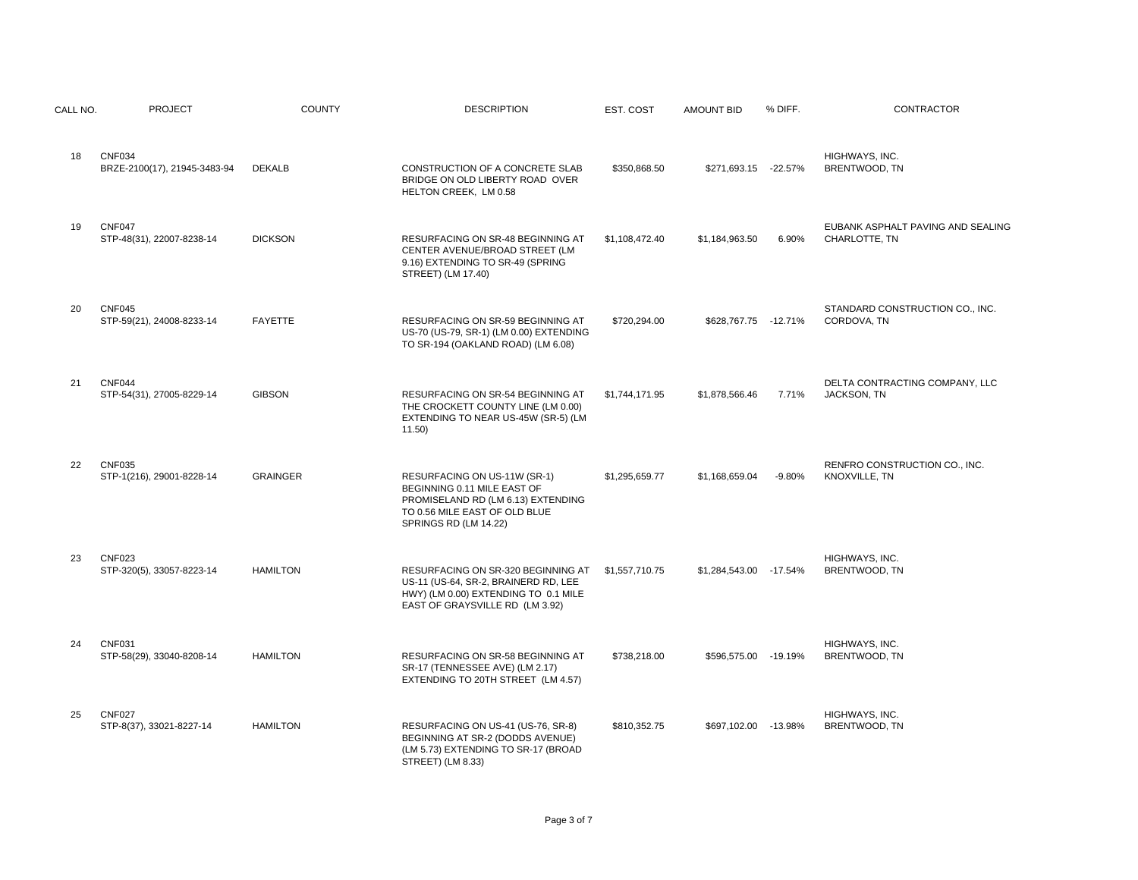| CALL NO. | <b>PROJECT</b>                                | <b>COUNTY</b>   | <b>DESCRIPTION</b>                                                                                                                                          | EST. COST      | <b>AMOUNT BID</b>      | % DIFF.  | CONTRACTOR                                         |
|----------|-----------------------------------------------|-----------------|-------------------------------------------------------------------------------------------------------------------------------------------------------------|----------------|------------------------|----------|----------------------------------------------------|
| 18       | <b>CNF034</b><br>BRZE-2100(17), 21945-3483-94 | <b>DEKALB</b>   | CONSTRUCTION OF A CONCRETE SLAB<br>BRIDGE ON OLD LIBERTY ROAD OVER<br>HELTON CREEK, LM 0.58                                                                 | \$350,868.50   | \$271,693.15 -22.57%   |          | HIGHWAYS, INC.<br>BRENTWOOD, TN                    |
| 19       | CNF047<br>STP-48(31), 22007-8238-14           | <b>DICKSON</b>  | RESURFACING ON SR-48 BEGINNING AT<br>CENTER AVENUE/BROAD STREET (LM<br>9.16) EXTENDING TO SR-49 (SPRING<br>STREET) (LM 17.40)                               | \$1,108,472.40 | \$1,184,963.50         | 6.90%    | EUBANK ASPHALT PAVING AND SEALING<br>CHARLOTTE, TN |
| 20       | <b>CNF045</b><br>STP-59(21), 24008-8233-14    | <b>FAYETTE</b>  | RESURFACING ON SR-59 BEGINNING AT<br>US-70 (US-79, SR-1) (LM 0.00) EXTENDING<br>TO SR-194 (OAKLAND ROAD) (LM 6.08)                                          | \$720,294.00   | \$628,767.75 -12.71%   |          | STANDARD CONSTRUCTION CO., INC.<br>CORDOVA, TN     |
| 21       | <b>CNF044</b><br>STP-54(31), 27005-8229-14    | <b>GIBSON</b>   | <b>RESURFACING ON SR-54 BEGINNING AT</b><br>THE CROCKETT COUNTY LINE (LM 0.00)<br>EXTENDING TO NEAR US-45W (SR-5) (LM<br>11.50)                             | \$1,744,171.95 | \$1,878,566.46         | 7.71%    | DELTA CONTRACTING COMPANY, LLC<br>JACKSON, TN      |
| 22       | <b>CNF035</b><br>STP-1(216), 29001-8228-14    | <b>GRAINGER</b> | RESURFACING ON US-11W (SR-1)<br>BEGINNING 0.11 MILE EAST OF<br>PROMISELAND RD (LM 6.13) EXTENDING<br>TO 0.56 MILE EAST OF OLD BLUE<br>SPRINGS RD (LM 14.22) | \$1,295,659.77 | \$1,168,659.04         | $-9.80%$ | RENFRO CONSTRUCTION CO., INC.<br>KNOXVILLE, TN     |
| 23       | <b>CNF023</b><br>STP-320(5), 33057-8223-14    | <b>HAMILTON</b> | RESURFACING ON SR-320 BEGINNING AT<br>US-11 (US-64, SR-2, BRAINERD RD, LEE<br>HWY) (LM 0.00) EXTENDING TO 0.1 MILE<br>EAST OF GRAYSVILLE RD (LM 3.92)       | \$1,557,710.75 | \$1,284,543.00 -17.54% |          | HIGHWAYS, INC.<br>BRENTWOOD, TN                    |
| 24       | <b>CNF031</b><br>STP-58(29), 33040-8208-14    | <b>HAMILTON</b> | RESURFACING ON SR-58 BEGINNING AT<br>SR-17 (TENNESSEE AVE) (LM 2.17)<br>EXTENDING TO 20TH STREET (LM 4.57)                                                  | \$738,218.00   | \$596,575.00 -19.19%   |          | HIGHWAYS, INC.<br>BRENTWOOD, TN                    |
| 25       | <b>CNF027</b><br>STP-8(37), 33021-8227-14     | <b>HAMILTON</b> | RESURFACING ON US-41 (US-76, SR-8)<br>BEGINNING AT SR-2 (DODDS AVENUE)<br>(LM 5.73) EXTENDING TO SR-17 (BROAD<br>STREET) (LM 8.33)                          | \$810,352.75   | \$697,102.00 -13.98%   |          | HIGHWAYS, INC.<br>BRENTWOOD, TN                    |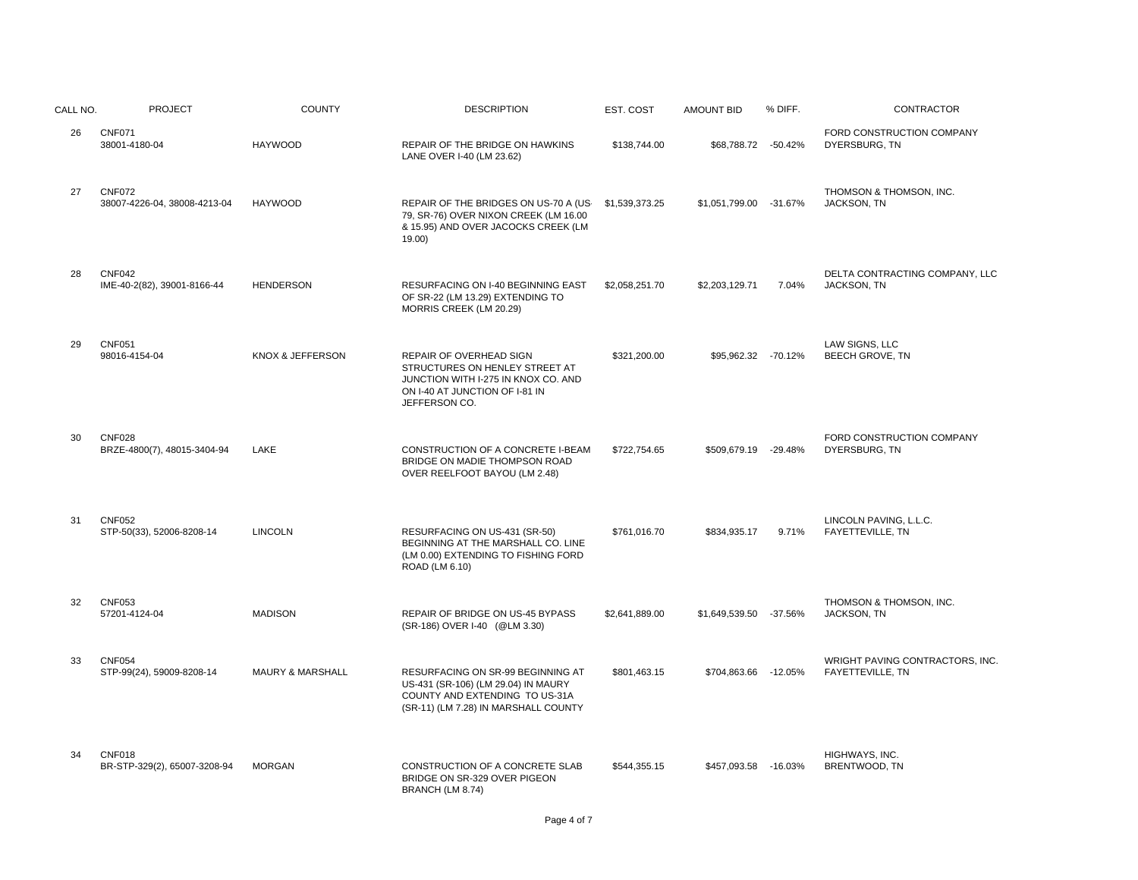| CALL NO. | <b>PROJECT</b>                                | <b>COUNTY</b>               | <b>DESCRIPTION</b>                                                                                                                                  | EST. COST      | <b>AMOUNT BID</b>      | % DIFF. | CONTRACTOR                                         |
|----------|-----------------------------------------------|-----------------------------|-----------------------------------------------------------------------------------------------------------------------------------------------------|----------------|------------------------|---------|----------------------------------------------------|
| 26       | <b>CNF071</b><br>38001-4180-04                | <b>HAYWOOD</b>              | REPAIR OF THE BRIDGE ON HAWKINS<br>LANE OVER I-40 (LM 23.62)                                                                                        | \$138,744.00   | \$68,788.72 -50.42%    |         | FORD CONSTRUCTION COMPANY<br>DYERSBURG, TN         |
| 27       | <b>CNF072</b><br>38007-4226-04, 38008-4213-04 | <b>HAYWOOD</b>              | REPAIR OF THE BRIDGES ON US-70 A (US-<br>79, SR-76) OVER NIXON CREEK (LM 16.00<br>& 15.95) AND OVER JACOCKS CREEK (LM<br>19.00                      | \$1,539,373.25 | \$1,051,799.00 -31.67% |         | THOMSON & THOMSON, INC.<br>JACKSON, TN             |
| 28       | <b>CNF042</b><br>IME-40-2(82), 39001-8166-44  | <b>HENDERSON</b>            | RESURFACING ON I-40 BEGINNING EAST<br>OF SR-22 (LM 13.29) EXTENDING TO<br>MORRIS CREEK (LM 20.29)                                                   | \$2,058,251.70 | \$2,203,129.71         | 7.04%   | DELTA CONTRACTING COMPANY, LLC<br>JACKSON, TN      |
| 29       | <b>CNF051</b><br>98016-4154-04                | KNOX & JEFFERSON            | REPAIR OF OVERHEAD SIGN<br>STRUCTURES ON HENLEY STREET AT<br>JUNCTION WITH I-275 IN KNOX CO. AND<br>ON I-40 AT JUNCTION OF I-81 IN<br>JEFFERSON CO. | \$321,200.00   | \$95,962.32 -70.12%    |         | LAW SIGNS, LLC<br><b>BEECH GROVE, TN</b>           |
| 30       | <b>CNF028</b><br>BRZE-4800(7), 48015-3404-94  | LAKE                        | CONSTRUCTION OF A CONCRETE I-BEAM<br>BRIDGE ON MADIE THOMPSON ROAD<br>OVER REELFOOT BAYOU (LM 2.48)                                                 | \$722,754.65   | \$509,679.19           | -29.48% | FORD CONSTRUCTION COMPANY<br>DYERSBURG, TN         |
| 31       | <b>CNF052</b><br>STP-50(33), 52006-8208-14    | <b>LINCOLN</b>              | RESURFACING ON US-431 (SR-50)<br>BEGINNING AT THE MARSHALL CO. LINE<br>(LM 0.00) EXTENDING TO FISHING FORD<br>ROAD (LM 6.10)                        | \$761,016.70   | \$834,935.17           | 9.71%   | LINCOLN PAVING, L.L.C.<br>FAYETTEVILLE, TN         |
| 32       | <b>CNF053</b><br>57201-4124-04                | <b>MADISON</b>              | REPAIR OF BRIDGE ON US-45 BYPASS<br>(SR-186) OVER I-40 (@LM 3.30)                                                                                   | \$2,641,889.00 | \$1,649,539.50         | -37.56% | THOMSON & THOMSON, INC.<br>JACKSON, TN             |
| 33       | <b>CNF054</b><br>STP-99(24), 59009-8208-14    | <b>MAURY &amp; MARSHALL</b> | RESURFACING ON SR-99 BEGINNING AT<br>US-431 (SR-106) (LM 29.04) IN MAURY<br>COUNTY AND EXTENDING TO US-31A<br>(SR-11) (LM 7.28) IN MARSHALL COUNTY  | \$801,463.15   | \$704,863.66 -12.05%   |         | WRIGHT PAVING CONTRACTORS, INC<br>FAYETTEVILLE, TN |
| 34       | <b>CNF018</b><br>BR-STP-329(2), 65007-3208-94 | <b>MORGAN</b>               | CONSTRUCTION OF A CONCRETE SLAB<br>BRIDGE ON SR-329 OVER PIGEON<br>BRANCH (LM 8.74)                                                                 | \$544,355.15   | \$457,093.58 -16.03%   |         | HIGHWAYS, INC.<br>BRENTWOOD, TN                    |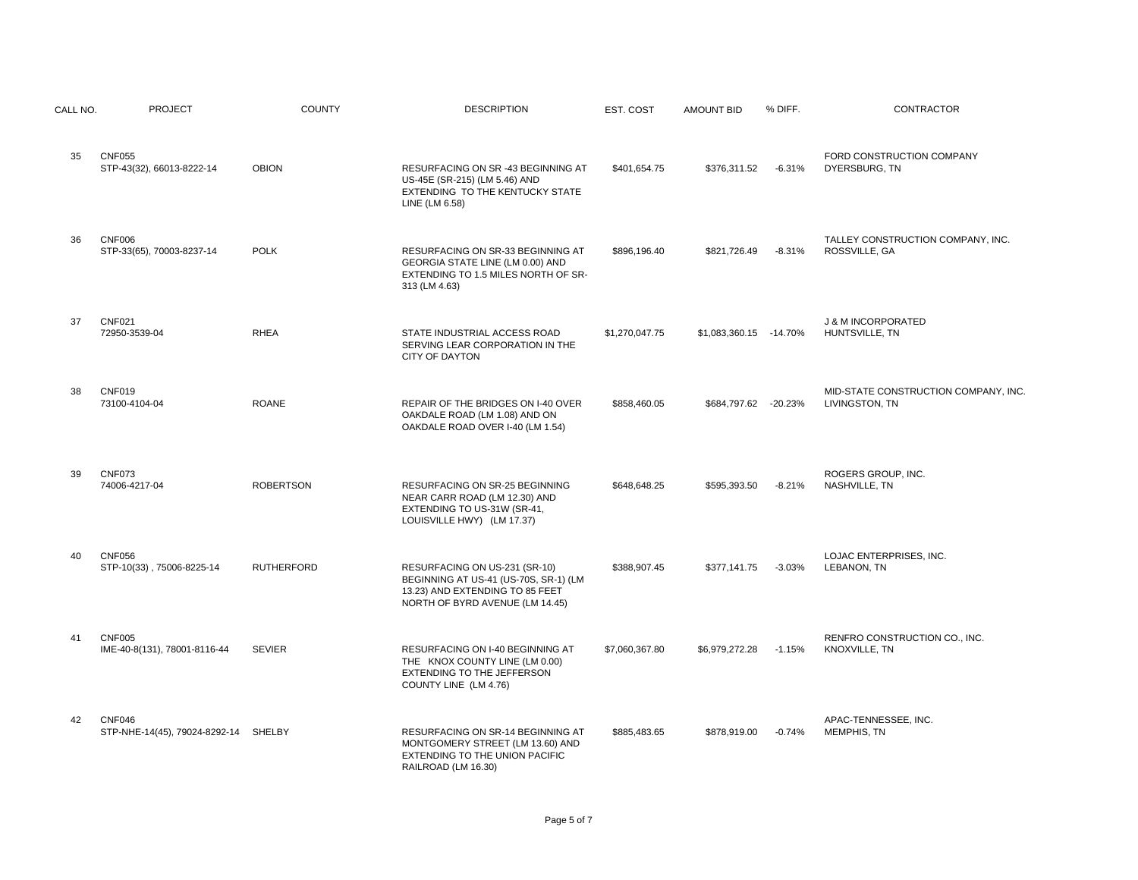| CALL NO. | <b>PROJECT</b>                                | <b>COUNTY</b>     | <b>DESCRIPTION</b>                                                                                                                           | EST. COST      | <b>AMOUNT BID</b>      | % DIFF.  | CONTRACTOR                                             |
|----------|-----------------------------------------------|-------------------|----------------------------------------------------------------------------------------------------------------------------------------------|----------------|------------------------|----------|--------------------------------------------------------|
| 35       | <b>CNF055</b><br>STP-43(32), 66013-8222-14    | <b>OBION</b>      | RESURFACING ON SR -43 BEGINNING AT<br>US-45E (SR-215) (LM 5.46) AND<br>EXTENDING TO THE KENTUCKY STATE<br>LINE (LM 6.58)                     | \$401,654.75   | \$376,311.52           | $-6.31%$ | FORD CONSTRUCTION COMPANY<br>DYERSBURG, TN             |
| 36       | <b>CNF006</b><br>STP-33(65), 70003-8237-14    | <b>POLK</b>       | RESURFACING ON SR-33 BEGINNING AT<br>GEORGIA STATE LINE (LM 0.00) AND<br>EXTENDING TO 1.5 MILES NORTH OF SR-<br>313 (LM 4.63)                | \$896,196.40   | \$821,726.49           | $-8.31%$ | TALLEY CONSTRUCTION COMPANY, INC.<br>ROSSVILLE, GA     |
| 37       | <b>CNF021</b><br>72950-3539-04                | <b>RHEA</b>       | STATE INDUSTRIAL ACCESS ROAD<br>SERVING LEAR CORPORATION IN THE<br>CITY OF DAYTON                                                            | \$1,270,047.75 | \$1,083,360.15 -14.70% |          | <b>J &amp; M INCORPORATED</b><br>HUNTSVILLE, TN        |
| 38       | <b>CNF019</b><br>73100-4104-04                | <b>ROANE</b>      | REPAIR OF THE BRIDGES ON I-40 OVER<br>OAKDALE ROAD (LM 1.08) AND ON<br>OAKDALE ROAD OVER I-40 (LM 1.54)                                      | \$858,460.05   | \$684,797.62 -20.23%   |          | MID-STATE CONSTRUCTION COMPANY, INC.<br>LIVINGSTON, TN |
| 39       | <b>CNF073</b><br>74006-4217-04                | <b>ROBERTSON</b>  | <b>RESURFACING ON SR-25 BEGINNING</b><br>NEAR CARR ROAD (LM 12.30) AND<br>EXTENDING TO US-31W (SR-41,<br>LOUISVILLE HWY) (LM 17.37)          | \$648,648.25   | \$595,393.50           | $-8.21%$ | ROGERS GROUP, INC.<br>NASHVILLE, TN                    |
| 40       | <b>CNF056</b><br>STP-10(33), 75006-8225-14    | <b>RUTHERFORD</b> | RESURFACING ON US-231 (SR-10)<br>BEGINNING AT US-41 (US-70S, SR-1) (LM<br>13.23) AND EXTENDING TO 85 FEET<br>NORTH OF BYRD AVENUE (LM 14.45) | \$388,907.45   | \$377,141.75           | $-3.03%$ | LOJAC ENTERPRISES, INC.<br>LEBANON, TN                 |
| 41       | <b>CNF005</b><br>IME-40-8(131), 78001-8116-44 | <b>SEVIER</b>     | RESURFACING ON I-40 BEGINNING AT<br>THE KNOX COUNTY LINE (LM 0.00)<br>EXTENDING TO THE JEFFERSON<br>COUNTY LINE (LM 4.76)                    | \$7,060,367.80 | \$6,979,272.28         | $-1.15%$ | RENFRO CONSTRUCTION CO., INC.<br>KNOXVILLE, TN         |
| 42       | CNF046<br>STP-NHE-14(45), 79024-8292-14       | SHELBY            | RESURFACING ON SR-14 BEGINNING AT<br>MONTGOMERY STREET (LM 13.60) AND<br>EXTENDING TO THE UNION PACIFIC<br>RAILROAD (LM 16.30)               | \$885,483.65   | \$878,919.00           | $-0.74%$ | APAC-TENNESSEE, INC.<br>MEMPHIS, TN                    |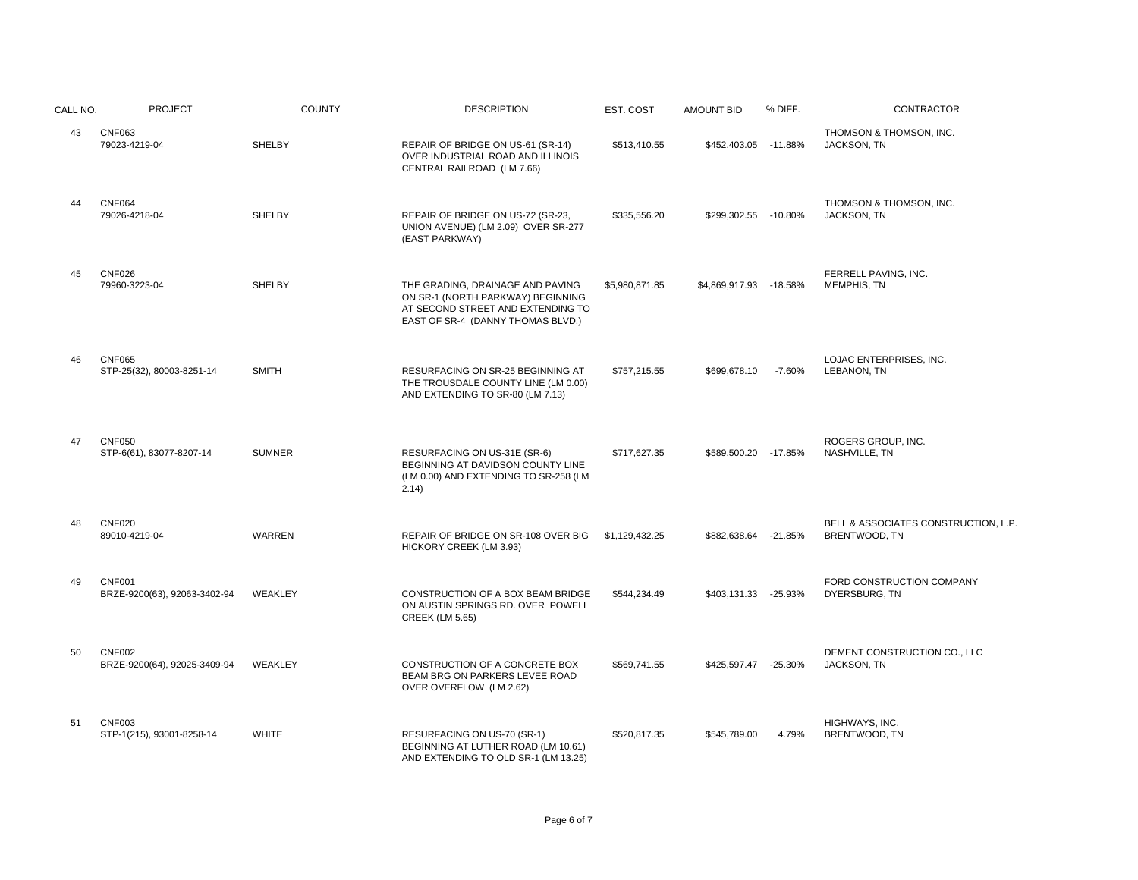| CALL NO. | <b>PROJECT</b>                                | <b>COUNTY</b> | <b>DESCRIPTION</b>                                                                                                                              | EST. COST      | <b>AMOUNT BID</b>      | % DIFF.   | <b>CONTRACTOR</b>                                     |
|----------|-----------------------------------------------|---------------|-------------------------------------------------------------------------------------------------------------------------------------------------|----------------|------------------------|-----------|-------------------------------------------------------|
| 43       | <b>CNF063</b><br>79023-4219-04                | <b>SHELBY</b> | REPAIR OF BRIDGE ON US-61 (SR-14)<br>OVER INDUSTRIAL ROAD AND ILLINOIS<br>CENTRAL RAILROAD (LM 7.66)                                            | \$513,410.55   | \$452,403.05           | $-11.88%$ | THOMSON & THOMSON, INC.<br>JACKSON, TN                |
| 44       | <b>CNF064</b><br>79026-4218-04                | <b>SHELBY</b> | REPAIR OF BRIDGE ON US-72 (SR-23,<br>UNION AVENUE) (LM 2.09) OVER SR-277<br>(EAST PARKWAY)                                                      | \$335,556.20   | \$299,302.55 -10.80%   |           | THOMSON & THOMSON, INC.<br>JACKSON, TN                |
| 45       | <b>CNF026</b><br>79960-3223-04                | <b>SHELBY</b> | THE GRADING, DRAINAGE AND PAVING<br>ON SR-1 (NORTH PARKWAY) BEGINNING<br>AT SECOND STREET AND EXTENDING TO<br>EAST OF SR-4 (DANNY THOMAS BLVD.) | \$5,980,871.85 | \$4,869,917.93 -18.58% |           | FERRELL PAVING, INC.<br>MEMPHIS, TN                   |
| 46       | <b>CNF065</b><br>STP-25(32), 80003-8251-14    | <b>SMITH</b>  | RESURFACING ON SR-25 BEGINNING AT<br>THE TROUSDALE COUNTY LINE (LM 0.00)<br>AND EXTENDING TO SR-80 (LM 7.13)                                    | \$757,215.55   | \$699,678.10           | $-7.60%$  | LOJAC ENTERPRISES, INC.<br>LEBANON, TN                |
| 47       | <b>CNF050</b><br>STP-6(61), 83077-8207-14     | <b>SUMNER</b> | RESURFACING ON US-31E (SR-6)<br>BEGINNING AT DAVIDSON COUNTY LINE<br>(LM 0.00) AND EXTENDING TO SR-258 (LM<br>2.14)                             | \$717,627.35   | \$589,500.20 -17.85%   |           | ROGERS GROUP, INC.<br>NASHVILLE, TN                   |
| 48       | <b>CNF020</b><br>89010-4219-04                | <b>WARREN</b> | REPAIR OF BRIDGE ON SR-108 OVER BIG<br>HICKORY CREEK (LM 3.93)                                                                                  | \$1.129.432.25 | \$882,638.64 -21.85%   |           | BELL & ASSOCIATES CONSTRUCTION, L.P.<br>BRENTWOOD, TN |
| 49       | <b>CNF001</b><br>BRZE-9200(63), 92063-3402-94 | WEAKLEY       | CONSTRUCTION OF A BOX BEAM BRIDGE<br>ON AUSTIN SPRINGS RD. OVER POWELL<br><b>CREEK (LM 5.65)</b>                                                | \$544,234.49   | \$403,131.33 -25.93%   |           | FORD CONSTRUCTION COMPANY<br>DYERSBURG, TN            |
| 50       | <b>CNF002</b><br>BRZE-9200(64), 92025-3409-94 | WEAKLEY       | CONSTRUCTION OF A CONCRETE BOX<br>BEAM BRG ON PARKERS LEVEE ROAD<br>OVER OVERFLOW (LM 2.62)                                                     | \$569,741.55   | \$425,597.47 -25.30%   |           | DEMENT CONSTRUCTION CO., LLC<br>JACKSON, TN           |
| 51       | <b>CNF003</b><br>STP-1(215), 93001-8258-14    | <b>WHITE</b>  | RESURFACING ON US-70 (SR-1)<br>BEGINNING AT LUTHER ROAD (LM 10.61)<br>AND EXTENDING TO OLD SR-1 (LM 13.25)                                      | \$520,817.35   | \$545.789.00           | 4.79%     | HIGHWAYS, INC.<br>BRENTWOOD, TN                       |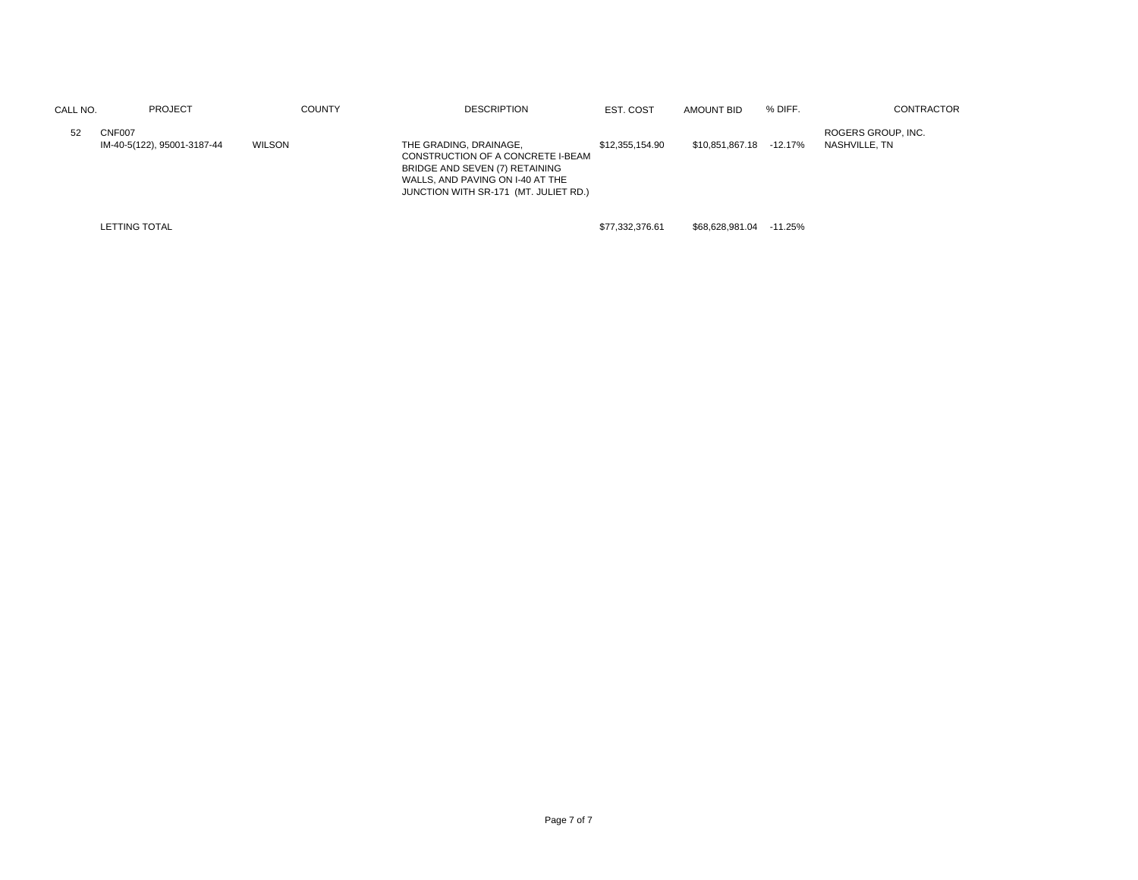| CALL NO. | <b>PROJECT</b>                               | <b>COUNTY</b> | <b>DESCRIPTION</b>                                                                                                                                                         | EST. COST       | AMOUNT BID      | % DIFF.    | <b>CONTRACTOR</b>                   |
|----------|----------------------------------------------|---------------|----------------------------------------------------------------------------------------------------------------------------------------------------------------------------|-----------------|-----------------|------------|-------------------------------------|
| 52       | <b>CNF007</b><br>IM-40-5(122), 95001-3187-44 | WILSON        | THE GRADING, DRAINAGE,<br>CONSTRUCTION OF A CONCRETE I-BEAM<br>BRIDGE AND SEVEN (7) RETAINING<br>WALLS, AND PAVING ON I-40 AT THE<br>JUNCTION WITH SR-171 (MT. JULIET RD.) | \$12,355,154.90 | \$10,851,867.18 | $-12.17\%$ | ROGERS GROUP, INC.<br>NASHVILLE, TN |
|          | <b>LETTING TOTAL</b>                         |               |                                                                                                                                                                            | \$77,332,376.61 | \$68,628,981.04 | -11.25%    |                                     |

Page 7 of 7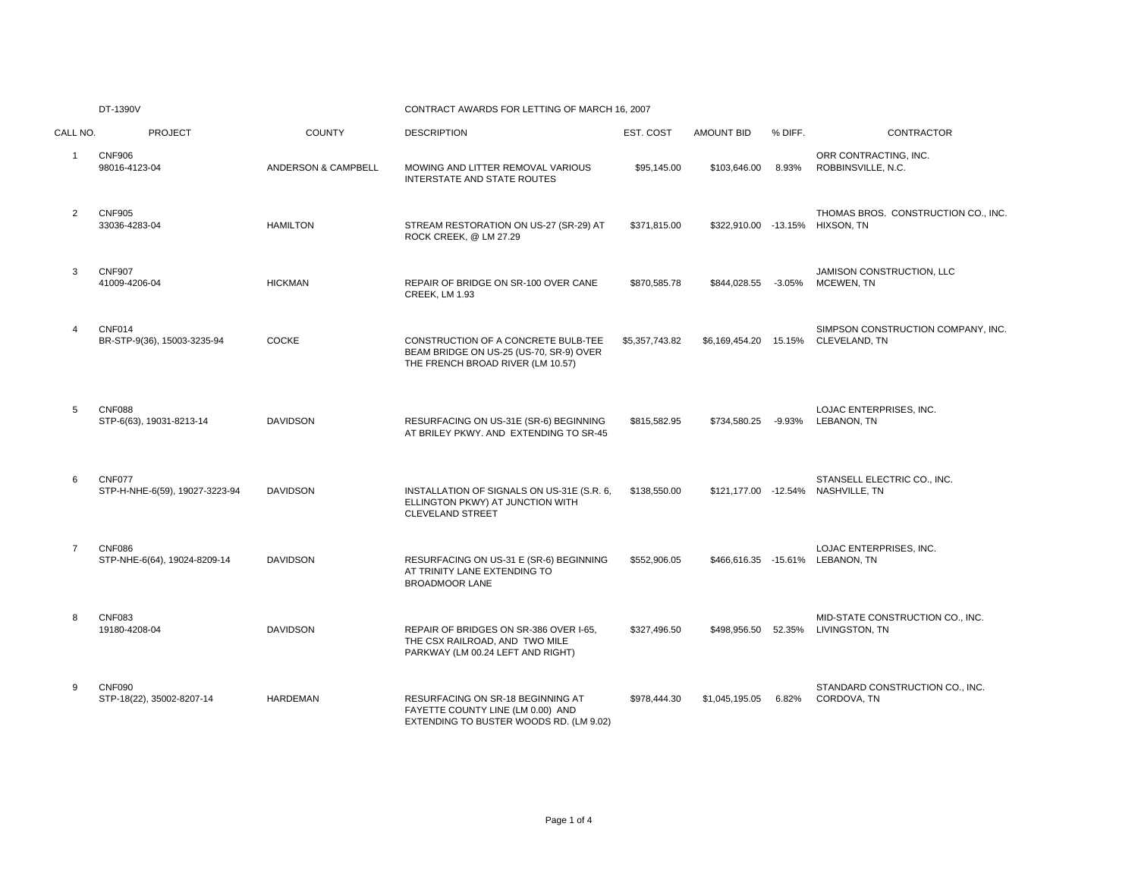|                | DT-1390V                                        |                     | CONTRACT AWARDS FOR LETTING OF MARCH 16, 2007                                                                       |                |                   |          |                                                                        |
|----------------|-------------------------------------------------|---------------------|---------------------------------------------------------------------------------------------------------------------|----------------|-------------------|----------|------------------------------------------------------------------------|
| CALL NO.       | <b>PROJECT</b>                                  | <b>COUNTY</b>       | <b>DESCRIPTION</b>                                                                                                  | EST. COST      | <b>AMOUNT BID</b> | % DIFF.  | <b>CONTRACTOR</b>                                                      |
| $\mathbf{1}$   | <b>CNF906</b><br>98016-4123-04                  | ANDERSON & CAMPBELL | MOWING AND LITTER REMOVAL VARIOUS<br>INTERSTATE AND STATE ROUTES                                                    | \$95,145.00    | \$103.646.00      | 8.93%    | ORR CONTRACTING. INC.<br>ROBBINSVILLE, N.C.                            |
| 2              | <b>CNF905</b><br>33036-4283-04                  | <b>HAMILTON</b>     | STREAM RESTORATION ON US-27 (SR-29) AT<br>ROCK CREEK, @ LM 27.29                                                    | \$371,815.00   |                   |          | THOMAS BROS. CONSTRUCTION CO., INC.<br>\$322,910.00 -13.15% HIXSON, TN |
| 3              | <b>CNF907</b><br>41009-4206-04                  | <b>HICKMAN</b>      | REPAIR OF BRIDGE ON SR-100 OVER CANE<br>CREEK, LM 1.93                                                              | \$870,585.78   | \$844,028.55      | $-3.05%$ | JAMISON CONSTRUCTION, LLC<br><b>MCEWEN, TN</b>                         |
| $\overline{4}$ | CNF014<br>BR-STP-9(36), 15003-3235-94           | <b>COCKE</b>        | CONSTRUCTION OF A CONCRETE BULB-TEE<br>BEAM BRIDGE ON US-25 (US-70, SR-9) OVER<br>THE FRENCH BROAD RIVER (LM 10.57) | \$5,357,743.82 | \$6,169,454.20    | 15.15%   | SIMPSON CONSTRUCTION COMPANY, INC.<br>CLEVELAND, TN                    |
| 5              | <b>CNF088</b><br>STP-6(63), 19031-8213-14       | <b>DAVIDSON</b>     | RESURFACING ON US-31E (SR-6) BEGINNING<br>AT BRILEY PKWY, AND EXTENDING TO SR-45                                    | \$815,582.95   | \$734,580.25      | $-9.93%$ | LOJAC ENTERPRISES, INC.<br>LEBANON, TN                                 |
| 6              | <b>CNF077</b><br>STP-H-NHE-6(59), 19027-3223-94 | <b>DAVIDSON</b>     | INSTALLATION OF SIGNALS ON US-31E (S.R. 6,<br>ELLINGTON PKWY) AT JUNCTION WITH<br>CLEVELAND STREET                  | \$138,550.00   |                   |          | STANSELL ELECTRIC CO., INC.<br>\$121,177.00 -12.54% NASHVILLE, TN      |
| $\overline{7}$ | <b>CNF086</b><br>STP-NHE-6(64), 19024-8209-14   | <b>DAVIDSON</b>     | RESURFACING ON US-31 E (SR-6) BEGINNING<br>AT TRINITY LANE EXTENDING TO<br><b>BROADMOOR LANE</b>                    | \$552,906.05   |                   |          | LOJAC ENTERPRISES, INC.<br>\$466,616.35 -15.61% LEBANON, TN            |
| 8              | <b>CNF083</b><br>19180-4208-04                  | <b>DAVIDSON</b>     | REPAIR OF BRIDGES ON SR-386 OVER I-65.<br>THE CSX RAILROAD, AND TWO MILE<br>PARKWAY (LM 00.24 LEFT AND RIGHT)       | \$327,496.50   | \$498,956.50      | 52.35%   | MID-STATE CONSTRUCTION CO., INC.<br>LIVINGSTON, TN                     |
| 9              | <b>CNF090</b><br>STP-18(22), 35002-8207-14      | <b>HARDEMAN</b>     | RESURFACING ON SR-18 BEGINNING AT<br>FAYETTE COUNTY LINE (LM 0.00) AND<br>EXTENDING TO BUSTER WOODS RD. (LM 9.02)   | \$978,444.30   | \$1,045,195.05    | 6.82%    | STANDARD CONSTRUCTION CO., INC.<br>CORDOVA, TN                         |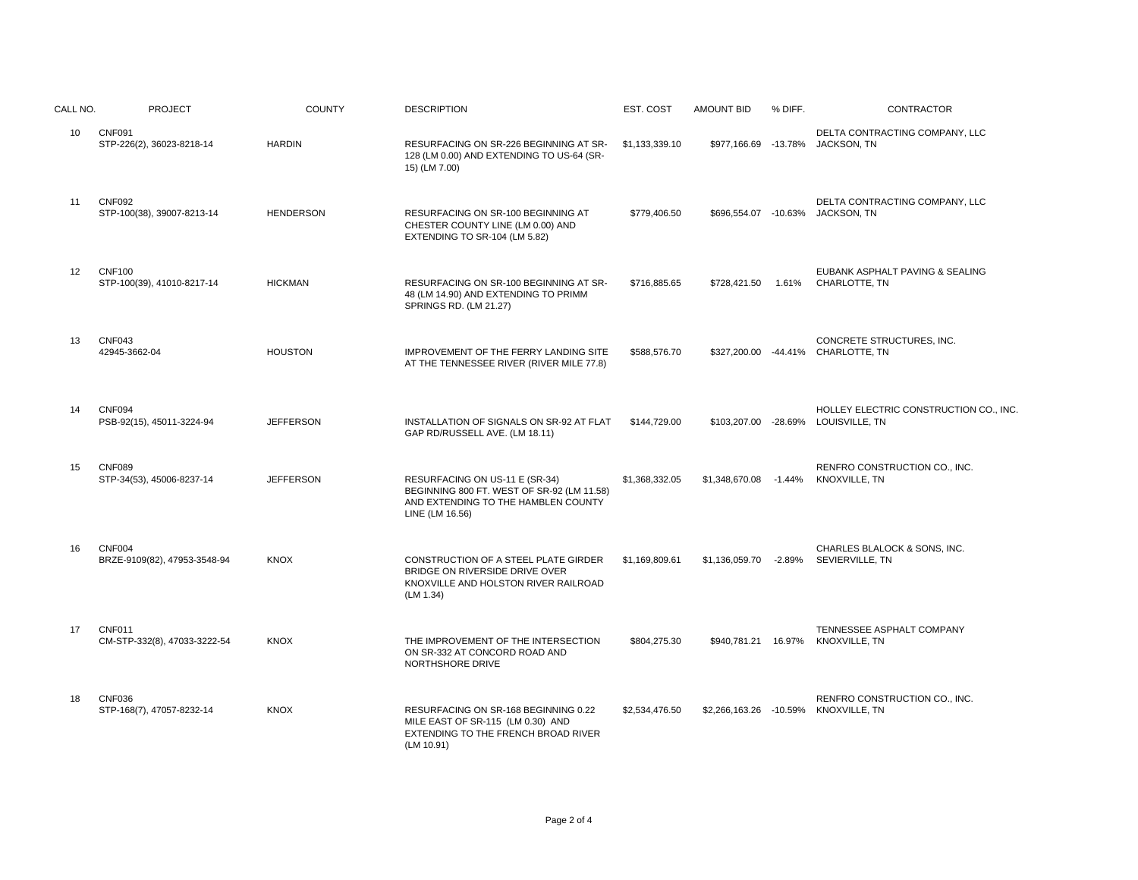| CALL NO. | <b>PROJECT</b>                                | <b>COUNTY</b>    | <b>DESCRIPTION</b>                                                                                                                     | EST. COST      | <b>AMOUNT BID</b> | % DIFF.  | <b>CONTRACTOR</b>                                                             |
|----------|-----------------------------------------------|------------------|----------------------------------------------------------------------------------------------------------------------------------------|----------------|-------------------|----------|-------------------------------------------------------------------------------|
| 10       | <b>CNF091</b><br>STP-226(2), 36023-8218-14    | <b>HARDIN</b>    | <b>RESURFACING ON SR-226 BEGINNING AT SR-</b><br>128 (LM 0.00) AND EXTENDING TO US-64 (SR-<br>15) (LM 7.00)                            | \$1,133,339.10 |                   |          | DELTA CONTRACTING COMPANY, LLC<br>\$977,166.69 -13.78% JACKSON, TN            |
| 11       | <b>CNF092</b><br>STP-100(38), 39007-8213-14   | <b>HENDERSON</b> | RESURFACING ON SR-100 BEGINNING AT<br>CHESTER COUNTY LINE (LM 0.00) AND<br>EXTENDING TO SR-104 (LM 5.82)                               | \$779,406.50   |                   |          | DELTA CONTRACTING COMPANY, LLC<br>\$696,554.07 -10.63% JACKSON, TN            |
| 12       | <b>CNF100</b><br>STP-100(39), 41010-8217-14   | <b>HICKMAN</b>   | RESURFACING ON SR-100 BEGINNING AT SR-<br>48 (LM 14.90) AND EXTENDING TO PRIMM<br>SPRINGS RD. (LM 21.27)                               | \$716.885.65   | \$728,421.50      | 1.61%    | EUBANK ASPHALT PAVING & SEALING<br>CHARLOTTE, TN                              |
| 13       | <b>CNF043</b><br>42945-3662-04                | <b>HOUSTON</b>   | <b>IMPROVEMENT OF THE FERRY LANDING SITE</b><br>AT THE TENNESSEE RIVER (RIVER MILE 77.8)                                               | \$588,576.70   |                   |          | CONCRETE STRUCTURES, INC.<br>\$327,200.00 -44.41% CHARLOTTE, TN               |
| 14       | <b>CNF094</b><br>PSB-92(15), 45011-3224-94    | <b>JEFFERSON</b> | INSTALLATION OF SIGNALS ON SR-92 AT FLAT<br>GAP RD/RUSSELL AVE. (LM 18.11)                                                             | \$144,729.00   |                   |          | HOLLEY ELECTRIC CONSTRUCTION CO., INC.<br>\$103,207.00 -28.69% LOUISVILLE, TN |
| 15       | <b>CNF089</b><br>STP-34(53), 45006-8237-14    | <b>JEFFERSON</b> | RESURFACING ON US-11 E (SR-34)<br>BEGINNING 800 FT. WEST OF SR-92 (LM 11.58)<br>AND EXTENDING TO THE HAMBLEN COUNTY<br>LINE (LM 16.56) | \$1,368,332.05 | \$1,348,670.08    | -1.44%   | RENFRO CONSTRUCTION CO., INC.<br>KNOXVILLE, TN                                |
| 16       | <b>CNF004</b><br>BRZE-9109(82), 47953-3548-94 | <b>KNOX</b>      | CONSTRUCTION OF A STEEL PLATE GIRDER<br>BRIDGE ON RIVERSIDE DRIVE OVER<br>KNOXVILLE AND HOLSTON RIVER RAILROAD<br>(LM 1.34)            | \$1,169,809.61 | \$1,136,059.70    | $-2.89%$ | CHARLES BLALOCK & SONS, INC.<br>SEVIERVILLE, TN                               |
| 17       | <b>CNF011</b><br>CM-STP-332(8), 47033-3222-54 | <b>KNOX</b>      | THE IMPROVEMENT OF THE INTERSECTION<br>ON SR-332 AT CONCORD ROAD AND<br>NORTHSHORE DRIVE                                               | \$804,275.30   |                   |          | TENNESSEE ASPHALT COMPANY<br>\$940,781.21  16.97%  KNOXVILLE, TN              |
| 18       | <b>CNF036</b><br>STP-168(7), 47057-8232-14    | <b>KNOX</b>      | RESURFACING ON SR-168 BEGINNING 0.22<br>MILE EAST OF SR-115 (LM 0.30) AND<br>EXTENDING TO THE FRENCH BROAD RIVER<br>(LM 10.91)         | \$2,534,476.50 |                   |          | RENFRO CONSTRUCTION CO., INC.<br>\$2,266,163.26 -10.59% KNOXVILLE, TN         |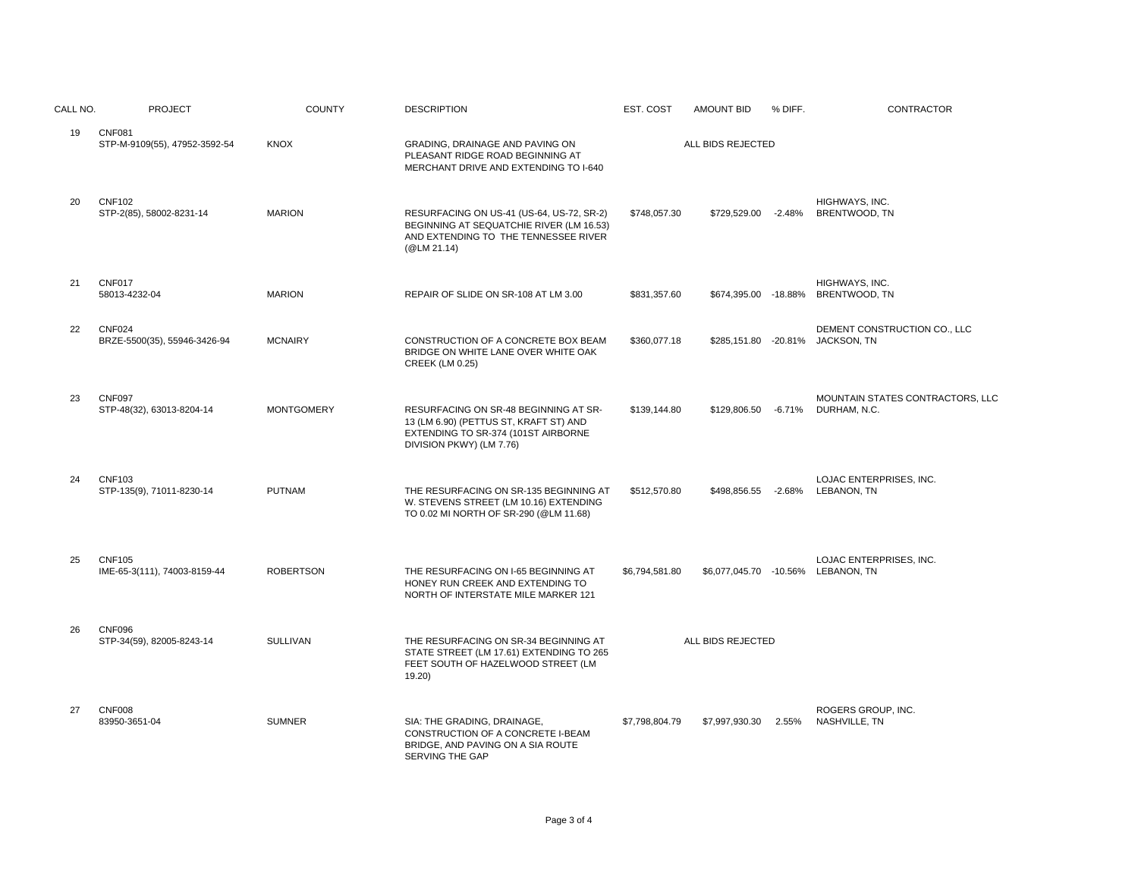| CALL NO. | <b>PROJECT</b>                                 | <b>COUNTY</b>     | <b>DESCRIPTION</b>                                                                                                                                 | EST. COST      | <b>AMOUNT BID</b>    | % DIFF.  | <b>CONTRACTOR</b>                                             |
|----------|------------------------------------------------|-------------------|----------------------------------------------------------------------------------------------------------------------------------------------------|----------------|----------------------|----------|---------------------------------------------------------------|
| 19       | <b>CNF081</b><br>STP-M-9109(55), 47952-3592-54 | <b>KNOX</b>       | GRADING, DRAINAGE AND PAVING ON<br>PLEASANT RIDGE ROAD BEGINNING AT<br>MERCHANT DRIVE AND EXTENDING TO I-640                                       |                | ALL BIDS REJECTED    |          |                                                               |
| 20       | <b>CNF102</b><br>STP-2(85), 58002-8231-14      | <b>MARION</b>     | RESURFACING ON US-41 (US-64, US-72, SR-2)<br>BEGINNING AT SEQUATCHIE RIVER (LM 16.53)<br>AND EXTENDING TO THE TENNESSEE RIVER<br>(@LM 21.14)       | \$748,057.30   | \$729,529.00         | $-2.48%$ | HIGHWAYS, INC.<br>BRENTWOOD, TN                               |
| 21       | <b>CNF017</b><br>58013-4232-04                 | <b>MARION</b>     | REPAIR OF SLIDE ON SR-108 AT LM 3.00                                                                                                               | \$831,357.60   | \$674,395.00 -18.88% |          | HIGHWAYS, INC.<br>BRENTWOOD, TN                               |
| 22       | <b>CNF024</b><br>BRZE-5500(35), 55946-3426-94  | <b>MCNAIRY</b>    | CONSTRUCTION OF A CONCRETE BOX BEAM<br>BRIDGE ON WHITE LANE OVER WHITE OAK<br><b>CREEK (LM 0.25)</b>                                               | \$360,077.18   | \$285,151.80 -20.81% |          | DEMENT CONSTRUCTION CO., LLC<br><b>JACKSON, TN</b>            |
| 23       | <b>CNF097</b><br>STP-48(32), 63013-8204-14     | <b>MONTGOMERY</b> | RESURFACING ON SR-48 BEGINNING AT SR-<br>13 (LM 6.90) (PETTUS ST, KRAFT ST) AND<br>EXTENDING TO SR-374 (101ST AIRBORNE<br>DIVISION PKWY) (LM 7.76) | \$139,144.80   | \$129,806.50         | -6.71%   | MOUNTAIN STATES CONTRACTORS, LLC<br>DURHAM, N.C.              |
| 24       | <b>CNF103</b><br>STP-135(9), 71011-8230-14     | <b>PUTNAM</b>     | THE RESURFACING ON SR-135 BEGINNING AT<br>W. STEVENS STREET (LM 10.16) EXTENDING<br>TO 0.02 MI NORTH OF SR-290 (@LM 11.68)                         | \$512,570.80   | \$498,856.55         | $-2.68%$ | LOJAC ENTERPRISES, INC.<br>LEBANON, TN                        |
| 25       | <b>CNF105</b><br>IME-65-3(111), 74003-8159-44  | <b>ROBERTSON</b>  | THE RESURFACING ON I-65 BEGINNING AT<br>HONEY RUN CREEK AND EXTENDING TO<br>NORTH OF INTERSTATE MILE MARKER 121                                    | \$6,794,581.80 |                      |          | LOJAC ENTERPRISES, INC.<br>\$6,077,045.70 -10.56% LEBANON, TN |
| 26       | <b>CNF096</b><br>STP-34(59), 82005-8243-14     | SULLIVAN          | THE RESURFACING ON SR-34 BEGINNING AT<br>STATE STREET (LM 17.61) EXTENDING TO 265<br>FEET SOUTH OF HAZELWOOD STREET (LM<br>19.20                   |                | ALL BIDS REJECTED    |          |                                                               |
| 27       | <b>CNF008</b><br>83950-3651-04                 | <b>SUMNER</b>     | SIA: THE GRADING, DRAINAGE,<br>CONSTRUCTION OF A CONCRETE I-BEAM<br>BRIDGE, AND PAVING ON A SIA ROUTE<br>SERVING THE GAP                           | \$7,798,804.79 | \$7,997,930.30       | 2.55%    | ROGERS GROUP, INC.<br>NASHVILLE, TN                           |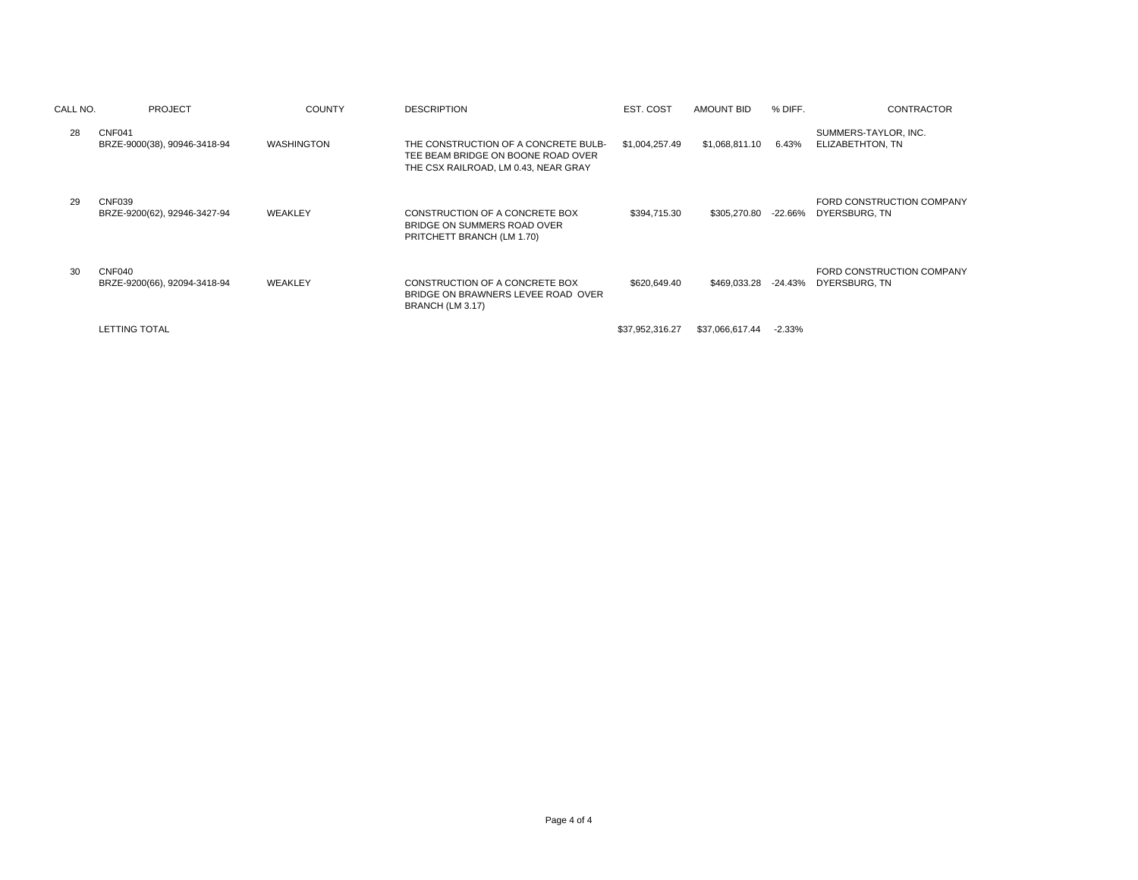| CALL NO. | <b>PROJECT</b>                         | <b>COUNTY</b>     | <b>DESCRIPTION</b>                                                                                                 | EST. COST       | AMOUNT BID      | % DIFF.  | <b>CONTRACTOR</b>                          |
|----------|----------------------------------------|-------------------|--------------------------------------------------------------------------------------------------------------------|-----------------|-----------------|----------|--------------------------------------------|
| 28       | CNF041<br>BRZE-9000(38), 90946-3418-94 | <b>WASHINGTON</b> | THE CONSTRUCTION OF A CONCRETE BULB-<br>TEE BEAM BRIDGE ON BOONE ROAD OVER<br>THE CSX RAILROAD, LM 0.43, NEAR GRAY | \$1,004,257.49  | \$1.068.811.10  | 6.43%    | SUMMERS-TAYLOR, INC.<br>ELIZABETHTON, TN   |
| 29       | CNF039<br>BRZE-9200(62), 92946-3427-94 | WEAKLEY           | CONSTRUCTION OF A CONCRETE BOX<br>BRIDGE ON SUMMERS ROAD OVER<br>PRITCHETT BRANCH (LM 1.70)                        | \$394.715.30    | \$305,270.80    | -22.66%  | FORD CONSTRUCTION COMPANY<br>DYERSBURG. TN |
| 30       | CNF040<br>BRZE-9200(66), 92094-3418-94 | WEAKLEY           | CONSTRUCTION OF A CONCRETE BOX<br>BRIDGE ON BRAWNERS LEVEE ROAD OVER<br>BRANCH (LM 3.17)                           | \$620,649.40    | \$469.033.28    | -24.43%  | FORD CONSTRUCTION COMPANY<br>DYERSBURG. TN |
|          | <b>LETTING TOTAL</b>                   |                   |                                                                                                                    | \$37,952,316.27 | \$37.066.617.44 | $-2.33%$ |                                            |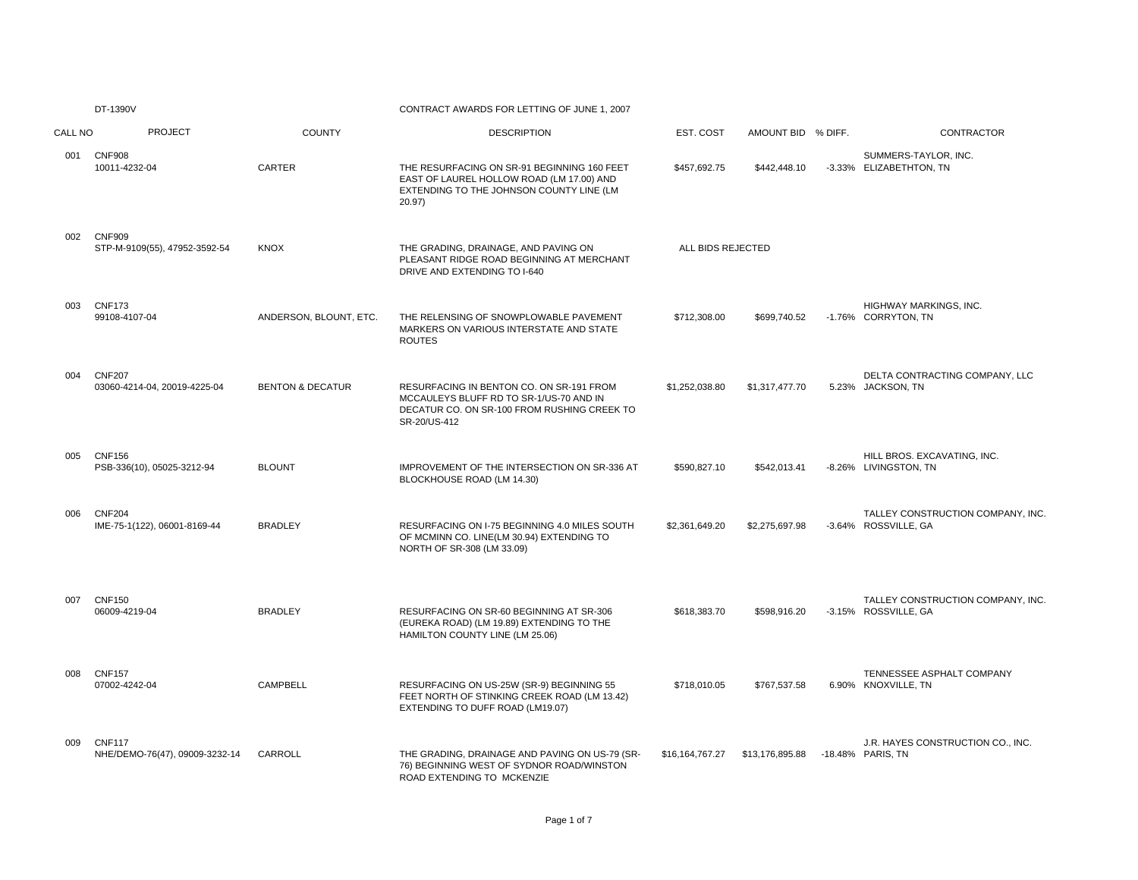|         | DT-1390V                                        |                             | CONTRACT AWARDS FOR LETTING OF JUNE 1, 2007                                                                                                        |                   |                    |                                                           |
|---------|-------------------------------------------------|-----------------------------|----------------------------------------------------------------------------------------------------------------------------------------------------|-------------------|--------------------|-----------------------------------------------------------|
| CALL NO | <b>PROJECT</b>                                  | <b>COUNTY</b>               | <b>DESCRIPTION</b>                                                                                                                                 | EST. COST         | AMOUNT BID % DIFF. | CONTRACTOR                                                |
|         | 001 CNF908<br>10011-4232-04                     | CARTER                      | THE RESURFACING ON SR-91 BEGINNING 160 FEET<br>EAST OF LAUREL HOLLOW ROAD (LM 17.00) AND<br>EXTENDING TO THE JOHNSON COUNTY LINE (LM<br>20.97      | \$457,692.75      | \$442,448.10       | SUMMERS-TAYLOR, INC.<br>-3.33% ELIZABETHTON, TN           |
| 002     | <b>CNF909</b><br>STP-M-9109(55), 47952-3592-54  | <b>KNOX</b>                 | THE GRADING, DRAINAGE, AND PAVING ON<br>PLEASANT RIDGE ROAD BEGINNING AT MERCHANT<br>DRIVE AND EXTENDING TO I-640                                  | ALL BIDS REJECTED |                    |                                                           |
| 003     | <b>CNF173</b><br>99108-4107-04                  | ANDERSON, BLOUNT, ETC.      | THE RELENSING OF SNOWPLOWABLE PAVEMENT<br>MARKERS ON VARIOUS INTERSTATE AND STATE<br><b>ROUTES</b>                                                 | \$712,308.00      | \$699,740.52       | HIGHWAY MARKINGS, INC.<br>-1.76% CORRYTON, TN             |
| 004     | <b>CNF207</b><br>03060-4214-04, 20019-4225-04   | <b>BENTON &amp; DECATUR</b> | RESURFACING IN BENTON CO. ON SR-191 FROM<br>MCCAULEYS BLUFF RD TO SR-1/US-70 AND IN<br>DECATUR CO. ON SR-100 FROM RUSHING CREEK TO<br>SR-20/US-412 | \$1,252,038.80    | \$1,317,477.70     | DELTA CONTRACTING COMPANY, LLC<br>5.23% JACKSON, TN       |
| 005     | <b>CNF156</b><br>PSB-336(10), 05025-3212-94     | <b>BLOUNT</b>               | IMPROVEMENT OF THE INTERSECTION ON SR-336 AT<br>BLOCKHOUSE ROAD (LM 14.30)                                                                         | \$590,827.10      | \$542,013.41       | HILL BROS. EXCAVATING, INC.<br>-8.26% LIVINGSTON, TN      |
| 006     | <b>CNF204</b><br>IME-75-1(122), 06001-8169-44   | <b>BRADLEY</b>              | RESURFACING ON I-75 BEGINNING 4.0 MILES SOUTH<br>OF MCMINN CO. LINE(LM 30.94) EXTENDING TO<br>NORTH OF SR-308 (LM 33.09)                           | \$2,361,649.20    | \$2,275,697.98     | TALLEY CONSTRUCTION COMPANY, INC.<br>-3.64% ROSSVILLE, GA |
| 007     | <b>CNF150</b><br>06009-4219-04                  | <b>BRADLEY</b>              | RESURFACING ON SR-60 BEGINNING AT SR-306<br>(EUREKA ROAD) (LM 19.89) EXTENDING TO THE<br>HAMILTON COUNTY LINE (LM 25.06)                           | \$618,383.70      | \$598.916.20       | TALLEY CONSTRUCTION COMPANY, INC.<br>-3.15% ROSSVILLE, GA |
| 008     | <b>CNF157</b><br>07002-4242-04                  | CAMPBELL                    | RESURFACING ON US-25W (SR-9) BEGINNING 55<br>FEET NORTH OF STINKING CREEK ROAD (LM 13.42)<br>EXTENDING TO DUFF ROAD (LM19.07)                      | \$718,010.05      | \$767,537.58       | TENNESSEE ASPHALT COMPANY<br>6.90% KNOXVILLE, TN          |
| 009     | <b>CNF117</b><br>NHE/DEMO-76(47), 09009-3232-14 | CARROLL                     | THE GRADING, DRAINAGE AND PAVING ON US-79 (SR-<br>76) BEGINNING WEST OF SYDNOR ROAD/WINSTON<br>ROAD EXTENDING TO MCKENZIE                          | \$16,164,767.27   | \$13,176,895.88    | J.R. HAYES CONSTRUCTION CO., INC.<br>-18.48% PARIS, TN    |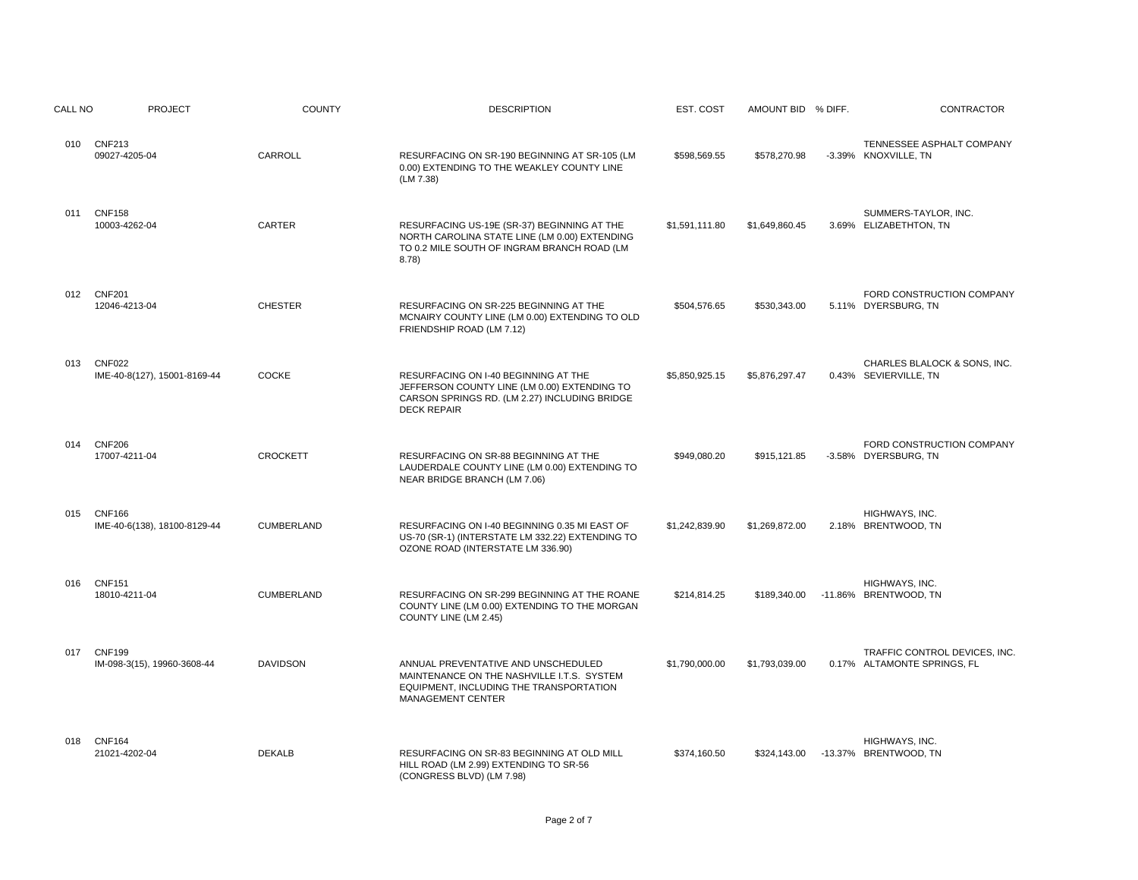| CALL NO | <b>PROJECT</b>                                | <b>COUNTY</b>   | <b>DESCRIPTION</b>                                                                                                                                          | EST. COST      | AMOUNT BID % DIFF. | CONTRACTOR                                                   |
|---------|-----------------------------------------------|-----------------|-------------------------------------------------------------------------------------------------------------------------------------------------------------|----------------|--------------------|--------------------------------------------------------------|
| 010     | <b>CNF213</b><br>09027-4205-04                | CARROLL         | RESURFACING ON SR-190 BEGINNING AT SR-105 (LM<br>0.00) EXTENDING TO THE WEAKLEY COUNTY LINE<br>(LM 7.38)                                                    | \$598,569.55   | \$578,270.98       | TENNESSEE ASPHALT COMPANY<br>-3.39% KNOXVILLE, TN            |
| 011     | <b>CNF158</b><br>10003-4262-04                | <b>CARTER</b>   | RESURFACING US-19E (SR-37) BEGINNING AT THE<br>NORTH CAROLINA STATE LINE (LM 0.00) EXTENDING<br>TO 0.2 MILE SOUTH OF INGRAM BRANCH ROAD (LM<br>8.78)        | \$1,591,111.80 | \$1,649,860.45     | SUMMERS-TAYLOR, INC.<br>3.69% ELIZABETHTON, TN               |
| 012     | <b>CNF201</b><br>12046-4213-04                | <b>CHESTER</b>  | RESURFACING ON SR-225 BEGINNING AT THE<br>MCNAIRY COUNTY LINE (LM 0.00) EXTENDING TO OLD<br>FRIENDSHIP ROAD (LM 7.12)                                       | \$504,576.65   | \$530,343.00       | FORD CONSTRUCTION COMPANY<br>5.11% DYERSBURG, TN             |
| 013     | <b>CNF022</b><br>IME-40-8(127), 15001-8169-44 | <b>COCKE</b>    | RESURFACING ON I-40 BEGINNING AT THE<br>JEFFERSON COUNTY LINE (LM 0.00) EXTENDING TO<br>CARSON SPRINGS RD. (LM 2.27) INCLUDING BRIDGE<br><b>DECK REPAIR</b> | \$5,850,925.15 | \$5,876,297.47     | CHARLES BLALOCK & SONS, INC.<br>0.43% SEVIERVILLE, TN        |
| 014     | <b>CNF206</b><br>17007-4211-04                | <b>CROCKETT</b> | RESURFACING ON SR-88 BEGINNING AT THE<br>LAUDERDALE COUNTY LINE (LM 0.00) EXTENDING TO<br>NEAR BRIDGE BRANCH (LM 7.06)                                      | \$949,080.20   | \$915,121.85       | FORD CONSTRUCTION COMPANY<br>-3.58% DYERSBURG, TN            |
| 015     | <b>CNF166</b><br>IME-40-6(138), 18100-8129-44 | CUMBERLAND      | RESURFACING ON I-40 BEGINNING 0.35 MI EAST OF<br>US-70 (SR-1) (INTERSTATE LM 332.22) EXTENDING TO<br>OZONE ROAD (INTERSTATE LM 336.90)                      | \$1,242,839.90 | \$1,269,872.00     | HIGHWAYS, INC.<br>2.18% BRENTWOOD, TN                        |
| 016     | <b>CNF151</b><br>18010-4211-04                | CUMBERLAND      | RESURFACING ON SR-299 BEGINNING AT THE ROANE<br>COUNTY LINE (LM 0.00) EXTENDING TO THE MORGAN<br>COUNTY LINE (LM 2.45)                                      | \$214,814.25   | \$189,340.00       | HIGHWAYS, INC.<br>-11.86% BRENTWOOD, TN                      |
| 017     | <b>CNF199</b><br>IM-098-3(15), 19960-3608-44  | <b>DAVIDSON</b> | ANNUAL PREVENTATIVE AND UNSCHEDULED<br>MAINTENANCE ON THE NASHVILLE I.T.S. SYSTEM<br>EQUIPMENT, INCLUDING THE TRANSPORTATION<br><b>MANAGEMENT CENTER</b>    | \$1,790,000.00 | \$1,793,039.00     | TRAFFIC CONTROL DEVICES, INC.<br>0.17% ALTAMONTE SPRINGS, FL |
| 018     | <b>CNF164</b><br>21021-4202-04                | <b>DEKALB</b>   | RESURFACING ON SR-83 BEGINNING AT OLD MILL<br>HILL ROAD (LM 2.99) EXTENDING TO SR-56<br>(CONGRESS BLVD) (LM 7.98)                                           | \$374,160.50   | \$324,143.00       | HIGHWAYS, INC.<br>-13.37% BRENTWOOD, TN                      |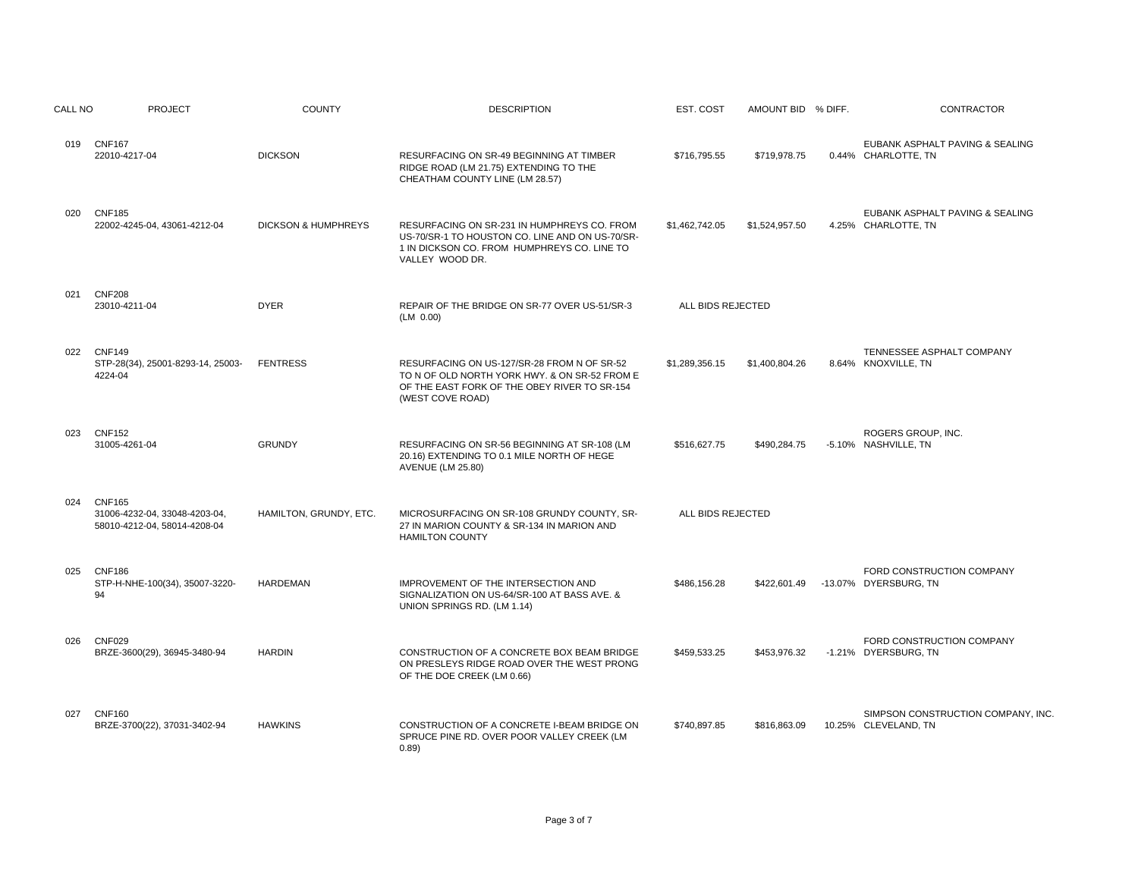| CALL NO | <b>PROJECT</b>                                                                 | <b>COUNTY</b>                  | <b>DESCRIPTION</b>                                                                                                                                               | EST. COST         | AMOUNT BID % DIFF. | CONTRACTOR                                                 |
|---------|--------------------------------------------------------------------------------|--------------------------------|------------------------------------------------------------------------------------------------------------------------------------------------------------------|-------------------|--------------------|------------------------------------------------------------|
| 019     | <b>CNF167</b><br>22010-4217-04                                                 | <b>DICKSON</b>                 | RESURFACING ON SR-49 BEGINNING AT TIMBER<br>RIDGE ROAD (LM 21.75) EXTENDING TO THE<br>CHEATHAM COUNTY LINE (LM 28.57)                                            | \$716.795.55      | \$719.978.75       | EUBANK ASPHALT PAVING & SEALING<br>0.44% CHARLOTTE, TN     |
| 020     | <b>CNF185</b><br>22002-4245-04, 43061-4212-04                                  | <b>DICKSON &amp; HUMPHREYS</b> | RESURFACING ON SR-231 IN HUMPHREYS CO. FROM<br>US-70/SR-1 TO HOUSTON CO. LINE AND ON US-70/SR-<br>1 IN DICKSON CO. FROM HUMPHREYS CO. LINE TO<br>VALLEY WOOD DR. | \$1.462.742.05    | \$1.524.957.50     | EUBANK ASPHALT PAVING & SEALING<br>4.25% CHARLOTTE, TN     |
| 021     | <b>CNF208</b><br>23010-4211-04                                                 | <b>DYER</b>                    | REPAIR OF THE BRIDGE ON SR-77 OVER US-51/SR-3<br>(LM 0.00)                                                                                                       | ALL BIDS REJECTED |                    |                                                            |
| 022     | <b>CNF149</b><br>STP-28(34), 25001-8293-14, 25003-<br>4224-04                  | <b>FENTRESS</b>                | RESURFACING ON US-127/SR-28 FROM N OF SR-52<br>TO N OF OLD NORTH YORK HWY. & ON SR-52 FROM E<br>OF THE EAST FORK OF THE OBEY RIVER TO SR-154<br>(WEST COVE ROAD) | \$1,289,356.15    | \$1,400,804.26     | TENNESSEE ASPHALT COMPANY<br>8.64% KNOXVILLE, TN           |
| 023     | <b>CNF152</b><br>31005-4261-04                                                 | <b>GRUNDY</b>                  | RESURFACING ON SR-56 BEGINNING AT SR-108 (LM<br>20.16) EXTENDING TO 0.1 MILE NORTH OF HEGE<br><b>AVENUE (LM 25.80)</b>                                           | \$516,627.75      | \$490,284.75       | ROGERS GROUP, INC.<br>-5.10% NASHVILLE, TN                 |
| 024     | <b>CNF165</b><br>31006-4232-04, 33048-4203-04,<br>58010-4212-04, 58014-4208-04 | HAMILTON, GRUNDY, ETC.         | MICROSURFACING ON SR-108 GRUNDY COUNTY, SR-<br>27 IN MARION COUNTY & SR-134 IN MARION AND<br><b>HAMILTON COUNTY</b>                                              | ALL BIDS REJECTED |                    |                                                            |
| 025     | <b>CNF186</b><br>STP-H-NHE-100(34), 35007-3220-<br>94                          | <b>HARDEMAN</b>                | IMPROVEMENT OF THE INTERSECTION AND<br>SIGNALIZATION ON US-64/SR-100 AT BASS AVE. &<br>UNION SPRINGS RD. (LM 1.14)                                               | \$486,156.28      | \$422,601.49       | FORD CONSTRUCTION COMPANY<br>-13.07% DYERSBURG, TN         |
| 026     | <b>CNF029</b><br>BRZE-3600(29), 36945-3480-94                                  | <b>HARDIN</b>                  | CONSTRUCTION OF A CONCRETE BOX BEAM BRIDGE<br>ON PRESLEYS RIDGE ROAD OVER THE WEST PRONG<br>OF THE DOE CREEK (LM 0.66)                                           | \$459,533.25      | \$453,976.32       | FORD CONSTRUCTION COMPANY<br>-1.21% DYERSBURG, TN          |
| 027     | <b>CNF160</b><br>BRZE-3700(22), 37031-3402-94                                  | <b>HAWKINS</b>                 | CONSTRUCTION OF A CONCRETE I-BEAM BRIDGE ON<br>SPRUCE PINE RD. OVER POOR VALLEY CREEK (LM<br>0.89                                                                | \$740,897.85      | \$816,863.09       | SIMPSON CONSTRUCTION COMPANY, INC.<br>10.25% CLEVELAND, TN |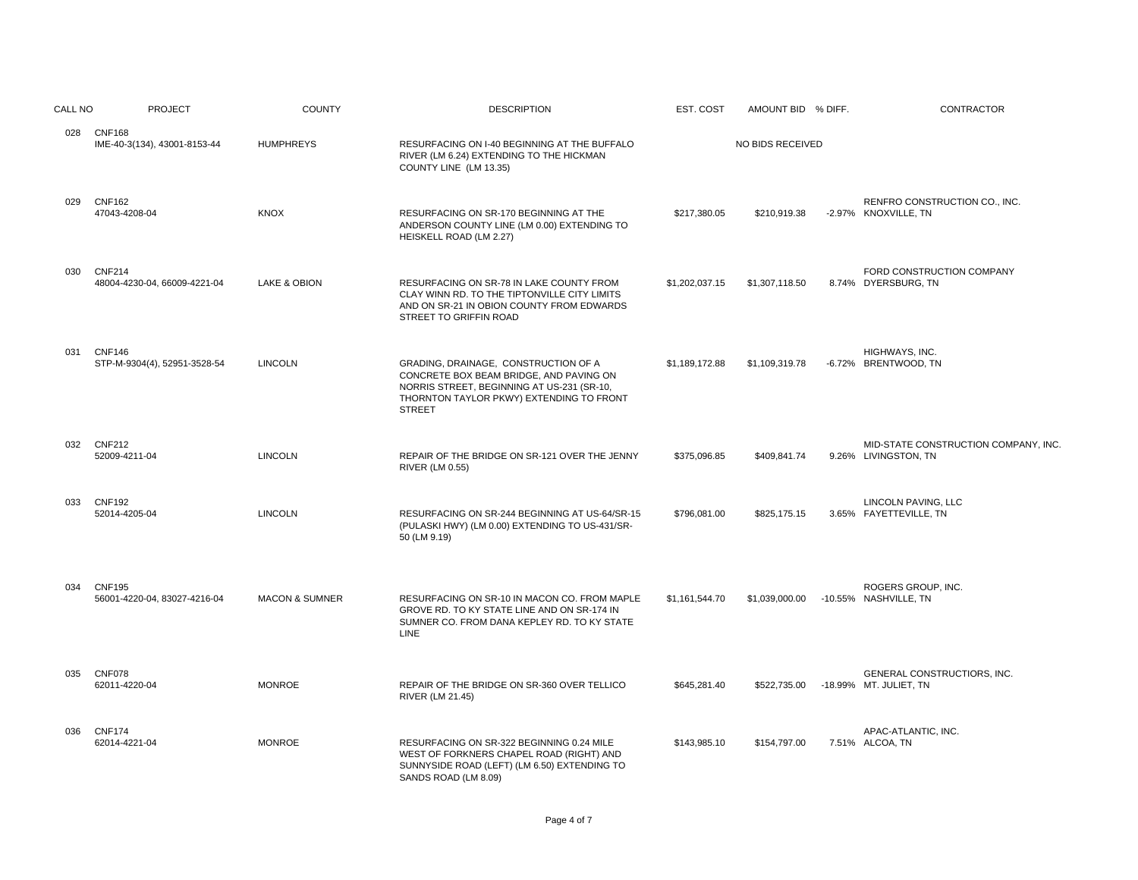| CALL NO | <b>PROJECT</b>                                | <b>COUNTY</b>             | <b>DESCRIPTION</b>                                                                                                                                                                         | EST. COST      | AMOUNT BID % DIFF. | CONTRACTOR                                                  |
|---------|-----------------------------------------------|---------------------------|--------------------------------------------------------------------------------------------------------------------------------------------------------------------------------------------|----------------|--------------------|-------------------------------------------------------------|
|         | 028 CNF168<br>IME-40-3(134), 43001-8153-44    | <b>HUMPHREYS</b>          | RESURFACING ON I-40 BEGINNING AT THE BUFFALO<br>RIVER (LM 6.24) EXTENDING TO THE HICKMAN<br>COUNTY LINE (LM 13.35)                                                                         |                | NO BIDS RECEIVED   |                                                             |
| 029     | <b>CNF162</b><br>47043-4208-04                | <b>KNOX</b>               | RESURFACING ON SR-170 BEGINNING AT THE<br>ANDERSON COUNTY LINE (LM 0.00) EXTENDING TO<br>HEISKELL ROAD (LM 2.27)                                                                           | \$217,380.05   | \$210,919.38       | RENFRO CONSTRUCTION CO., INC.<br>-2.97% KNOXVILLE, TN       |
| 030     | <b>CNF214</b><br>48004-4230-04, 66009-4221-04 | LAKE & OBION              | RESURFACING ON SR-78 IN LAKE COUNTY FROM<br>CLAY WINN RD. TO THE TIPTONVILLE CITY LIMITS<br>AND ON SR-21 IN OBION COUNTY FROM EDWARDS<br>STREET TO GRIFFIN ROAD                            | \$1,202,037.15 | \$1,307,118.50     | FORD CONSTRUCTION COMPANY<br>8.74% DYERSBURG, TN            |
| 031     | <b>CNF146</b><br>STP-M-9304(4), 52951-3528-54 | <b>LINCOLN</b>            | GRADING, DRAINAGE, CONSTRUCTION OF A<br>CONCRETE BOX BEAM BRIDGE, AND PAVING ON<br>NORRIS STREET, BEGINNING AT US-231 (SR-10,<br>THORNTON TAYLOR PKWY) EXTENDING TO FRONT<br><b>STREET</b> | \$1,189,172.88 | \$1,109,319.78     | HIGHWAYS, INC.<br>-6.72% BRENTWOOD, TN                      |
| 032     | <b>CNF212</b><br>52009-4211-04                | <b>LINCOLN</b>            | REPAIR OF THE BRIDGE ON SR-121 OVER THE JENNY<br>RIVER (LM 0.55)                                                                                                                           | \$375,096.85   | \$409,841.74       | MID-STATE CONSTRUCTION COMPANY, INC<br>9.26% LIVINGSTON, TN |
| 033     | <b>CNF192</b><br>52014-4205-04                | <b>LINCOLN</b>            | RESURFACING ON SR-244 BEGINNING AT US-64/SR-15<br>(PULASKI HWY) (LM 0.00) EXTENDING TO US-431/SR-<br>50 (LM 9.19)                                                                          | \$796,081.00   | \$825,175.15       | LINCOLN PAVING, LLC<br>3.65% FAYETTEVILLE, TN               |
| 034     | <b>CNF195</b><br>56001-4220-04, 83027-4216-04 | <b>MACON &amp; SUMNER</b> | RESURFACING ON SR-10 IN MACON CO. FROM MAPLE<br>GROVE RD. TO KY STATE LINE AND ON SR-174 IN<br>SUMNER CO. FROM DANA KEPLEY RD. TO KY STATE<br>LINE                                         | \$1,161,544.70 | \$1,039,000.00     | ROGERS GROUP, INC.<br>-10.55% NASHVILLE, TN                 |
| 035     | <b>CNF078</b><br>62011-4220-04                | <b>MONROE</b>             | REPAIR OF THE BRIDGE ON SR-360 OVER TELLICO<br>RIVER (LM 21.45)                                                                                                                            | \$645,281.40   | \$522,735.00       | GENERAL CONSTRUCTIORS, INC.<br>-18.99% MT. JULIET, TN       |
| 036     | <b>CNF174</b><br>62014-4221-04                | <b>MONROE</b>             | RESURFACING ON SR-322 BEGINNING 0.24 MILE<br>WEST OF FORKNERS CHAPEL ROAD (RIGHT) AND<br>SUNNYSIDE ROAD (LEFT) (LM 6.50) EXTENDING TO<br>SANDS ROAD (LM 8.09)                              | \$143,985.10   | \$154,797.00       | APAC-ATLANTIC, INC.<br>7.51% ALCOA, TN                      |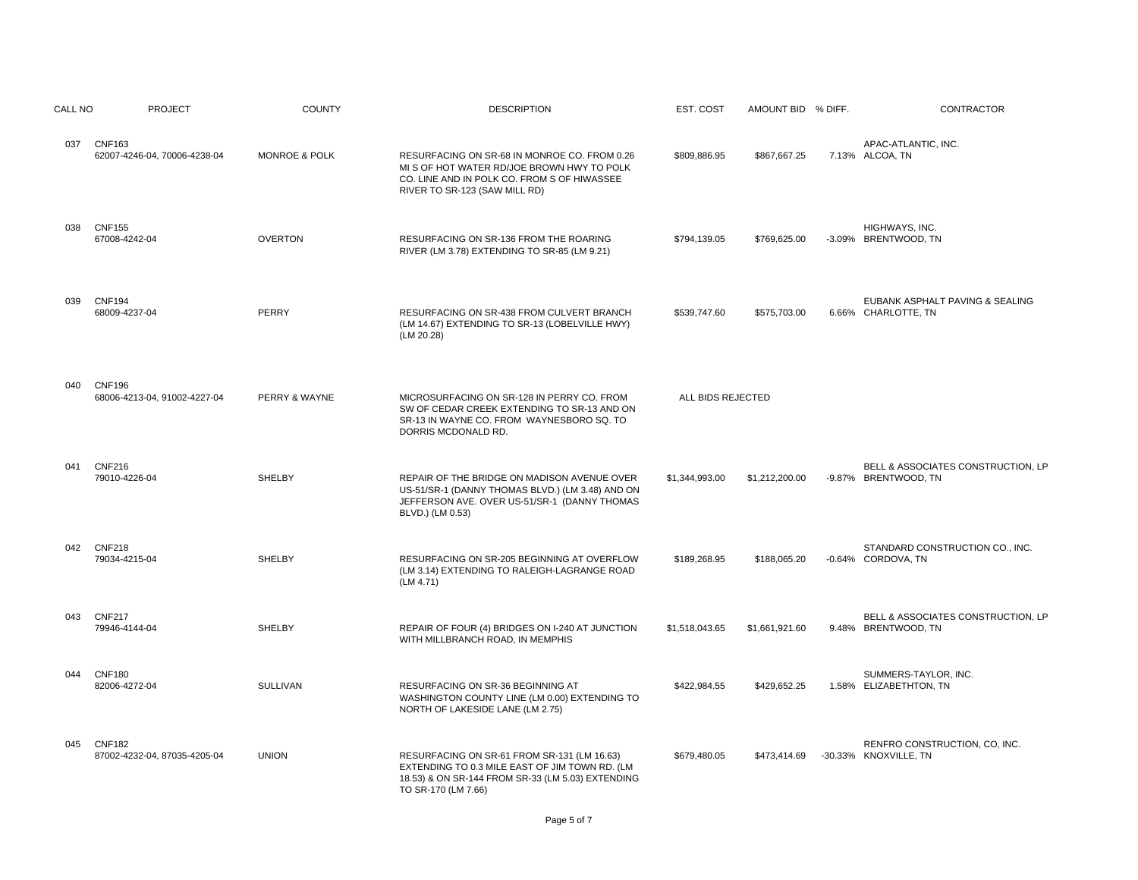| CALL NO | <b>PROJECT</b>                                | <b>COUNTY</b>            | <b>DESCRIPTION</b>                                                                                                                                                         | EST. COST         | AMOUNT BID % DIFF. | CONTRACTOR                                                 |
|---------|-----------------------------------------------|--------------------------|----------------------------------------------------------------------------------------------------------------------------------------------------------------------------|-------------------|--------------------|------------------------------------------------------------|
| 037     | <b>CNF163</b><br>62007-4246-04, 70006-4238-04 | <b>MONROE &amp; POLK</b> | RESURFACING ON SR-68 IN MONROE CO. FROM 0.26<br>MI S OF HOT WATER RD/JOE BROWN HWY TO POLK<br>CO. LINE AND IN POLK CO. FROM S OF HIWASSEE<br>RIVER TO SR-123 (SAW MILL RD) | \$809,886.95      | \$867,667.25       | APAC-ATLANTIC, INC.<br>7.13% ALCOA, TN                     |
| 038     | <b>CNF155</b><br>67008-4242-04                | <b>OVERTON</b>           | RESURFACING ON SR-136 FROM THE ROARING<br>RIVER (LM 3.78) EXTENDING TO SR-85 (LM 9.21)                                                                                     | \$794,139.05      | \$769,625.00       | HIGHWAYS, INC.<br>-3.09% BRENTWOOD, TN                     |
| 039     | <b>CNF194</b><br>68009-4237-04                | PERRY                    | RESURFACING ON SR-438 FROM CULVERT BRANCH<br>(LM 14.67) EXTENDING TO SR-13 (LOBELVILLE HWY)<br>(LM 20.28)                                                                  | \$539,747.60      | \$575,703.00       | EUBANK ASPHALT PAVING & SEALING<br>6.66% CHARLOTTE, TN     |
| 040     | <b>CNF196</b><br>68006-4213-04, 91002-4227-04 | PERRY & WAYNE            | MICROSURFACING ON SR-128 IN PERRY CO. FROM<br>SW OF CEDAR CREEK EXTENDING TO SR-13 AND ON<br>SR-13 IN WAYNE CO. FROM WAYNESBORO SQ. TO<br>DORRIS MCDONALD RD.              | ALL BIDS REJECTED |                    |                                                            |
| 041     | <b>CNF216</b><br>79010-4226-04                | <b>SHELBY</b>            | REPAIR OF THE BRIDGE ON MADISON AVENUE OVER<br>US-51/SR-1 (DANNY THOMAS BLVD.) (LM 3.48) AND ON<br>JEFFERSON AVE. OVER US-51/SR-1 (DANNY THOMAS<br>BLVD.) (LM 0.53)        | \$1,344,993.00    | \$1,212,200.00     | BELL & ASSOCIATES CONSTRUCTION, LP<br>-9.87% BRENTWOOD, TN |
| 042     | <b>CNF218</b><br>79034-4215-04                | <b>SHELBY</b>            | RESURFACING ON SR-205 BEGINNING AT OVERFLOW<br>(LM 3.14) EXTENDING TO RALEIGH-LAGRANGE ROAD<br>(LM 4.71)                                                                   | \$189,268.95      | \$188,065.20       | STANDARD CONSTRUCTION CO., INC.<br>-0.64% CORDOVA, TN      |
| 043     | <b>CNF217</b><br>79946-4144-04                | <b>SHELBY</b>            | REPAIR OF FOUR (4) BRIDGES ON I-240 AT JUNCTION<br>WITH MILLBRANCH ROAD, IN MEMPHIS                                                                                        | \$1,518,043.65    | \$1,661,921.60     | BELL & ASSOCIATES CONSTRUCTION, LP<br>9.48% BRENTWOOD, TN  |
| 044     | <b>CNF180</b><br>82006-4272-04                | SULLIVAN                 | RESURFACING ON SR-36 BEGINNING AT<br>WASHINGTON COUNTY LINE (LM 0.00) EXTENDING TO<br>NORTH OF LAKESIDE LANE (LM 2.75)                                                     | \$422,984.55      | \$429,652.25       | SUMMERS-TAYLOR, INC.<br>1.58% ELIZABETHTON, TN             |
| 045     | <b>CNF182</b><br>87002-4232-04, 87035-4205-04 | <b>UNION</b>             | RESURFACING ON SR-61 FROM SR-131 (LM 16.63)<br>EXTENDING TO 0.3 MILE EAST OF JIM TOWN RD. (LM<br>18.53) & ON SR-144 FROM SR-33 (LM 5.03) EXTENDING<br>TO SR-170 (LM 7.66)  | \$679,480.05      | \$473,414.69       | RENFRO CONSTRUCTION, CO, INC.<br>-30.33% KNOXVILLE, TN     |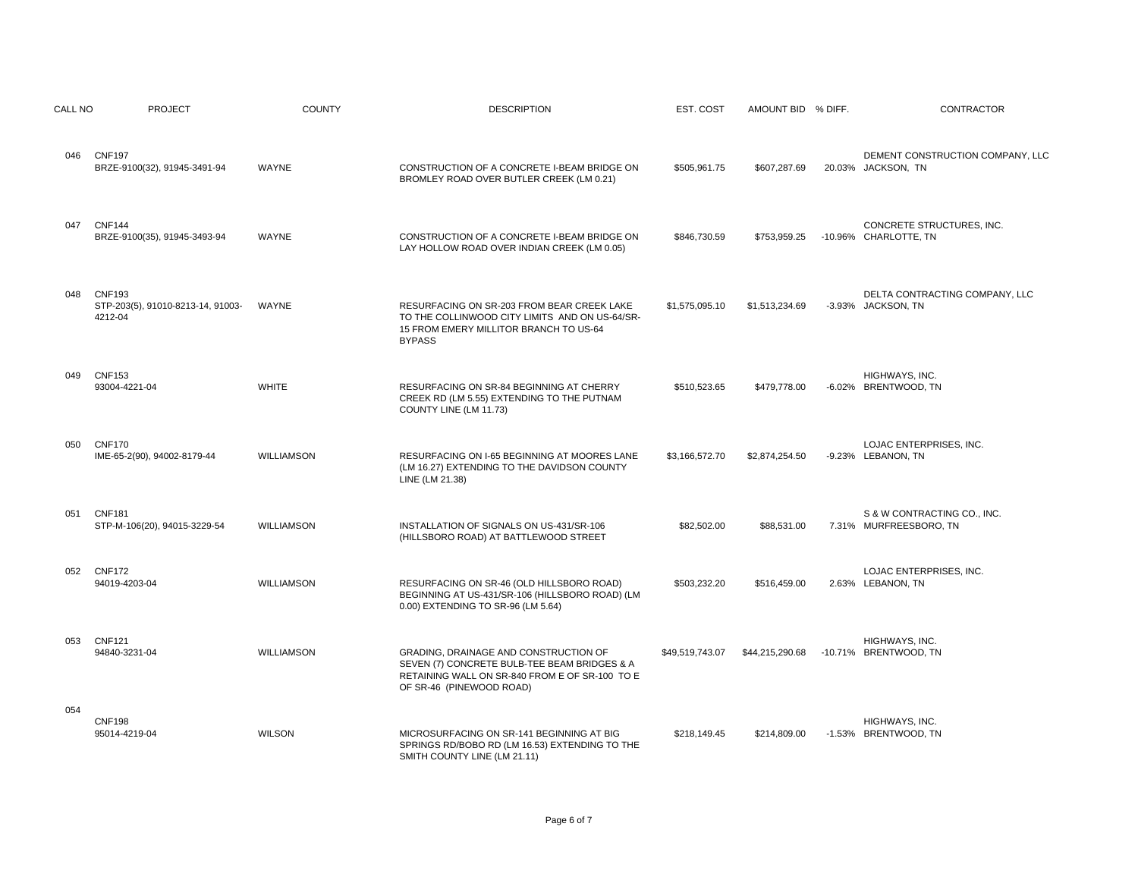| CALL NO | <b>PROJECT</b>                                                | <b>COUNTY</b>     | <b>DESCRIPTION</b>                                                                                                                                                  | EST. COST       | AMOUNT BID % DIFF. | <b>CONTRACTOR</b>                                      |
|---------|---------------------------------------------------------------|-------------------|---------------------------------------------------------------------------------------------------------------------------------------------------------------------|-----------------|--------------------|--------------------------------------------------------|
| 046     | <b>CNF197</b><br>BRZE-9100(32), 91945-3491-94                 | WAYNE             | CONSTRUCTION OF A CONCRETE I-BEAM BRIDGE ON<br>BROMLEY ROAD OVER BUTLER CREEK (LM 0.21)                                                                             | \$505,961.75    | \$607,287.69       | DEMENT CONSTRUCTION COMPANY, LLC<br>20.03% JACKSON, TN |
| 047     | <b>CNF144</b><br>BRZE-9100(35), 91945-3493-94                 | WAYNE             | CONSTRUCTION OF A CONCRETE I-BEAM BRIDGE ON<br>LAY HOLLOW ROAD OVER INDIAN CREEK (LM 0.05)                                                                          | \$846,730.59    | \$753,959.25       | CONCRETE STRUCTURES, INC.<br>-10.96% CHARLOTTE, TN     |
| 048     | <b>CNF193</b><br>STP-203(5), 91010-8213-14, 91003-<br>4212-04 | <b>WAYNE</b>      | RESURFACING ON SR-203 FROM BEAR CREEK LAKE<br>TO THE COLLINWOOD CITY LIMITS AND ON US-64/SR-<br>15 FROM EMERY MILLITOR BRANCH TO US-64<br><b>BYPASS</b>             | \$1,575,095.10  | \$1,513,234.69     | DELTA CONTRACTING COMPANY, LLC<br>-3.93% JACKSON, TN   |
| 049     | <b>CNF153</b><br>93004-4221-04                                | <b>WHITE</b>      | RESURFACING ON SR-84 BEGINNING AT CHERRY<br>CREEK RD (LM 5.55) EXTENDING TO THE PUTNAM<br>COUNTY LINE (LM 11.73)                                                    | \$510.523.65    | \$479,778.00       | HIGHWAYS, INC.<br>-6.02% BRENTWOOD, TN                 |
| 050     | <b>CNF170</b><br>IME-65-2(90), 94002-8179-44                  | <b>WILLIAMSON</b> | RESURFACING ON I-65 BEGINNING AT MOORES LANE<br>(LM 16.27) EXTENDING TO THE DAVIDSON COUNTY<br>LINE (LM 21.38)                                                      | \$3,166,572.70  | \$2,874,254.50     | LOJAC ENTERPRISES, INC.<br>-9.23% LEBANON, TN          |
| 051     | <b>CNF181</b><br>STP-M-106(20), 94015-3229-54                 | <b>WILLIAMSON</b> | INSTALLATION OF SIGNALS ON US-431/SR-106<br>(HILLSBORO ROAD) AT BATTLEWOOD STREET                                                                                   | \$82,502.00     | \$88,531.00        | S & W CONTRACTING CO., INC.<br>7.31% MURFREESBORO, TN  |
| 052     | <b>CNF172</b><br>94019-4203-04                                | <b>WILLIAMSON</b> | RESURFACING ON SR-46 (OLD HILLSBORO ROAD)<br>BEGINNING AT US-431/SR-106 (HILLSBORO ROAD) (LM<br>0.00) EXTENDING TO SR-96 (LM 5.64)                                  | \$503,232.20    | \$516,459.00       | LOJAC ENTERPRISES, INC.<br>2.63% LEBANON, TN           |
| 053     | <b>CNF121</b><br>94840-3231-04                                | <b>WILLIAMSON</b> | GRADING, DRAINAGE AND CONSTRUCTION OF<br>SEVEN (7) CONCRETE BULB-TEE BEAM BRIDGES & A<br>RETAINING WALL ON SR-840 FROM E OF SR-100 TO E<br>OF SR-46 (PINEWOOD ROAD) | \$49.519.743.07 | \$44,215,290.68    | HIGHWAYS, INC.<br>-10.71% BRENTWOOD, TN                |
| 054     | <b>CNF198</b><br>95014-4219-04                                | <b>WILSON</b>     | MICROSURFACING ON SR-141 BEGINNING AT BIG<br>SPRINGS RD/BOBO RD (LM 16.53) EXTENDING TO THE<br>SMITH COUNTY LINE (LM 21.11)                                         | \$218,149.45    | \$214,809.00       | HIGHWAYS, INC.<br>-1.53% BRENTWOOD, TN                 |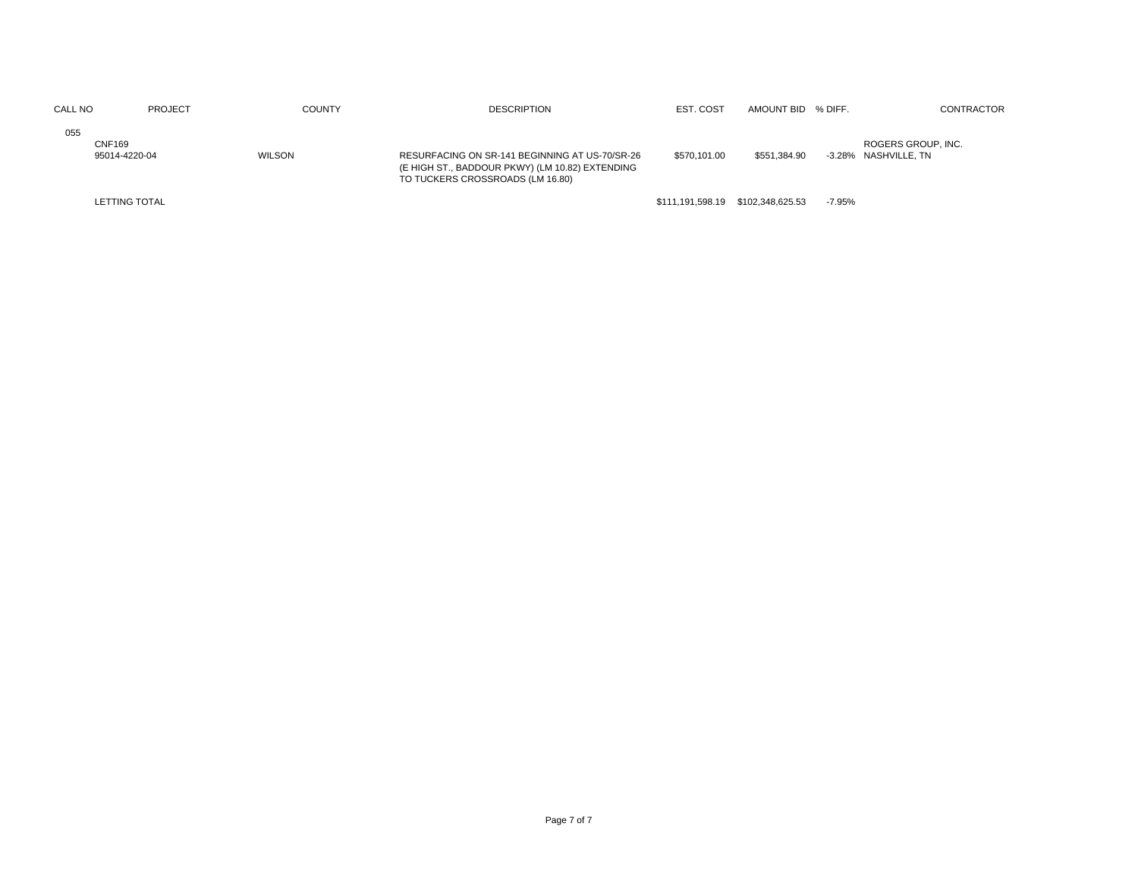| CALL NO | <b>PROJECT</b>                 | <b>COUNTY</b> | <b>DESCRIPTION</b>                                                                                                                    | EST. COST    | AMOUNT BID % DIFF. |        | <b>CONTRACTOR</b>                          |
|---------|--------------------------------|---------------|---------------------------------------------------------------------------------------------------------------------------------------|--------------|--------------------|--------|--------------------------------------------|
| 055     | <b>CNF169</b><br>95014-4220-04 | <b>WILSON</b> | RESURFACING ON SR-141 BEGINNING AT US-70/SR-26<br>(E HIGH ST., BADDOUR PKWY) (LM 10.82) EXTENDING<br>TO TUCKERS CROSSROADS (LM 16.80) | \$570.101.00 | \$551.384.90       |        | ROGERS GROUP, INC.<br>-3.28% NASHVILLE, TN |
|         | <b>LETTING TOTAL</b>           |               |                                                                                                                                       |              |                    | -7.95% |                                            |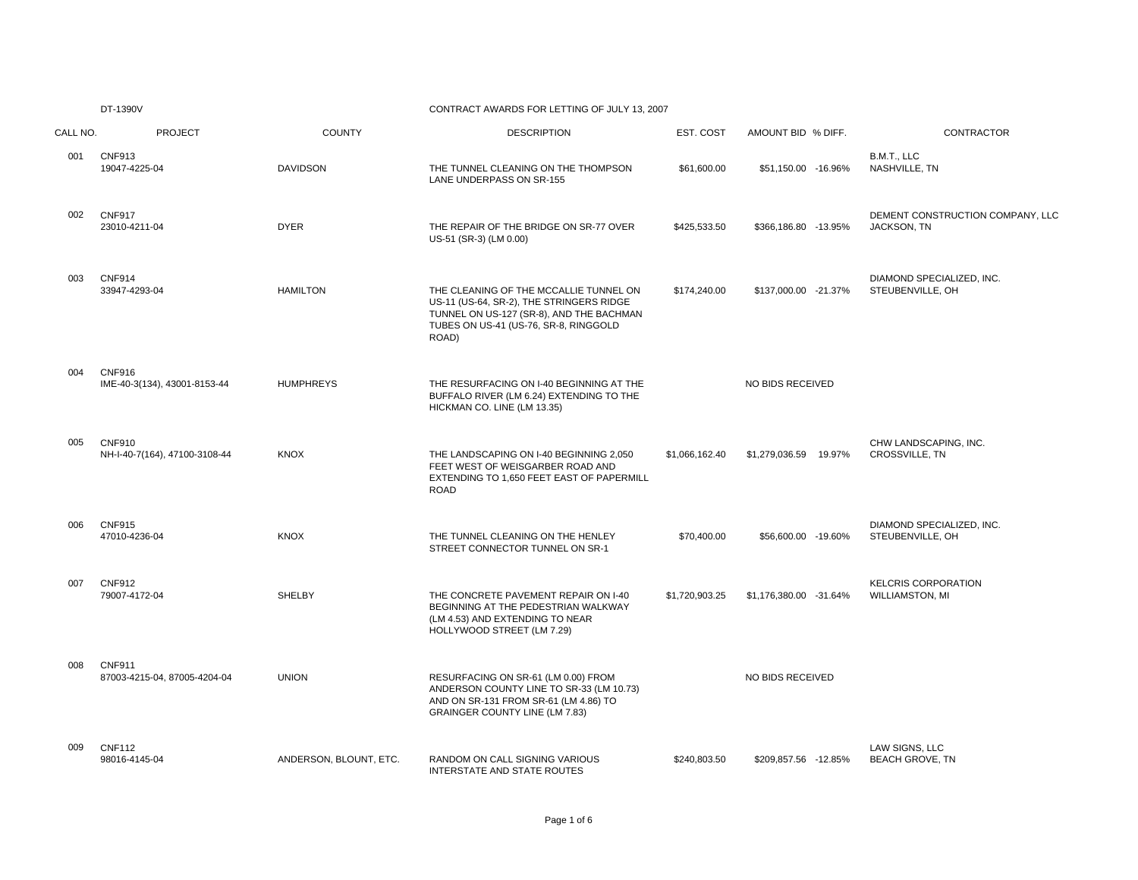## DT-1390V CONTRACT AWARDS FOR LETTING OF JULY 13, 2007

| CALL NO. | <b>PROJECT</b>                                 | <b>COUNTY</b>          | <b>DESCRIPTION</b>                                                                                                                                                               | EST. COST      | AMOUNT BID % DIFF.     | CONTRACTOR                                           |
|----------|------------------------------------------------|------------------------|----------------------------------------------------------------------------------------------------------------------------------------------------------------------------------|----------------|------------------------|------------------------------------------------------|
| 001      | <b>CNF913</b><br>19047-4225-04                 | <b>DAVIDSON</b>        | THE TUNNEL CLEANING ON THE THOMPSON<br>LANE UNDERPASS ON SR-155                                                                                                                  | \$61,600.00    | \$51,150.00 -16.96%    | B.M.T., LLC<br>NASHVILLE, TN                         |
| 002      | <b>CNF917</b><br>23010-4211-04                 | <b>DYER</b>            | THE REPAIR OF THE BRIDGE ON SR-77 OVER<br>US-51 (SR-3) (LM 0.00)                                                                                                                 | \$425,533.50   | \$366,186.80 -13.95%   | DEMENT CONSTRUCTION COMPANY, LLC<br>JACKSON, TN      |
| 003      | <b>CNF914</b><br>33947-4293-04                 | <b>HAMILTON</b>        | THE CLEANING OF THE MCCALLIE TUNNEL ON<br>US-11 (US-64, SR-2), THE STRINGERS RIDGE<br>TUNNEL ON US-127 (SR-8), AND THE BACHMAN<br>TUBES ON US-41 (US-76, SR-8, RINGGOLD<br>ROAD) | \$174,240.00   | \$137,000.00 -21.37%   | DIAMOND SPECIALIZED, INC.<br>STEUBENVILLE, OH        |
| 004      | <b>CNF916</b><br>IME-40-3(134), 43001-8153-44  | <b>HUMPHREYS</b>       | THE RESURFACING ON I-40 BEGINNING AT THE<br>BUFFALO RIVER (LM 6.24) EXTENDING TO THE<br>HICKMAN CO. LINE (LM 13.35)                                                              |                | NO BIDS RECEIVED       |                                                      |
| 005      | <b>CNF910</b><br>NH-I-40-7(164), 47100-3108-44 | <b>KNOX</b>            | THE LANDSCAPING ON I-40 BEGINNING 2,050<br>FEET WEST OF WEISGARBER ROAD AND<br>EXTENDING TO 1,650 FEET EAST OF PAPERMILL<br><b>ROAD</b>                                          | \$1,066,162.40 | \$1,279,036.59 19.97%  | CHW LANDSCAPING, INC.<br>CROSSVILLE, TN              |
| 006      | <b>CNF915</b><br>47010-4236-04                 | <b>KNOX</b>            | THE TUNNEL CLEANING ON THE HENLEY<br>STREET CONNECTOR TUNNEL ON SR-1                                                                                                             | \$70,400.00    | \$56,600.00 -19.60%    | DIAMOND SPECIALIZED, INC.<br>STEUBENVILLE, OH        |
| 007      | <b>CNF912</b><br>79007-4172-04                 | <b>SHELBY</b>          | THE CONCRETE PAVEMENT REPAIR ON I-40<br>BEGINNING AT THE PEDESTRIAN WALKWAY<br>(LM 4.53) AND EXTENDING TO NEAR<br>HOLLYWOOD STREET (LM 7.29)                                     | \$1,720,903.25 | \$1,176,380.00 -31.64% | <b>KELCRIS CORPORATION</b><br><b>WILLIAMSTON, MI</b> |
| 008      | <b>CNF911</b><br>87003-4215-04, 87005-4204-04  | <b>UNION</b>           | RESURFACING ON SR-61 (LM 0.00) FROM<br>ANDERSON COUNTY LINE TO SR-33 (LM 10.73)<br>AND ON SR-131 FROM SR-61 (LM 4.86) TO<br><b>GRAINGER COUNTY LINE (LM 7.83)</b>                |                | NO BIDS RECEIVED       |                                                      |
| 009      | <b>CNF112</b><br>98016-4145-04                 | ANDERSON, BLOUNT, ETC. | RANDOM ON CALL SIGNING VARIOUS<br><b>INTERSTATE AND STATE ROUTES</b>                                                                                                             | \$240,803.50   | \$209,857.56 -12.85%   | LAW SIGNS, LLC<br><b>BEACH GROVE, TN</b>             |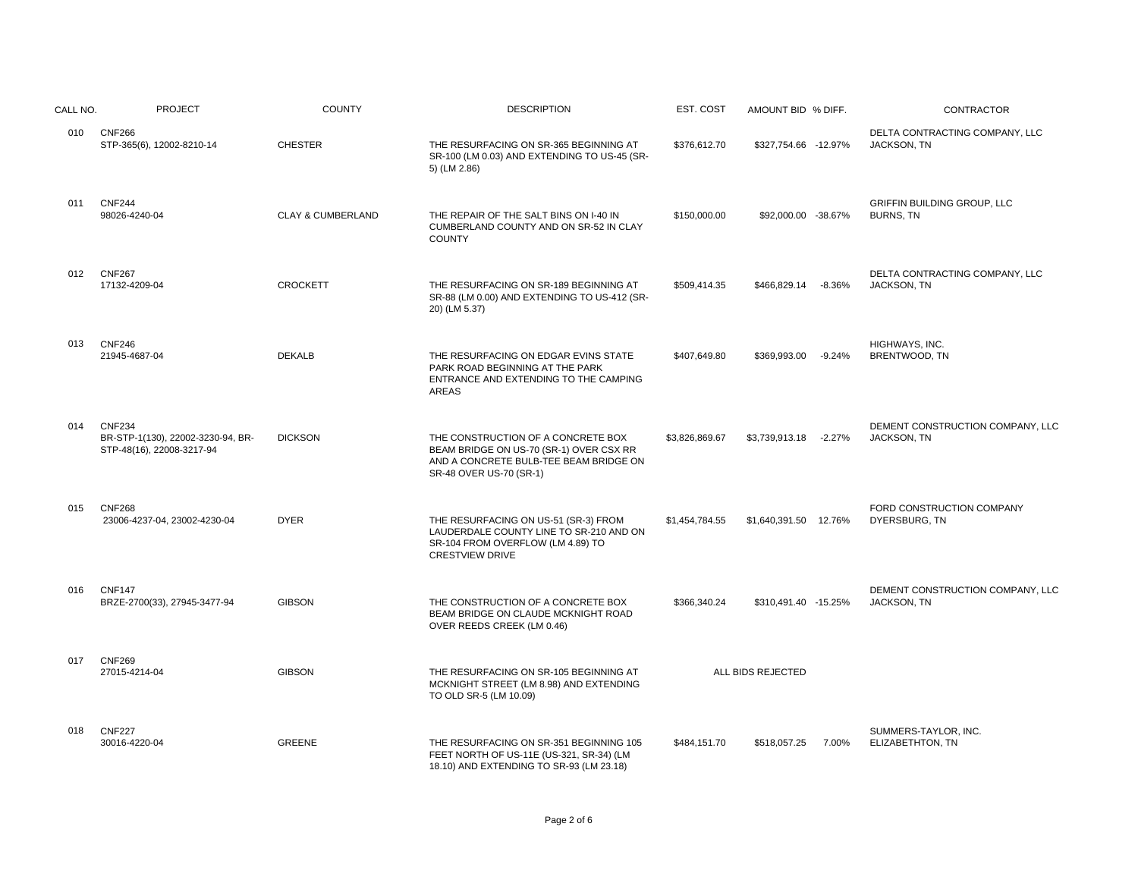| CALL NO. | <b>PROJECT</b>                                                                  | <b>COUNTY</b>                | <b>DESCRIPTION</b>                                                                                                                                 | EST. COST      | AMOUNT BID % DIFF.       | <b>CONTRACTOR</b>                               |
|----------|---------------------------------------------------------------------------------|------------------------------|----------------------------------------------------------------------------------------------------------------------------------------------------|----------------|--------------------------|-------------------------------------------------|
| 010      | <b>CNF266</b><br>STP-365(6), 12002-8210-14                                      | <b>CHESTER</b>               | THE RESURFACING ON SR-365 BEGINNING AT<br>SR-100 (LM 0.03) AND EXTENDING TO US-45 (SR-<br>5) (LM 2.86)                                             | \$376,612.70   | \$327,754.66 -12.97%     | DELTA CONTRACTING COMPANY, LLC<br>JACKSON, TN   |
| 011      | <b>CNF244</b><br>98026-4240-04                                                  | <b>CLAY &amp; CUMBERLAND</b> | THE REPAIR OF THE SALT BINS ON I-40 IN<br>CUMBERLAND COUNTY AND ON SR-52 IN CLAY<br><b>COUNTY</b>                                                  | \$150,000.00   | \$92,000.00 -38.67%      | GRIFFIN BUILDING GROUP, LLC<br><b>BURNS, TN</b> |
| 012      | <b>CNF267</b><br>17132-4209-04                                                  | <b>CROCKETT</b>              | THE RESURFACING ON SR-189 BEGINNING AT<br>SR-88 (LM 0.00) AND EXTENDING TO US-412 (SR-<br>20) (LM 5.37)                                            | \$509,414.35   | \$466.829.14<br>$-8.36%$ | DELTA CONTRACTING COMPANY, LLC<br>JACKSON, TN   |
| 013      | <b>CNF246</b><br>21945-4687-04                                                  | <b>DEKALB</b>                | THE RESURFACING ON EDGAR EVINS STATE<br>PARK ROAD BEGINNING AT THE PARK<br>ENTRANCE AND EXTENDING TO THE CAMPING<br><b>AREAS</b>                   | \$407,649.80   | \$369,993.00<br>$-9.24%$ | HIGHWAYS, INC.<br>BRENTWOOD, TN                 |
| 014      | <b>CNF234</b><br>BR-STP-1(130), 22002-3230-94, BR-<br>STP-48(16), 22008-3217-94 | <b>DICKSON</b>               | THE CONSTRUCTION OF A CONCRETE BOX<br>BEAM BRIDGE ON US-70 (SR-1) OVER CSX RR<br>AND A CONCRETE BULB-TEE BEAM BRIDGE ON<br>SR-48 OVER US-70 (SR-1) | \$3,826,869.67 | \$3,739,913.18 -2.27%    | DEMENT CONSTRUCTION COMPANY, LLC<br>JACKSON, TN |
| 015      | <b>CNF268</b><br>23006-4237-04, 23002-4230-04                                   | <b>DYER</b>                  | THE RESURFACING ON US-51 (SR-3) FROM<br>LAUDERDALE COUNTY LINE TO SR-210 AND ON<br>SR-104 FROM OVERFLOW (LM 4.89) TO<br><b>CRESTVIEW DRIVE</b>     | \$1,454,784.55 | \$1,640,391.50 12.76%    | FORD CONSTRUCTION COMPANY<br>DYERSBURG, TN      |
| 016      | <b>CNF147</b><br>BRZE-2700(33), 27945-3477-94                                   | <b>GIBSON</b>                | THE CONSTRUCTION OF A CONCRETE BOX<br>BEAM BRIDGE ON CLAUDE MCKNIGHT ROAD<br>OVER REEDS CREEK (LM 0.46)                                            | \$366.340.24   | \$310.491.40 -15.25%     | DEMENT CONSTRUCTION COMPANY, LLC<br>JACKSON, TN |
| 017      | <b>CNF269</b><br>27015-4214-04                                                  | <b>GIBSON</b>                | THE RESURFACING ON SR-105 BEGINNING AT<br>MCKNIGHT STREET (LM 8.98) AND EXTENDING<br>TO OLD SR-5 (LM 10.09)                                        |                | ALL BIDS REJECTED        |                                                 |
| 018      | <b>CNF227</b><br>30016-4220-04                                                  | GREENE                       | THE RESURFACING ON SR-351 BEGINNING 105<br>FEET NORTH OF US-11E (US-321, SR-34) (LM<br>18.10) AND EXTENDING TO SR-93 (LM 23.18)                    | \$484,151.70   | 7.00%<br>\$518,057.25    | SUMMERS-TAYLOR, INC.<br>ELIZABETHTON, TN        |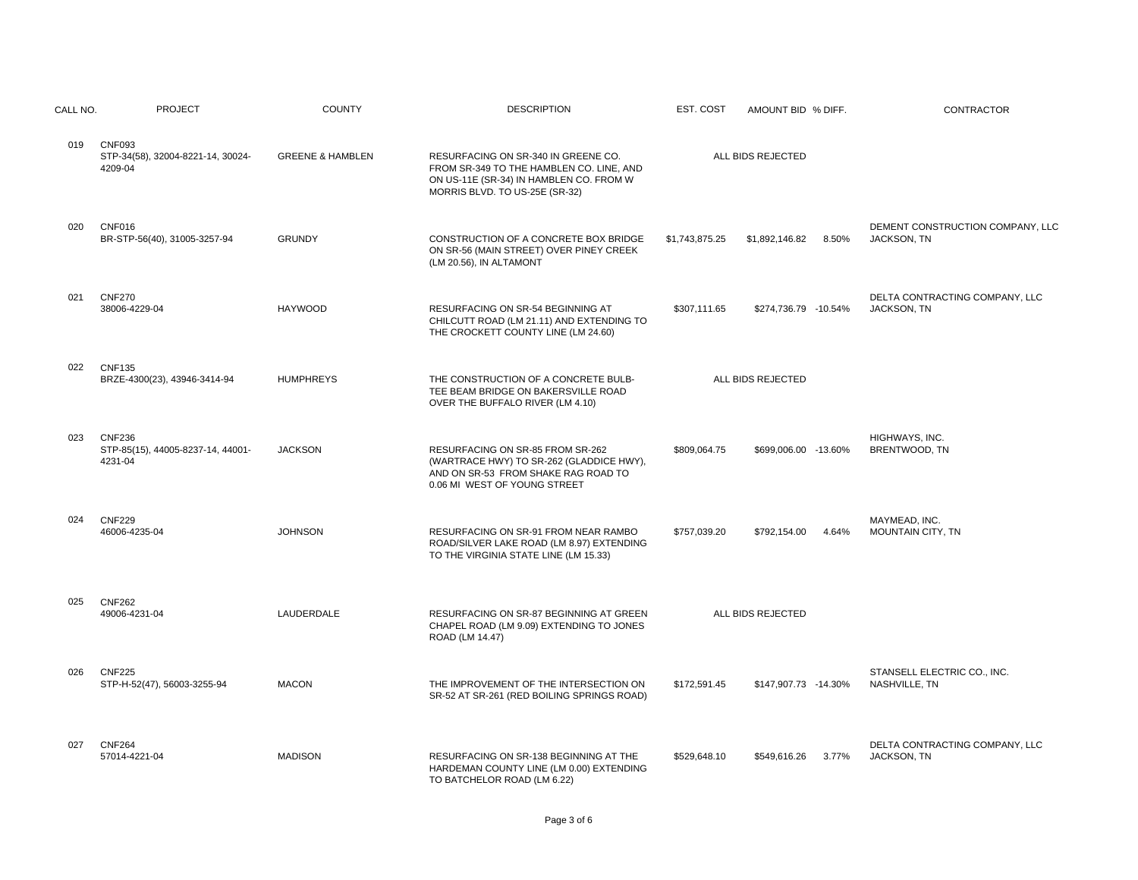| CALL NO. | <b>PROJECT</b>                                                | <b>COUNTY</b>               | <b>DESCRIPTION</b>                                                                                                                                           | EST. COST      | AMOUNT BID % DIFF.      | CONTRACTOR                                             |
|----------|---------------------------------------------------------------|-----------------------------|--------------------------------------------------------------------------------------------------------------------------------------------------------------|----------------|-------------------------|--------------------------------------------------------|
| 019      | <b>CNF093</b><br>STP-34(58), 32004-8221-14, 30024-<br>4209-04 | <b>GREENE &amp; HAMBLEN</b> | RESURFACING ON SR-340 IN GREENE CO.<br>FROM SR-349 TO THE HAMBLEN CO. LINE, AND<br>ON US-11E (SR-34) IN HAMBLEN CO. FROM W<br>MORRIS BLVD. TO US-25E (SR-32) |                | ALL BIDS REJECTED       |                                                        |
| 020      | <b>CNF016</b><br>BR-STP-56(40), 31005-3257-94                 | <b>GRUNDY</b>               | CONSTRUCTION OF A CONCRETE BOX BRIDGE<br>ON SR-56 (MAIN STREET) OVER PINEY CREEK<br>(LM 20.56), IN ALTAMONT                                                  | \$1,743,875.25 | 8.50%<br>\$1,892,146.82 | DEMENT CONSTRUCTION COMPANY, LLC<br><b>JACKSON, TN</b> |
| 021      | <b>CNF270</b><br>38006-4229-04                                | <b>HAYWOOD</b>              | <b>RESURFACING ON SR-54 BEGINNING AT</b><br>CHILCUTT ROAD (LM 21.11) AND EXTENDING TO<br>THE CROCKETT COUNTY LINE (LM 24.60)                                 | \$307.111.65   | \$274.736.79 -10.54%    | DELTA CONTRACTING COMPANY, LLC<br>JACKSON, TN          |
| 022      | <b>CNF135</b><br>BRZE-4300(23), 43946-3414-94                 | <b>HUMPHREYS</b>            | THE CONSTRUCTION OF A CONCRETE BULB-<br>TEE BEAM BRIDGE ON BAKERSVILLE ROAD<br>OVER THE BUFFALO RIVER (LM 4.10)                                              |                | ALL BIDS REJECTED       |                                                        |
| 023      | <b>CNF236</b><br>STP-85(15), 44005-8237-14, 44001-<br>4231-04 | <b>JACKSON</b>              | RESURFACING ON SR-85 FROM SR-262<br>(WARTRACE HWY) TO SR-262 (GLADDICE HWY),<br>AND ON SR-53 FROM SHAKE RAG ROAD TO<br>0.06 MI WEST OF YOUNG STREET          | \$809,064.75   | \$699,006.00 -13.60%    | HIGHWAYS, INC.<br>BRENTWOOD, TN                        |
| 024      | <b>CNF229</b><br>46006-4235-04                                | <b>JOHNSON</b>              | RESURFACING ON SR-91 FROM NEAR RAMBO<br>ROAD/SILVER LAKE ROAD (LM 8.97) EXTENDING<br>TO THE VIRGINIA STATE LINE (LM 15.33)                                   | \$757,039.20   | \$792,154.00<br>4.64%   | MAYMEAD, INC.<br>MOUNTAIN CITY, TN                     |
| 025      | <b>CNF262</b><br>49006-4231-04                                | LAUDERDALE                  | RESURFACING ON SR-87 BEGINNING AT GREEN<br>CHAPEL ROAD (LM 9.09) EXTENDING TO JONES<br>ROAD (LM 14.47)                                                       |                | ALL BIDS REJECTED       |                                                        |
| 026      | <b>CNF225</b><br>STP-H-52(47), 56003-3255-94                  | <b>MACON</b>                | THE IMPROVEMENT OF THE INTERSECTION ON<br>SR-52 AT SR-261 (RED BOILING SPRINGS ROAD)                                                                         | \$172,591.45   | \$147,907.73 -14.30%    | STANSELL ELECTRIC CO., INC.<br>NASHVILLE, TN           |
| 027      | <b>CNF264</b><br>57014-4221-04                                | <b>MADISON</b>              | RESURFACING ON SR-138 BEGINNING AT THE<br>HARDEMAN COUNTY LINE (LM 0.00) EXTENDING<br>TO BATCHELOR ROAD (LM 6.22)                                            | \$529,648.10   | \$549,616.26<br>3.77%   | DELTA CONTRACTING COMPANY, LLC<br>JACKSON, TN          |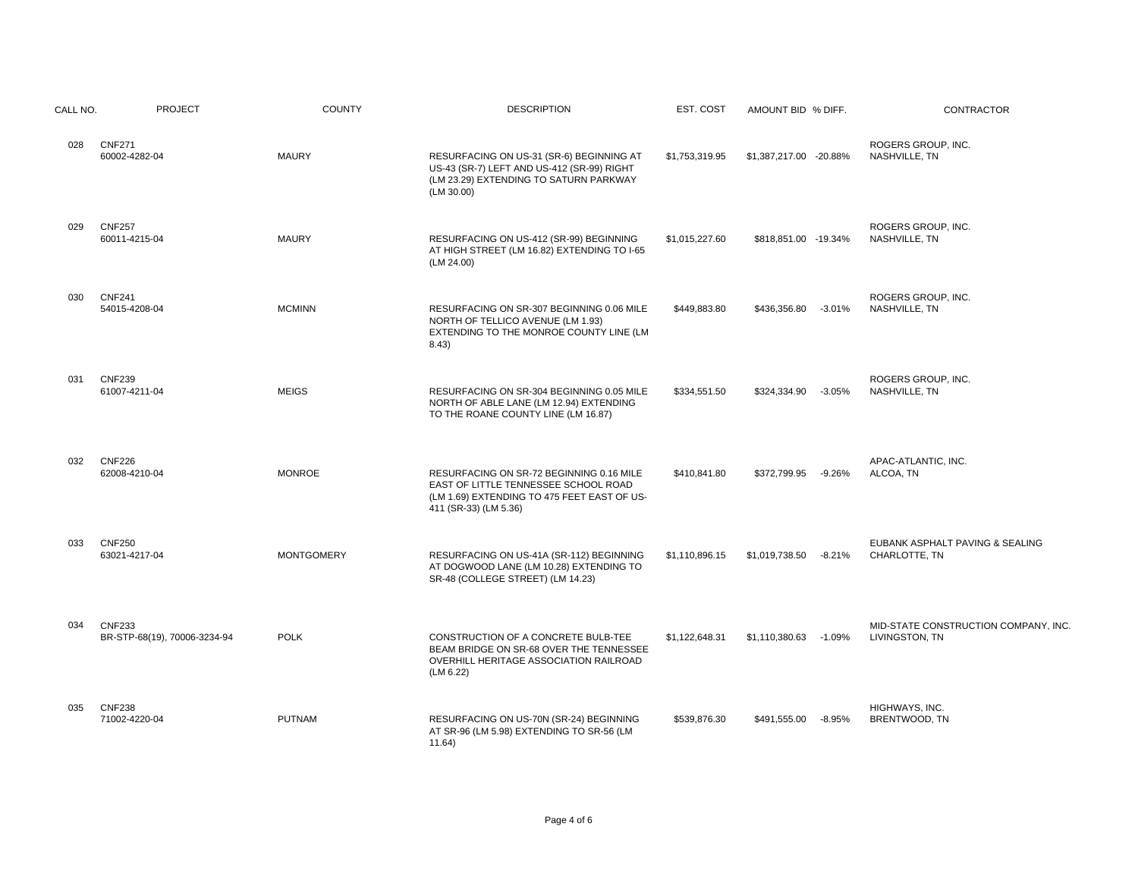| CALL NO. | <b>PROJECT</b>                                | <b>COUNTY</b>     | <b>DESCRIPTION</b>                                                                                                                                       | EST. COST      | AMOUNT BID % DIFF.     |          | CONTRACTOR                                            |
|----------|-----------------------------------------------|-------------------|----------------------------------------------------------------------------------------------------------------------------------------------------------|----------------|------------------------|----------|-------------------------------------------------------|
| 028      | <b>CNF271</b><br>60002-4282-04                | <b>MAURY</b>      | RESURFACING ON US-31 (SR-6) BEGINNING AT<br>US-43 (SR-7) LEFT AND US-412 (SR-99) RIGHT<br>(LM 23.29) EXTENDING TO SATURN PARKWAY<br>(LM 30.00)           | \$1.753.319.95 | \$1,387,217.00 -20.88% |          | ROGERS GROUP, INC.<br>NASHVILLE, TN                   |
| 029      | <b>CNF257</b><br>60011-4215-04                | <b>MAURY</b>      | RESURFACING ON US-412 (SR-99) BEGINNING<br>AT HIGH STREET (LM 16.82) EXTENDING TO I-65<br>(LM 24.00)                                                     | \$1,015,227.60 | \$818,851.00 -19.34%   |          | ROGERS GROUP, INC.<br>NASHVILLE, TN                   |
| 030      | <b>CNF241</b><br>54015-4208-04                | <b>MCMINN</b>     | RESURFACING ON SR-307 BEGINNING 0.06 MILE<br>NORTH OF TELLICO AVENUE (LM 1.93)<br>EXTENDING TO THE MONROE COUNTY LINE (LM<br>8.43)                       | \$449,883.80   | \$436,356.80           | $-3.01%$ | ROGERS GROUP, INC.<br>NASHVILLE, TN                   |
| 031      | <b>CNF239</b><br>61007-4211-04                | <b>MEIGS</b>      | RESURFACING ON SR-304 BEGINNING 0.05 MILE<br>NORTH OF ABLE LANE (LM 12.94) EXTENDING<br>TO THE ROANE COUNTY LINE (LM 16.87)                              | \$334,551.50   | \$324,334.90           | $-3.05%$ | ROGERS GROUP, INC.<br>NASHVILLE, TN                   |
| 032      | <b>CNF226</b><br>62008-4210-04                | <b>MONROE</b>     | RESURFACING ON SR-72 BEGINNING 0.16 MILE<br>EAST OF LITTLE TENNESSEE SCHOOL ROAD<br>(LM 1.69) EXTENDING TO 475 FEET EAST OF US-<br>411 (SR-33) (LM 5.36) | \$410,841.80   | \$372,799.95           | $-9.26%$ | APAC-ATLANTIC, INC.<br>ALCOA, TN                      |
| 033      | <b>CNF250</b><br>63021-4217-04                | <b>MONTGOMERY</b> | RESURFACING ON US-41A (SR-112) BEGINNING<br>AT DOGWOOD LANE (LM 10.28) EXTENDING TO<br>SR-48 (COLLEGE STREET) (LM 14.23)                                 | \$1,110,896.15 | \$1.019.738.50         | $-8.21%$ | EUBANK ASPHALT PAVING & SEALING<br>CHARLOTTE, TN      |
| 034      | <b>CNF233</b><br>BR-STP-68(19), 70006-3234-94 | <b>POLK</b>       | CONSTRUCTION OF A CONCRETE BULB-TEE<br>BEAM BRIDGE ON SR-68 OVER THE TENNESSEE<br>OVERHILL HERITAGE ASSOCIATION RAILROAD<br>(LM 6.22)                    | \$1,122,648.31 | \$1,110,380.63         | $-1.09%$ | MID-STATE CONSTRUCTION COMPANY, INC<br>LIVINGSTON, TN |
| 035      | <b>CNF238</b><br>71002-4220-04                | <b>PUTNAM</b>     | RESURFACING ON US-70N (SR-24) BEGINNING<br>AT SR-96 (LM 5.98) EXTENDING TO SR-56 (LM<br>11.64)                                                           | \$539,876.30   | \$491,555.00           | $-8.95%$ | HIGHWAYS, INC.<br>BRENTWOOD, TN                       |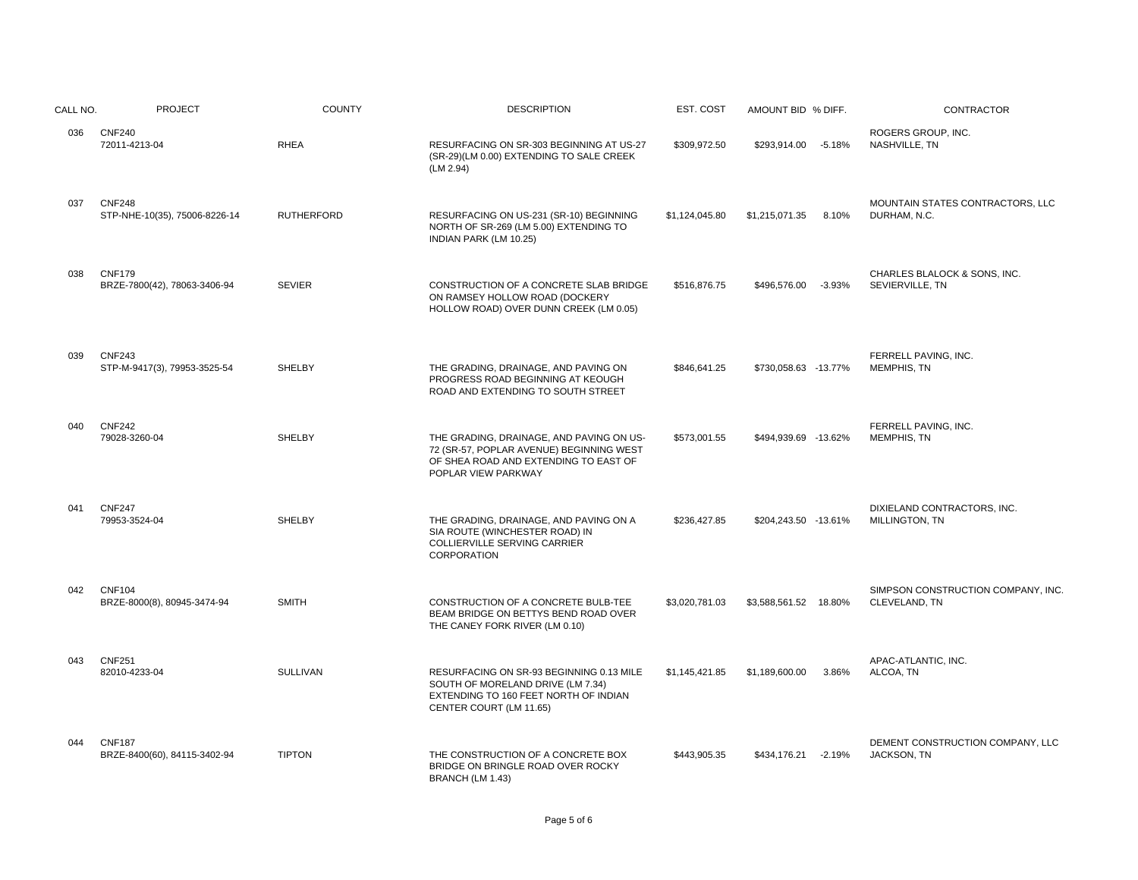| CALL NO. | <b>PROJECT</b>                                 | <b>COUNTY</b>     | <b>DESCRIPTION</b>                                                                                                                                   | EST. COST      | AMOUNT BID % DIFF.    |          | CONTRACTOR                                             |
|----------|------------------------------------------------|-------------------|------------------------------------------------------------------------------------------------------------------------------------------------------|----------------|-----------------------|----------|--------------------------------------------------------|
| 036      | <b>CNF240</b><br>72011-4213-04                 | <b>RHEA</b>       | RESURFACING ON SR-303 BEGINNING AT US-27<br>(SR-29)(LM 0.00) EXTENDING TO SALE CREEK<br>(LM 2.94)                                                    | \$309,972.50   | \$293,914.00          | $-5.18%$ | ROGERS GROUP, INC.<br>NASHVILLE, TN                    |
| 037      | <b>CNF248</b><br>STP-NHE-10(35), 75006-8226-14 | <b>RUTHERFORD</b> | RESURFACING ON US-231 (SR-10) BEGINNING<br>NORTH OF SR-269 (LM 5.00) EXTENDING TO<br>INDIAN PARK (LM 10.25)                                          | \$1.124.045.80 | \$1,215,071.35        | 8.10%    | MOUNTAIN STATES CONTRACTORS, LLC<br>DURHAM, N.C.       |
| 038      | <b>CNF179</b><br>BRZE-7800(42), 78063-3406-94  | <b>SEVIER</b>     | CONSTRUCTION OF A CONCRETE SLAB BRIDGE<br>ON RAMSEY HOLLOW ROAD (DOCKERY<br>HOLLOW ROAD) OVER DUNN CREEK (LM 0.05)                                   | \$516,876.75   | \$496,576.00          | $-3.93%$ | CHARLES BLALOCK & SONS, INC.<br>SEVIERVILLE, TN        |
| 039      | <b>CNF243</b><br>STP-M-9417(3), 79953-3525-54  | <b>SHELBY</b>     | THE GRADING, DRAINAGE, AND PAVING ON<br>PROGRESS ROAD BEGINNING AT KEOUGH<br>ROAD AND EXTENDING TO SOUTH STREET                                      | \$846,641.25   | \$730,058.63 -13.77%  |          | FERRELL PAVING, INC.<br>MEMPHIS, TN                    |
| 040      | <b>CNF242</b><br>79028-3260-04                 | <b>SHELBY</b>     | THE GRADING, DRAINAGE, AND PAVING ON US-<br>72 (SR-57, POPLAR AVENUE) BEGINNING WEST<br>OF SHEA ROAD AND EXTENDING TO EAST OF<br>POPLAR VIEW PARKWAY | \$573.001.55   | \$494.939.69 -13.62%  |          | FERRELL PAVING, INC.<br>MEMPHIS, TN                    |
| 041      | <b>CNF247</b><br>79953-3524-04                 | <b>SHELBY</b>     | THE GRADING, DRAINAGE, AND PAVING ON A<br>SIA ROUTE (WINCHESTER ROAD) IN<br>COLLIERVILLE SERVING CARRIER<br>CORPORATION                              | \$236,427.85   | \$204,243.50 -13.61%  |          | DIXIELAND CONTRACTORS, INC.<br>MILLINGTON, TN          |
| 042      | <b>CNF104</b><br>BRZE-8000(8), 80945-3474-94   | <b>SMITH</b>      | CONSTRUCTION OF A CONCRETE BULB-TEE<br>BEAM BRIDGE ON BETTYS BEND ROAD OVER<br>THE CANEY FORK RIVER (LM 0.10)                                        | \$3,020,781.03 | \$3,588,561.52 18.80% |          | SIMPSON CONSTRUCTION COMPANY, INC.<br>CLEVELAND, TN    |
| 043      | <b>CNF251</b><br>82010-4233-04                 | <b>SULLIVAN</b>   | RESURFACING ON SR-93 BEGINNING 0.13 MILE<br>SOUTH OF MORELAND DRIVE (LM 7.34)<br>EXTENDING TO 160 FEET NORTH OF INDIAN<br>CENTER COURT (LM 11.65)    | \$1.145.421.85 | \$1.189.600.00        | 3.86%    | APAC-ATLANTIC, INC.<br>ALCOA. TN                       |
| 044      | <b>CNF187</b><br>BRZE-8400(60), 84115-3402-94  | <b>TIPTON</b>     | THE CONSTRUCTION OF A CONCRETE BOX<br>BRIDGE ON BRINGLE ROAD OVER ROCKY<br>BRANCH (LM 1.43)                                                          | \$443,905.35   | \$434,176.21          | $-2.19%$ | DEMENT CONSTRUCTION COMPANY, LLC<br><b>JACKSON, TN</b> |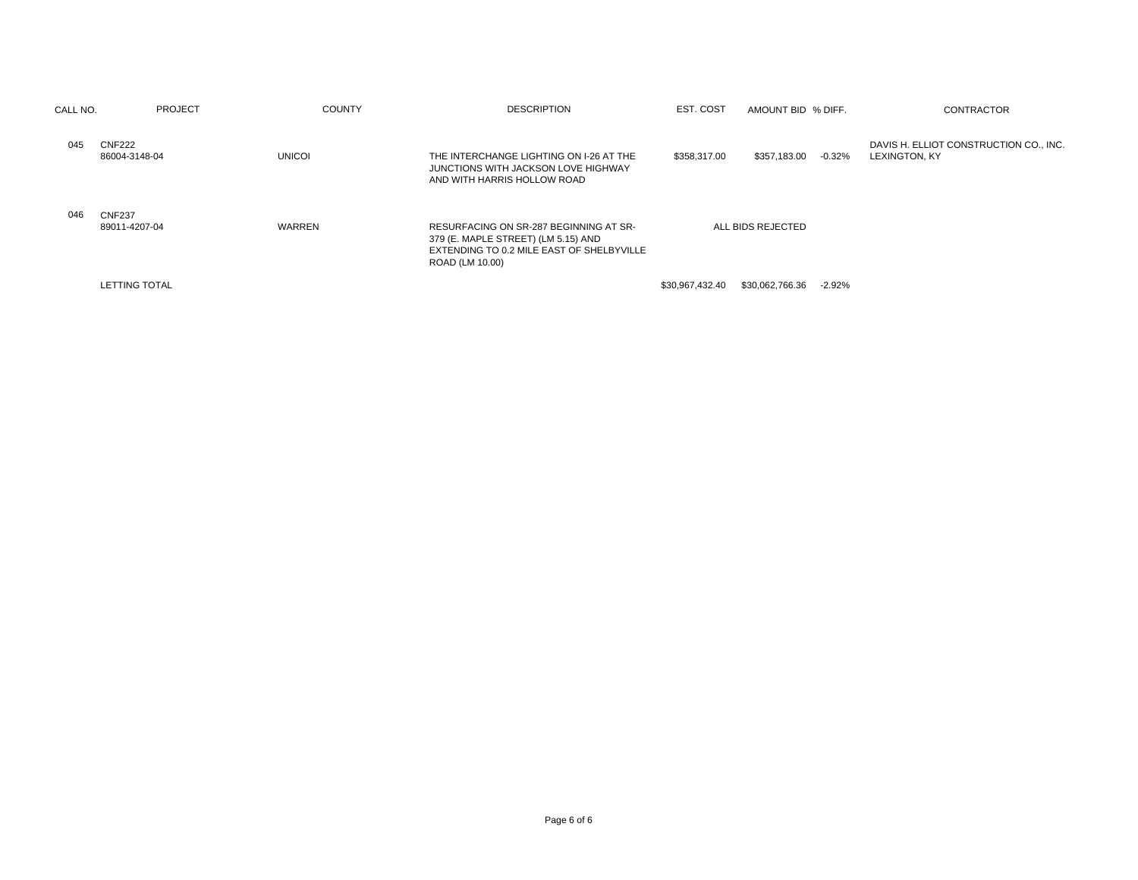| CALL NO. | <b>PROJECT</b>                 | <b>COUNTY</b> | <b>DESCRIPTION</b>                                                                                                                            | EST. COST       | AMOUNT BID % DIFF. |        | <b>CONTRACTOR</b>                                       |
|----------|--------------------------------|---------------|-----------------------------------------------------------------------------------------------------------------------------------------------|-----------------|--------------------|--------|---------------------------------------------------------|
| 045      | <b>CNF222</b><br>86004-3148-04 | <b>UNICOI</b> | THE INTERCHANGE LIGHTING ON I-26 AT THE<br>JUNCTIONS WITH JACKSON LOVE HIGHWAY<br>AND WITH HARRIS HOLLOW ROAD                                 | \$358,317.00    | \$357,183.00       | -0.32% | DAVIS H. ELLIOT CONSTRUCTION CO., INC.<br>LEXINGTON, KY |
| 046      | <b>CNF237</b><br>89011-4207-04 | WARREN        | RESURFACING ON SR-287 BEGINNING AT SR-<br>379 (E. MAPLE STREET) (LM 5.15) AND<br>EXTENDING TO 0.2 MILE EAST OF SHELBYVILLE<br>ROAD (LM 10.00) |                 | ALL BIDS REJECTED  |        |                                                         |
|          | <b>LETTING TOTAL</b>           |               |                                                                                                                                               | \$30.967.432.40 | \$30,062,766.36    | -2.92% |                                                         |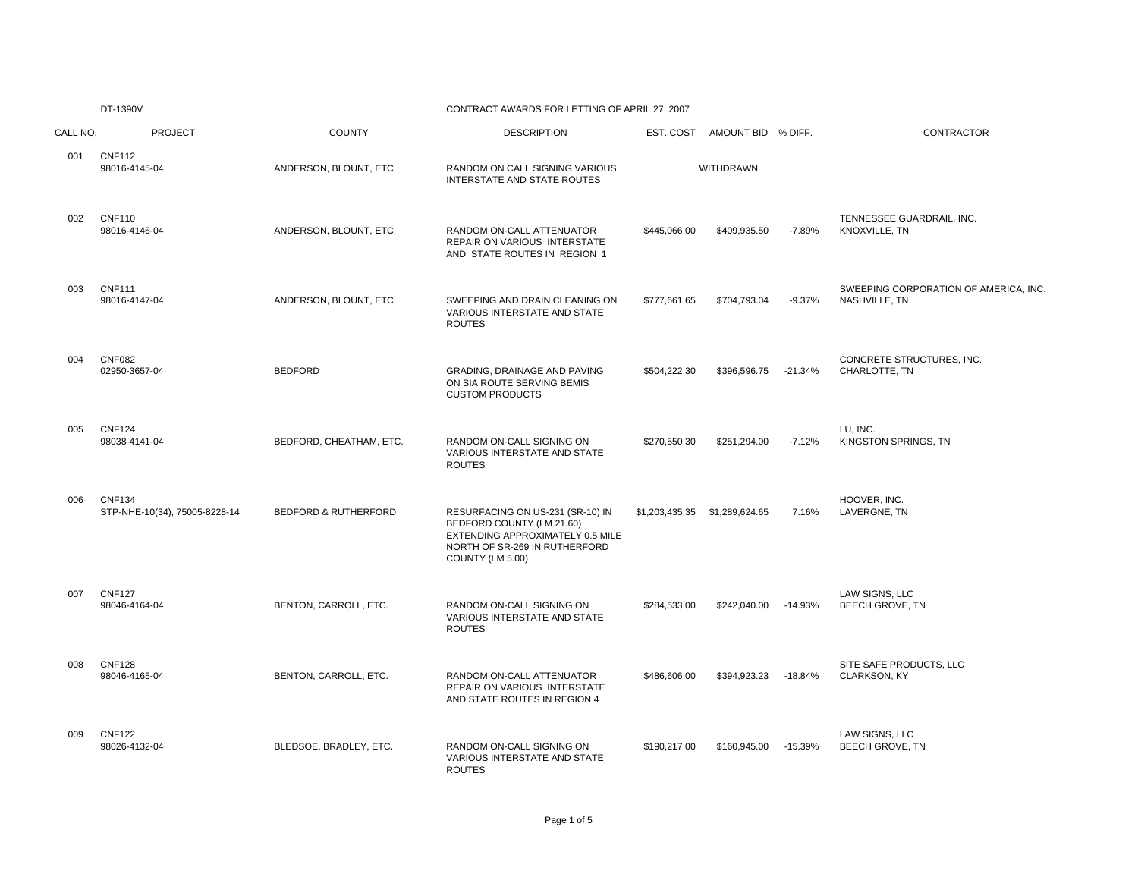|          | DT-1390V                                       |                                 | CONTRACT AWARDS FOR LETTING OF APRIL 27, 2007                                                                                                          |              |                    |           |                                                        |
|----------|------------------------------------------------|---------------------------------|--------------------------------------------------------------------------------------------------------------------------------------------------------|--------------|--------------------|-----------|--------------------------------------------------------|
| CALL NO. | <b>PROJECT</b>                                 | <b>COUNTY</b>                   | <b>DESCRIPTION</b>                                                                                                                                     | EST. COST    | AMOUNT BID % DIFF. |           | <b>CONTRACTOR</b>                                      |
| 001      | <b>CNF112</b><br>98016-4145-04                 | ANDERSON, BLOUNT, ETC.          | RANDOM ON CALL SIGNING VARIOUS<br>INTERSTATE AND STATE ROUTES                                                                                          |              | WITHDRAWN          |           |                                                        |
| 002      | <b>CNF110</b><br>98016-4146-04                 | ANDERSON, BLOUNT, ETC.          | RANDOM ON-CALL ATTENUATOR<br>REPAIR ON VARIOUS INTERSTATE<br>AND STATE ROUTES IN REGION 1                                                              | \$445,066.00 | \$409,935.50       | $-7.89%$  | TENNESSEE GUARDRAIL. INC.<br>KNOXVILLE, TN             |
| 003      | <b>CNF111</b><br>98016-4147-04                 | ANDERSON, BLOUNT, ETC.          | SWEEPING AND DRAIN CLEANING ON<br>VARIOUS INTERSTATE AND STATE<br><b>ROUTES</b>                                                                        | \$777,661.65 | \$704,793.04       | $-9.37%$  | SWEEPING CORPORATION OF AMERICA, INC.<br>NASHVILLE, TN |
| 004      | <b>CNF082</b><br>02950-3657-04                 | <b>BEDFORD</b>                  | GRADING, DRAINAGE AND PAVING<br>ON SIA ROUTE SERVING BEMIS<br><b>CUSTOM PRODUCTS</b>                                                                   | \$504,222.30 | \$396,596.75       | $-21.34%$ | CONCRETE STRUCTURES, INC.<br>CHARLOTTE, TN             |
| 005      | <b>CNF124</b><br>98038-4141-04                 | BEDFORD, CHEATHAM, ETC.         | RANDOM ON-CALL SIGNING ON<br><b>VARIOUS INTERSTATE AND STATE</b><br><b>ROUTES</b>                                                                      | \$270.550.30 | \$251.294.00       | $-7.12%$  | LU, INC.<br>KINGSTON SPRINGS, TN                       |
| 006      | <b>CNF134</b><br>STP-NHE-10(34), 75005-8228-14 | <b>BEDFORD &amp; RUTHERFORD</b> | RESURFACING ON US-231 (SR-10) IN<br>BEDFORD COUNTY (LM 21.60)<br>EXTENDING APPROXIMATELY 0.5 MILE<br>NORTH OF SR-269 IN RUTHERFORD<br>COUNTY (LM 5.00) |              |                    | 7.16%     | HOOVER, INC.<br>LAVERGNE, TN                           |
| 007      | <b>CNF127</b><br>98046-4164-04                 | BENTON, CARROLL, ETC.           | RANDOM ON-CALL SIGNING ON<br>VARIOUS INTERSTATE AND STATE<br><b>ROUTES</b>                                                                             | \$284.533.00 | \$242,040.00       | $-14.93%$ | LAW SIGNS, LLC<br><b>BEECH GROVE. TN</b>               |
| 008      | <b>CNF128</b><br>98046-4165-04                 | BENTON, CARROLL, ETC.           | RANDOM ON-CALL ATTENUATOR<br><b>REPAIR ON VARIOUS INTERSTATE</b><br>AND STATE ROUTES IN REGION 4                                                       | \$486,606.00 | \$394,923.23       | $-18.84%$ | SITE SAFE PRODUCTS, LLC<br><b>CLARKSON, KY</b>         |
| 009      | <b>CNF122</b><br>98026-4132-04                 | BLEDSOE, BRADLEY, ETC.          | RANDOM ON-CALL SIGNING ON<br>VARIOUS INTERSTATE AND STATE<br><b>ROUTES</b>                                                                             | \$190,217.00 | \$160,945.00       | $-15.39%$ | LAW SIGNS, LLC<br><b>BEECH GROVE, TN</b>               |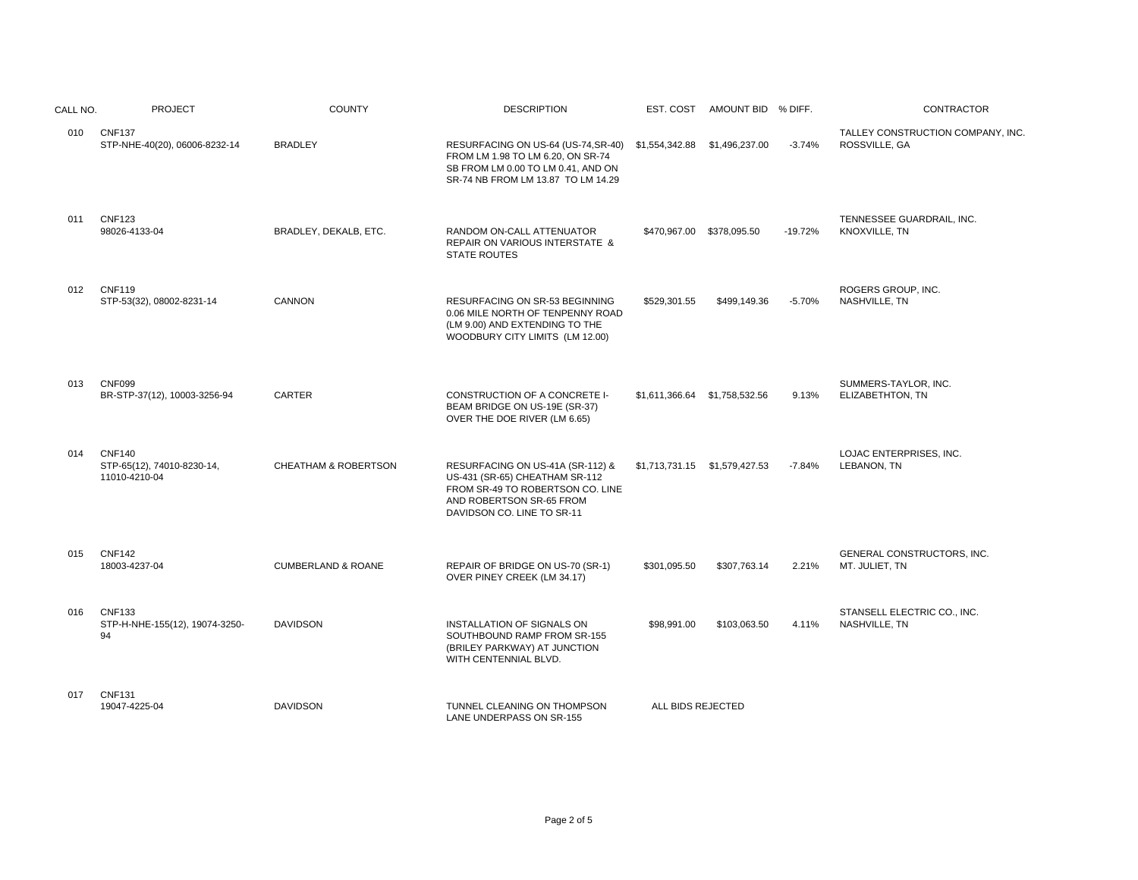| CALL NO. | <b>PROJECT</b>                                               | <b>COUNTY</b>                 | <b>DESCRIPTION</b>                                                                                                                                                   | EST. COST         | AMOUNT BID % DIFF.            |           | CONTRACTOR                                         |
|----------|--------------------------------------------------------------|-------------------------------|----------------------------------------------------------------------------------------------------------------------------------------------------------------------|-------------------|-------------------------------|-----------|----------------------------------------------------|
| 010      | <b>CNF137</b><br>STP-NHE-40(20), 06006-8232-14               | <b>BRADLEY</b>                | RESURFACING ON US-64 (US-74, SR-40) \$1,554, 342.88<br>FROM LM 1.98 TO LM 6.20, ON SR-74<br>SB FROM LM 0.00 TO LM 0.41, AND ON<br>SR-74 NB FROM LM 13.87 TO LM 14.29 |                   | \$1,496,237.00                | $-3.74%$  | TALLEY CONSTRUCTION COMPANY, INC.<br>ROSSVILLE, GA |
| 011      | <b>CNF123</b><br>98026-4133-04                               | BRADLEY, DEKALB, ETC.         | RANDOM ON-CALL ATTENUATOR<br>REPAIR ON VARIOUS INTERSTATE &<br><b>STATE ROUTES</b>                                                                                   |                   | \$470,967.00 \$378,095.50     | $-19.72%$ | TENNESSEE GUARDRAIL, INC.<br>KNOXVILLE, TN         |
| 012      | <b>CNF119</b><br>STP-53(32), 08002-8231-14                   | CANNON                        | RESURFACING ON SR-53 BEGINNING<br>0.06 MILE NORTH OF TENPENNY ROAD<br>(LM 9.00) AND EXTENDING TO THE<br>WOODBURY CITY LIMITS (LM 12.00)                              | \$529,301.55      | \$499,149.36                  | $-5.70%$  | ROGERS GROUP, INC.<br>NASHVILLE, TN                |
| 013      | <b>CNF099</b><br>BR-STP-37(12), 10003-3256-94                | <b>CARTER</b>                 | CONSTRUCTION OF A CONCRETE I-<br>BEAM BRIDGE ON US-19E (SR-37)<br>OVER THE DOE RIVER (LM 6.65)                                                                       |                   | \$1,611,366.64 \$1,758,532.56 | 9.13%     | SUMMERS-TAYLOR, INC.<br>ELIZABETHTON, TN           |
| 014      | <b>CNF140</b><br>STP-65(12), 74010-8230-14,<br>11010-4210-04 | CHEATHAM & ROBERTSON          | RESURFACING ON US-41A (SR-112) &<br>US-431 (SR-65) CHEATHAM SR-112<br>FROM SR-49 TO ROBERTSON CO. LINE<br>AND ROBERTSON SR-65 FROM<br>DAVIDSON CO. LINE TO SR-11     |                   | \$1,713,731.15 \$1,579,427.53 | $-7.84%$  | LOJAC ENTERPRISES, INC.<br>LEBANON, TN             |
| 015      | <b>CNF142</b><br>18003-4237-04                               | <b>CUMBERLAND &amp; ROANE</b> | REPAIR OF BRIDGE ON US-70 (SR-1)<br>OVER PINEY CREEK (LM 34.17)                                                                                                      | \$301,095.50      | \$307,763.14                  | 2.21%     | GENERAL CONSTRUCTORS, INC.<br>MT. JULIET, TN       |
| 016      | <b>CNF133</b><br>STP-H-NHE-155(12), 19074-3250-<br>94        | <b>DAVIDSON</b>               | INSTALLATION OF SIGNALS ON<br>SOUTHBOUND RAMP FROM SR-155<br>(BRILEY PARKWAY) AT JUNCTION<br>WITH CENTENNIAL BLVD.                                                   | \$98,991.00       | \$103,063.50                  | 4.11%     | STANSELL ELECTRIC CO., INC.<br>NASHVILLE, TN       |
| 017      | <b>CNF131</b><br>19047-4225-04                               | <b>DAVIDSON</b>               | TUNNEL CLEANING ON THOMPSON<br>LANE UNDERPASS ON SR-155                                                                                                              | ALL BIDS REJECTED |                               |           |                                                    |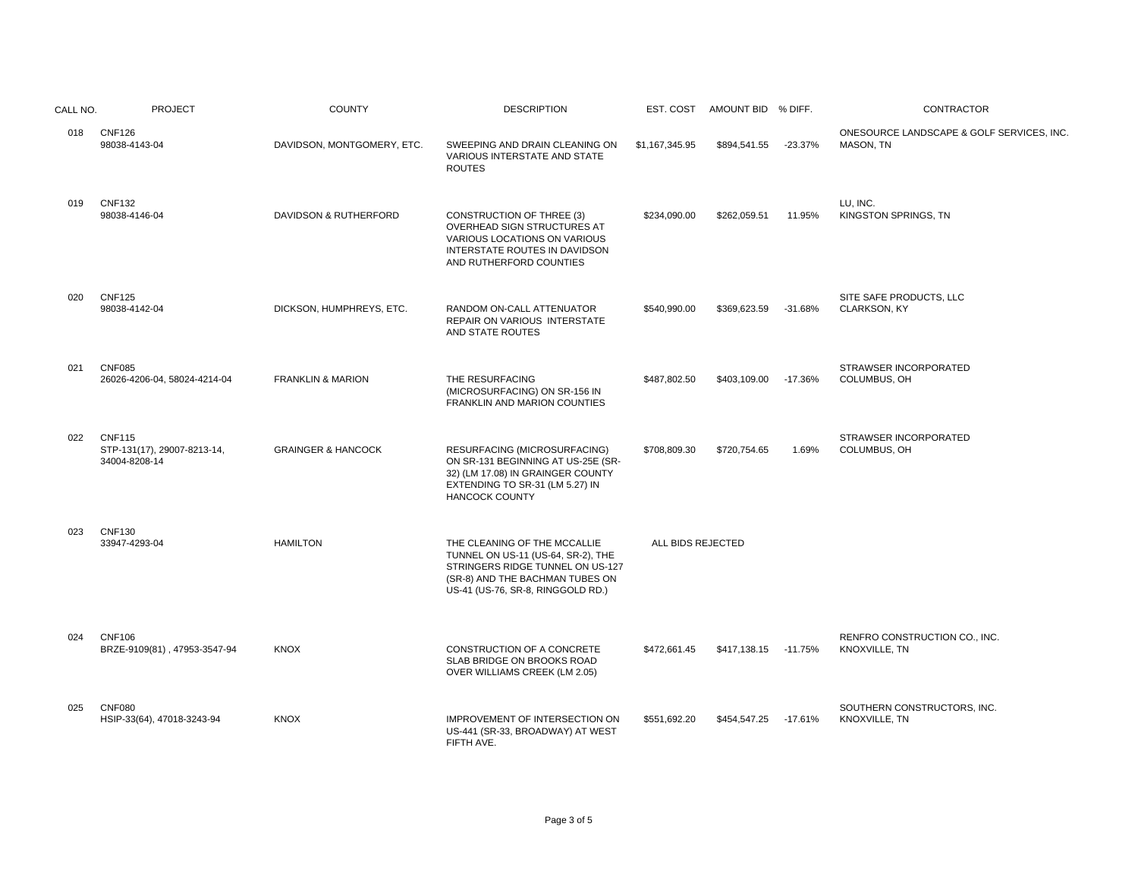| CALL NO. | <b>PROJECT</b>                                                | <b>COUNTY</b>                 | <b>DESCRIPTION</b>                                                                                                                                                             |                   | EST. COST AMOUNT BID % DIFF. |           | <b>CONTRACTOR</b>                                     |
|----------|---------------------------------------------------------------|-------------------------------|--------------------------------------------------------------------------------------------------------------------------------------------------------------------------------|-------------------|------------------------------|-----------|-------------------------------------------------------|
| 018      | <b>CNF126</b><br>98038-4143-04                                | DAVIDSON, MONTGOMERY, ETC.    | SWEEPING AND DRAIN CLEANING ON<br><b>VARIOUS INTERSTATE AND STATE</b><br><b>ROUTES</b>                                                                                         | \$1,167,345.95    | \$894,541.55                 | $-23.37%$ | ONESOURCE LANDSCAPE & GOLF SERVICES, INC<br>MASON, TN |
| 019      | <b>CNF132</b><br>98038-4146-04                                | DAVIDSON & RUTHERFORD         | <b>CONSTRUCTION OF THREE (3)</b><br>OVERHEAD SIGN STRUCTURES AT<br>VARIOUS LOCATIONS ON VARIOUS<br>INTERSTATE ROUTES IN DAVIDSON<br>AND RUTHERFORD COUNTIES                    | \$234,090.00      | \$262,059.51                 | 11.95%    | LU, INC.<br>KINGSTON SPRINGS, TN                      |
| 020      | <b>CNF125</b><br>98038-4142-04                                | DICKSON, HUMPHREYS, ETC.      | RANDOM ON-CALL ATTENUATOR<br>REPAIR ON VARIOUS INTERSTATE<br>AND STATE ROUTES                                                                                                  | \$540,990.00      | \$369,623.59                 | $-31.68%$ | SITE SAFE PRODUCTS, LLC<br>CLARKSON, KY               |
| 021      | <b>CNF085</b><br>26026-4206-04, 58024-4214-04                 | <b>FRANKLIN &amp; MARION</b>  | THE RESURFACING<br>(MICROSURFACING) ON SR-156 IN<br>FRANKLIN AND MARION COUNTIES                                                                                               | \$487,802.50      | \$403,109.00                 | $-17.36%$ | STRAWSER INCORPORATED<br>COLUMBUS, OH                 |
| 022      | <b>CNF115</b><br>STP-131(17), 29007-8213-14,<br>34004-8208-14 | <b>GRAINGER &amp; HANCOCK</b> | RESURFACING (MICROSURFACING)<br>ON SR-131 BEGINNING AT US-25E (SR-<br>32) (LM 17.08) IN GRAINGER COUNTY<br>EXTENDING TO SR-31 (LM 5.27) IN<br><b>HANCOCK COUNTY</b>            | \$708,809.30      | \$720,754.65                 | 1.69%     | STRAWSER INCORPORATED<br>COLUMBUS, OH                 |
| 023      | <b>CNF130</b><br>33947-4293-04                                | <b>HAMILTON</b>               | THE CLEANING OF THE MCCALLIE<br>TUNNEL ON US-11 (US-64, SR-2), THE<br>STRINGERS RIDGE TUNNEL ON US-127<br>(SR-8) AND THE BACHMAN TUBES ON<br>US-41 (US-76, SR-8, RINGGOLD RD.) | ALL BIDS REJECTED |                              |           |                                                       |
| 024      | <b>CNF106</b><br>BRZE-9109(81), 47953-3547-94                 | <b>KNOX</b>                   | CONSTRUCTION OF A CONCRETE<br>SLAB BRIDGE ON BROOKS ROAD<br>OVER WILLIAMS CREEK (LM 2.05)                                                                                      | \$472,661.45      | \$417,138.15 -11.75%         |           | RENFRO CONSTRUCTION CO., INC.<br>KNOXVILLE, TN        |
| 025      | <b>CNF080</b><br>HSIP-33(64), 47018-3243-94                   | <b>KNOX</b>                   | IMPROVEMENT OF INTERSECTION ON<br>US-441 (SR-33, BROADWAY) AT WEST<br>FIFTH AVE.                                                                                               | \$551,692.20      | \$454,547.25                 | -17.61%   | SOUTHERN CONSTRUCTORS, INC.<br>KNOXVILLE, TN          |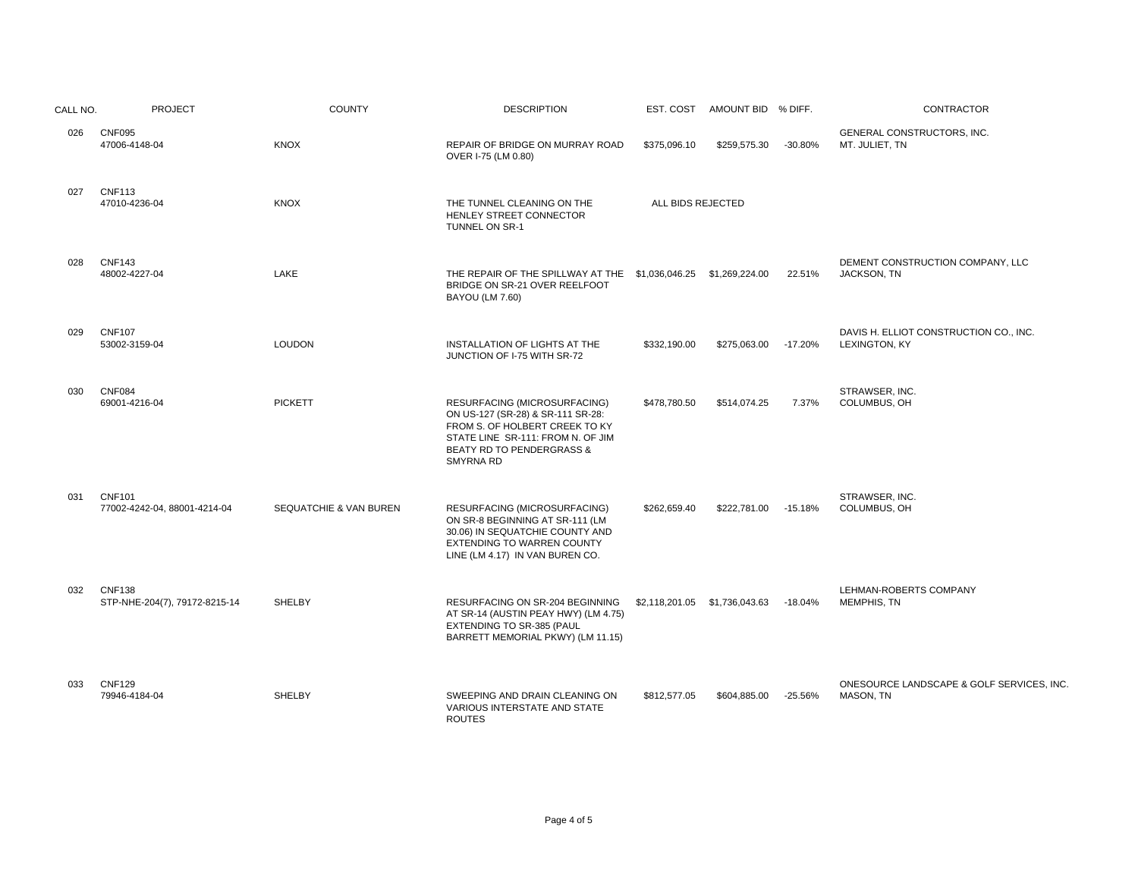| CALL NO. | PROJECT                                        | <b>COUNTY</b>          | <b>DESCRIPTION</b>                                                                                                                                                                        |                   | EST. COST AMOUNT BID % DIFF. |           | CONTRACTOR                                              |
|----------|------------------------------------------------|------------------------|-------------------------------------------------------------------------------------------------------------------------------------------------------------------------------------------|-------------------|------------------------------|-----------|---------------------------------------------------------|
| 026      | <b>CNF095</b><br>47006-4148-04                 | <b>KNOX</b>            | REPAIR OF BRIDGE ON MURRAY ROAD<br>OVER I-75 (LM 0.80)                                                                                                                                    | \$375,096.10      | \$259,575.30                 | $-30.80%$ | GENERAL CONSTRUCTORS, INC.<br>MT. JULIET, TN            |
| 027      | <b>CNF113</b><br>47010-4236-04                 | <b>KNOX</b>            | THE TUNNEL CLEANING ON THE<br>HENLEY STREET CONNECTOR<br>TUNNEL ON SR-1                                                                                                                   | ALL BIDS REJECTED |                              |           |                                                         |
| 028      | <b>CNF143</b><br>48002-4227-04                 | LAKE                   | THE REPAIR OF THE SPILLWAY AT THE \$1,036,046.25 \$1,269,224.00<br>BRIDGE ON SR-21 OVER REELFOOT<br><b>BAYOU (LM 7.60)</b>                                                                |                   |                              | 22.51%    | DEMENT CONSTRUCTION COMPANY, LLC<br>JACKSON, TN         |
| 029      | <b>CNF107</b><br>53002-3159-04                 | <b>LOUDON</b>          | INSTALLATION OF LIGHTS AT THE<br>JUNCTION OF I-75 WITH SR-72                                                                                                                              | \$332,190.00      | \$275,063.00                 | $-17.20%$ | DAVIS H. ELLIOT CONSTRUCTION CO., INC.<br>LEXINGTON, KY |
| 030      | <b>CNF084</b><br>69001-4216-04                 | <b>PICKETT</b>         | RESURFACING (MICROSURFACING)<br>ON US-127 (SR-28) & SR-111 SR-28:<br>FROM S. OF HOLBERT CREEK TO KY<br>STATE LINE SR-111: FROM N. OF JIM<br>BEATY RD TO PENDERGRASS &<br><b>SMYRNA RD</b> | \$478,780.50      | \$514,074.25                 | 7.37%     | STRAWSER, INC.<br>COLUMBUS, OH                          |
| 031      | <b>CNF101</b><br>77002-4242-04, 88001-4214-04  | SEQUATCHIE & VAN BUREN | RESURFACING (MICROSURFACING)<br>ON SR-8 BEGINNING AT SR-111 (LM<br>30.06) IN SEQUATCHIE COUNTY AND<br>EXTENDING TO WARREN COUNTY<br>LINE (LM 4.17) IN VAN BUREN CO.                       | \$262,659.40      | \$222,781.00                 | $-15.18%$ | STRAWSER, INC.<br>COLUMBUS, OH                          |
| 032      | <b>CNF138</b><br>STP-NHE-204(7), 79172-8215-14 | <b>SHELBY</b>          | RESURFACING ON SR-204 BEGINNING<br>AT SR-14 (AUSTIN PEAY HWY) (LM 4.75)<br>EXTENDING TO SR-385 (PAUL<br>BARRETT MEMORIAL PKWY) (LM 11.15)                                                 |                   |                              | $-18.04%$ | LEHMAN-ROBERTS COMPANY<br>MEMPHIS, TN                   |
| 033      | <b>CNF129</b><br>79946-4184-04                 | <b>SHELBY</b>          | SWEEPING AND DRAIN CLEANING ON<br>VARIOUS INTERSTATE AND STATE<br><b>ROUTES</b>                                                                                                           | \$812,577.05      | \$604,885.00                 | $-25.56%$ | ONESOURCE LANDSCAPE & GOLF SERVICES, INC<br>MASON, TN   |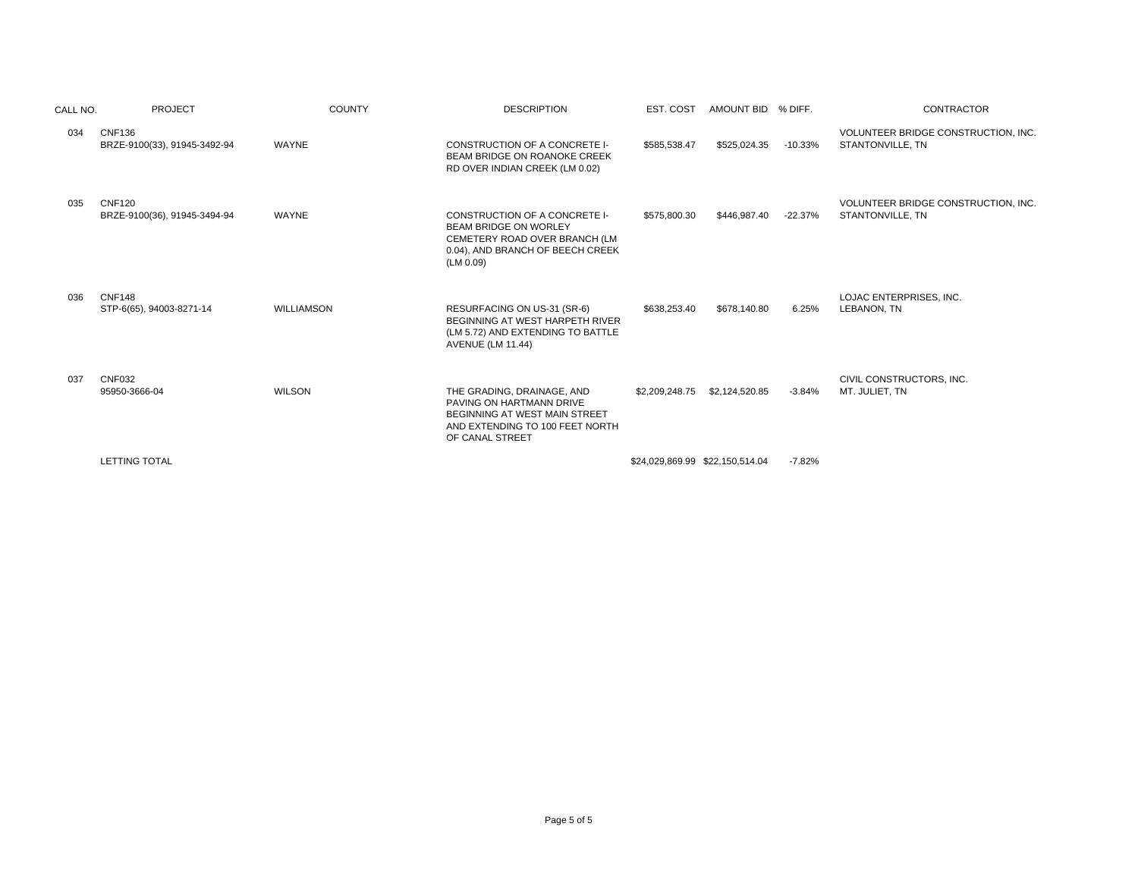| CALL NO. | <b>PROJECT</b>                                | <b>COUNTY</b>     | <b>DESCRIPTION</b>                                                                                                                              | EST. COST                       | AMOUNT BID % DIFF. |            | <b>CONTRACTOR</b>                                       |
|----------|-----------------------------------------------|-------------------|-------------------------------------------------------------------------------------------------------------------------------------------------|---------------------------------|--------------------|------------|---------------------------------------------------------|
| 034      | <b>CNF136</b><br>BRZE-9100(33), 91945-3492-94 | <b>WAYNE</b>      | CONSTRUCTION OF A CONCRETE I-<br>BEAM BRIDGE ON ROANOKE CREEK<br>RD OVER INDIAN CREEK (LM 0.02)                                                 | \$585,538.47                    | \$525,024.35       | $-10.33%$  | VOLUNTEER BRIDGE CONSTRUCTION, INC.<br>STANTONVILLE, TN |
| 035      | <b>CNF120</b><br>BRZE-9100(36), 91945-3494-94 | <b>WAYNE</b>      | CONSTRUCTION OF A CONCRETE I-<br><b>BEAM BRIDGE ON WORLEY</b><br>CEMETERY ROAD OVER BRANCH (LM<br>0.04), AND BRANCH OF BEECH CREEK<br>(LM 0.09) | \$575,800.30                    | \$446,987.40       | $-22.37\%$ | VOLUNTEER BRIDGE CONSTRUCTION, INC.<br>STANTONVILLE, TN |
| 036      | <b>CNF148</b><br>STP-6(65), 94003-8271-14     | <b>WILLIAMSON</b> | RESURFACING ON US-31 (SR-6)<br>BEGINNING AT WEST HARPETH RIVER<br>(LM 5.72) AND EXTENDING TO BATTLE<br><b>AVENUE (LM 11.44)</b>                 | \$638,253.40                    | \$678,140.80       | 6.25%      | LOJAC ENTERPRISES, INC.<br>LEBANON, TN                  |
| 037      | <b>CNF032</b><br>95950-3666-04                | <b>WILSON</b>     | THE GRADING, DRAINAGE, AND<br>PAVING ON HARTMANN DRIVE<br>BEGINNING AT WEST MAIN STREET<br>AND EXTENDING TO 100 FEET NORTH<br>OF CANAL STREET   | \$2,209,248.75                  | \$2,124,520.85     | -3.84%     | CIVIL CONSTRUCTORS, INC.<br>MT. JULIET, TN              |
|          | <b>LETTING TOTAL</b>                          |                   |                                                                                                                                                 | \$24,029,869.99 \$22,150,514.04 |                    | $-7.82%$   |                                                         |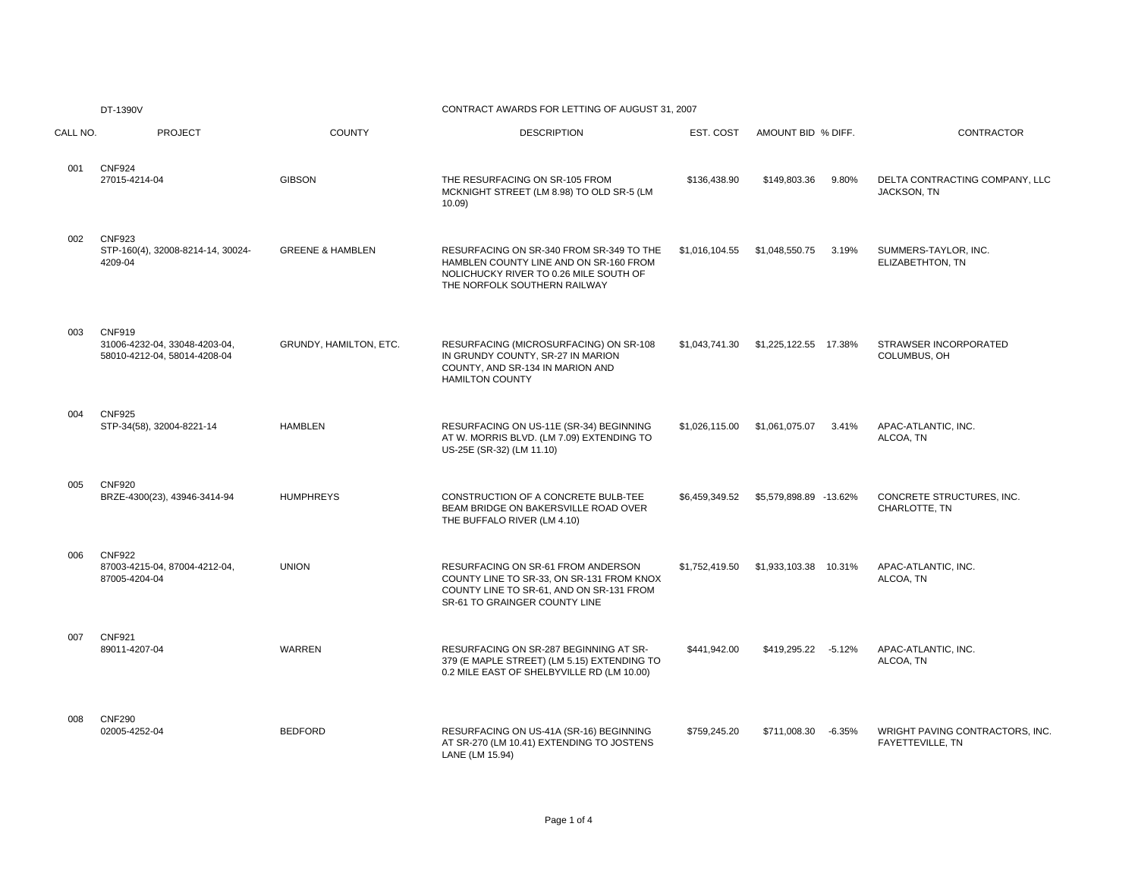DT-1390V

CONTRACT AWARDS FOR LETTING OF AUGUST 31, 2007

| CALL NO. | <b>PROJECT</b>                                                                 | <b>COUNTY</b>               | <b>DESCRIPTION</b>                                                                                                                                           | EST. COST      | AMOUNT BID % DIFF.     |          | <b>CONTRACTOR</b>                                   |
|----------|--------------------------------------------------------------------------------|-----------------------------|--------------------------------------------------------------------------------------------------------------------------------------------------------------|----------------|------------------------|----------|-----------------------------------------------------|
| 001      | <b>CNF924</b><br>27015-4214-04                                                 | <b>GIBSON</b>               | THE RESURFACING ON SR-105 FROM<br>MCKNIGHT STREET (LM 8.98) TO OLD SR-5 (LM<br>10.09                                                                         | \$136,438.90   | \$149,803.36           | 9.80%    | DELTA CONTRACTING COMPANY, LLC<br>JACKSON, TN       |
| 002      | <b>CNF923</b><br>STP-160(4), 32008-8214-14, 30024-<br>4209-04                  | <b>GREENE &amp; HAMBLEN</b> | RESURFACING ON SR-340 FROM SR-349 TO THE<br>HAMBLEN COUNTY LINE AND ON SR-160 FROM<br>NOLICHUCKY RIVER TO 0.26 MILE SOUTH OF<br>THE NORFOLK SOUTHERN RAILWAY | \$1,016,104.55 | \$1,048,550.75         | 3.19%    | SUMMERS-TAYLOR, INC.<br>ELIZABETHTON. TN            |
| 003      | <b>CNF919</b><br>31006-4232-04, 33048-4203-04,<br>58010-4212-04, 58014-4208-04 | GRUNDY, HAMILTON, ETC.      | RESURFACING (MICROSURFACING) ON SR-108<br>IN GRUNDY COUNTY, SR-27 IN MARION<br>COUNTY, AND SR-134 IN MARION AND<br><b>HAMILTON COUNTY</b>                    | \$1,043,741.30 | \$1,225,122.55 17.38%  |          | STRAWSER INCORPORATED<br>COLUMBUS, OH               |
| 004      | <b>CNF925</b><br>STP-34(58), 32004-8221-14                                     | <b>HAMBLEN</b>              | RESURFACING ON US-11E (SR-34) BEGINNING<br>AT W. MORRIS BLVD. (LM 7.09) EXTENDING TO<br>US-25E (SR-32) (LM 11.10)                                            | \$1.026.115.00 | \$1,061,075.07         | 3.41%    | APAC-ATLANTIC, INC.<br>ALCOA, TN                    |
| 005      | <b>CNF920</b><br>BRZE-4300(23), 43946-3414-94                                  | <b>HUMPHREYS</b>            | CONSTRUCTION OF A CONCRETE BULB-TEE<br>BEAM BRIDGE ON BAKERSVILLE ROAD OVER<br>THE BUFFALO RIVER (LM 4.10)                                                   | \$6,459,349.52 | \$5,579,898.89 -13.62% |          | CONCRETE STRUCTURES, INC.<br>CHARLOTTE, TN          |
| 006      | <b>CNF922</b><br>87003-4215-04, 87004-4212-04,<br>87005-4204-04                | <b>UNION</b>                | RESURFACING ON SR-61 FROM ANDERSON<br>COUNTY LINE TO SR-33, ON SR-131 FROM KNOX<br>COUNTY LINE TO SR-61, AND ON SR-131 FROM<br>SR-61 TO GRAINGER COUNTY LINE | \$1,752,419.50 | \$1,933,103.38 10.31%  |          | APAC-ATLANTIC, INC.<br>ALCOA, TN                    |
| 007      | <b>CNF921</b><br>89011-4207-04                                                 | WARREN                      | RESURFACING ON SR-287 BEGINNING AT SR-<br>379 (E MAPLE STREET) (LM 5.15) EXTENDING TO<br>0.2 MILE EAST OF SHELBYVILLE RD (LM 10.00)                          | \$441,942.00   | \$419,295.22 -5.12%    |          | APAC-ATLANTIC, INC.<br>ALCOA, TN                    |
| 008      | <b>CNF290</b><br>02005-4252-04                                                 | <b>BEDFORD</b>              | RESURFACING ON US-41A (SR-16) BEGINNING<br>AT SR-270 (LM 10.41) EXTENDING TO JOSTENS<br>LANE (LM 15.94)                                                      | \$759,245.20   | \$711,008.30           | $-6.35%$ | WRIGHT PAVING CONTRACTORS, INC.<br>FAYETTEVILLE, TN |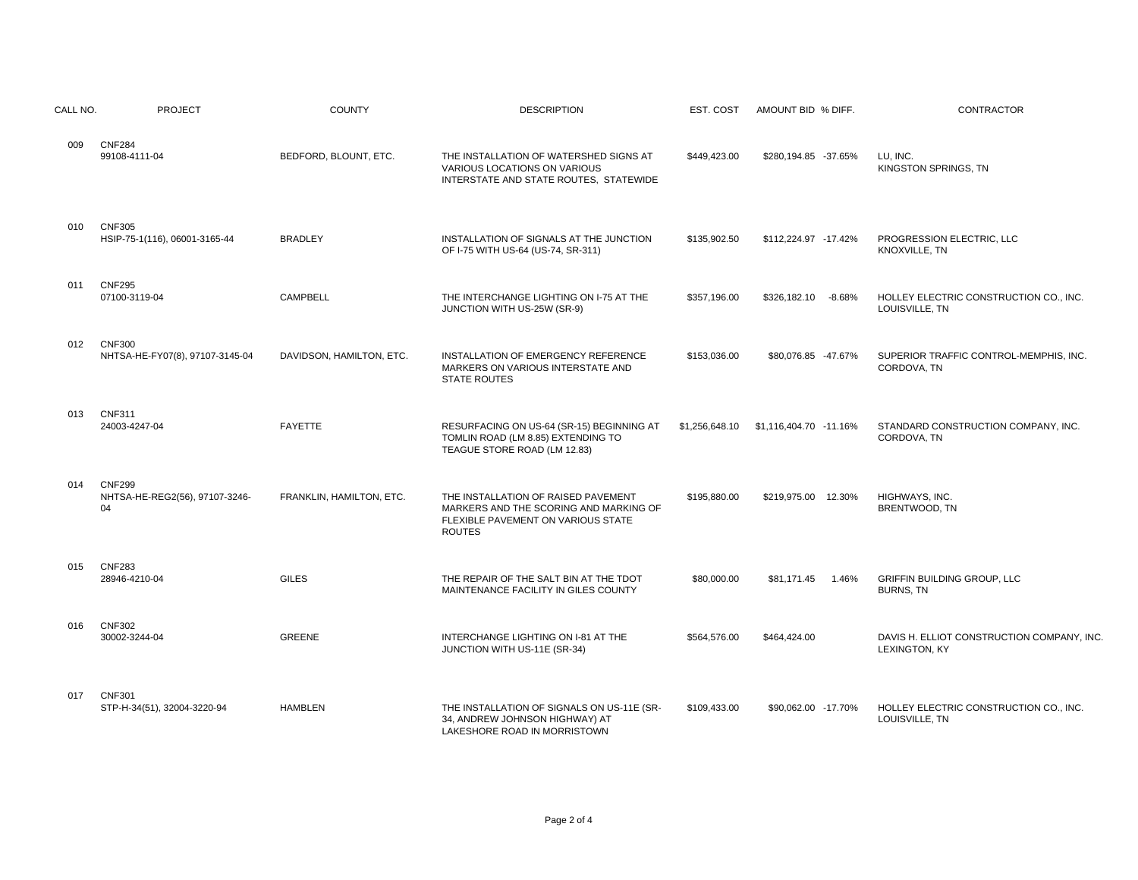| CALL NO. | <b>PROJECT</b>                                        | <b>COUNTY</b>            | <b>DESCRIPTION</b>                                                                                                                   | EST. COST    | AMOUNT BID % DIFF.       | CONTRACTOR                                                  |
|----------|-------------------------------------------------------|--------------------------|--------------------------------------------------------------------------------------------------------------------------------------|--------------|--------------------------|-------------------------------------------------------------|
| 009      | <b>CNF284</b><br>99108-4111-04                        | BEDFORD, BLOUNT, ETC.    | THE INSTALLATION OF WATERSHED SIGNS AT<br>VARIOUS LOCATIONS ON VARIOUS<br>INTERSTATE AND STATE ROUTES, STATEWIDE                     | \$449,423.00 | \$280,194.85 -37.65%     | LU, INC.<br>KINGSTON SPRINGS, TN                            |
| 010      | <b>CNF305</b><br>HSIP-75-1(116), 06001-3165-44        | <b>BRADLEY</b>           | INSTALLATION OF SIGNALS AT THE JUNCTION<br>OF I-75 WITH US-64 (US-74, SR-311)                                                        | \$135,902.50 | \$112,224.97 -17.42%     | PROGRESSION ELECTRIC, LLC<br>KNOXVILLE, TN                  |
| 011      | <b>CNF295</b><br>07100-3119-04                        | <b>CAMPBELL</b>          | THE INTERCHANGE LIGHTING ON I-75 AT THE<br>JUNCTION WITH US-25W (SR-9)                                                               | \$357,196.00 | \$326,182.10<br>$-8.68%$ | HOLLEY ELECTRIC CONSTRUCTION CO., INC.<br>LOUISVILLE, TN    |
| 012      | <b>CNF300</b><br>NHTSA-HE-FY07(8), 97107-3145-04      | DAVIDSON, HAMILTON, ETC. | INSTALLATION OF EMERGENCY REFERENCE<br>MARKERS ON VARIOUS INTERSTATE AND<br><b>STATE ROUTES</b>                                      | \$153,036.00 | \$80,076.85 -47.67%      | SUPERIOR TRAFFIC CONTROL-MEMPHIS, INC.<br>CORDOVA, TN       |
| 013      | <b>CNF311</b><br>24003-4247-04                        | <b>FAYETTE</b>           | RESURFACING ON US-64 (SR-15) BEGINNING AT<br>TOMLIN ROAD (LM 8.85) EXTENDING TO<br>TEAGUE STORE ROAD (LM 12.83)                      |              |                          | STANDARD CONSTRUCTION COMPANY, INC.<br>CORDOVA, TN          |
| 014      | <b>CNF299</b><br>NHTSA-HE-REG2(56), 97107-3246-<br>04 | FRANKLIN, HAMILTON, ETC. | THE INSTALLATION OF RAISED PAVEMENT<br>MARKERS AND THE SCORING AND MARKING OF<br>FLEXIBLE PAVEMENT ON VARIOUS STATE<br><b>ROUTES</b> | \$195.880.00 | \$219.975.00 12.30%      | HIGHWAYS, INC.<br>BRENTWOOD, TN                             |
| 015      | <b>CNF283</b><br>28946-4210-04                        | <b>GILES</b>             | THE REPAIR OF THE SALT BIN AT THE TDOT<br>MAINTENANCE FACILITY IN GILES COUNTY                                                       | \$80,000.00  | \$81,171.45<br>1.46%     | GRIFFIN BUILDING GROUP, LLC<br><b>BURNS, TN</b>             |
| 016      | <b>CNF302</b><br>30002-3244-04                        | <b>GREENE</b>            | INTERCHANGE LIGHTING ON I-81 AT THE<br>JUNCTION WITH US-11E (SR-34)                                                                  | \$564,576.00 | \$464,424.00             | DAVIS H. ELLIOT CONSTRUCTION COMPANY, INC.<br>LEXINGTON, KY |
| 017      | <b>CNF301</b><br>STP-H-34(51), 32004-3220-94          | <b>HAMBLEN</b>           | THE INSTALLATION OF SIGNALS ON US-11E (SR-<br>34, ANDREW JOHNSON HIGHWAY) AT<br>LAKESHORE ROAD IN MORRISTOWN                         | \$109,433.00 | \$90,062.00 -17.70%      | HOLLEY ELECTRIC CONSTRUCTION CO., INC.<br>LOUISVILLE, TN    |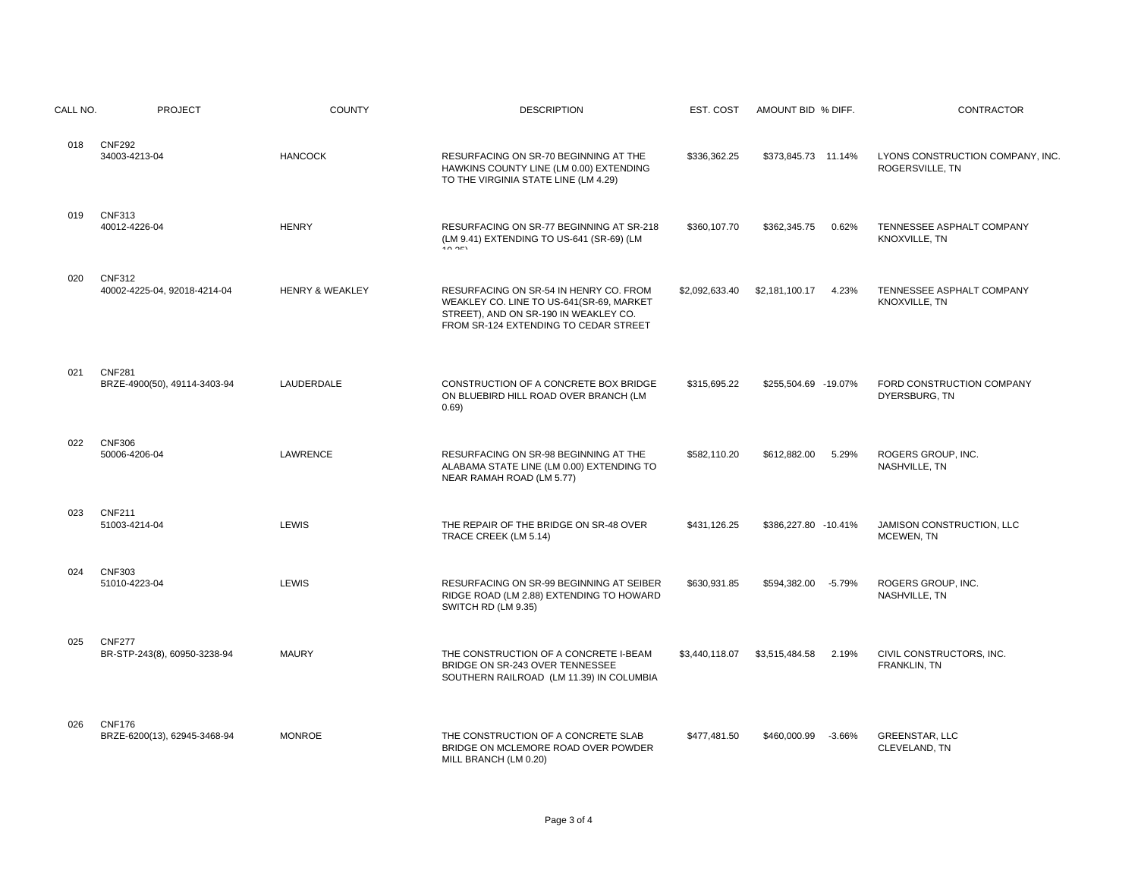| CALL NO. | <b>PROJECT</b>                                | <b>COUNTY</b>              | <b>DESCRIPTION</b>                                                                                                                                                   | EST. COST      | AMOUNT BID % DIFF.      | <b>CONTRACTOR</b>                                   |
|----------|-----------------------------------------------|----------------------------|----------------------------------------------------------------------------------------------------------------------------------------------------------------------|----------------|-------------------------|-----------------------------------------------------|
| 018      | <b>CNF292</b><br>34003-4213-04                | <b>HANCOCK</b>             | RESURFACING ON SR-70 BEGINNING AT THE<br>HAWKINS COUNTY LINE (LM 0.00) EXTENDING<br>TO THE VIRGINIA STATE LINE (LM 4.29)                                             | \$336,362.25   | \$373,845.73 11.14%     | LYONS CONSTRUCTION COMPANY, INC.<br>ROGERSVILLE, TN |
| 019      | <b>CNF313</b><br>40012-4226-04                | <b>HENRY</b>               | RESURFACING ON SR-77 BEGINNING AT SR-218<br>(LM 9.41) EXTENDING TO US-641 (SR-69) (LM<br>40.25                                                                       | \$360,107.70   | \$362,345.75<br>0.62%   | TENNESSEE ASPHALT COMPANY<br>KNOXVILLE, TN          |
| 020      | <b>CNF312</b><br>40002-4225-04, 92018-4214-04 | <b>HENRY &amp; WEAKLEY</b> | RESURFACING ON SR-54 IN HENRY CO. FROM<br>WEAKLEY CO. LINE TO US-641(SR-69, MARKET<br>STREET), AND ON SR-190 IN WEAKLEY CO.<br>FROM SR-124 EXTENDING TO CEDAR STREET | \$2,092,633.40 | \$2,181,100.17 4.23%    | TENNESSEE ASPHALT COMPANY<br>KNOXVILLE, TN          |
| 021      | <b>CNF281</b><br>BRZE-4900(50), 49114-3403-94 | LAUDERDALE                 | CONSTRUCTION OF A CONCRETE BOX BRIDGE<br>ON BLUEBIRD HILL ROAD OVER BRANCH (LM<br>0.69)                                                                              | \$315,695.22   | \$255,504.69 -19.07%    | FORD CONSTRUCTION COMPANY<br>DYERSBURG, TN          |
| 022      | <b>CNF306</b><br>50006-4206-04                | LAWRENCE                   | RESURFACING ON SR-98 BEGINNING AT THE<br>ALABAMA STATE LINE (LM 0.00) EXTENDING TO<br>NEAR RAMAH ROAD (LM 5.77)                                                      | \$582,110.20   | \$612,882.00<br>5.29%   | ROGERS GROUP, INC.<br>NASHVILLE, TN                 |
| 023      | <b>CNF211</b><br>51003-4214-04                | <b>LEWIS</b>               | THE REPAIR OF THE BRIDGE ON SR-48 OVER<br>TRACE CREEK (LM 5.14)                                                                                                      | \$431.126.25   | \$386.227.80 -10.41%    | JAMISON CONSTRUCTION, LLC<br>MCEWEN, TN             |
| 024      | <b>CNF303</b><br>51010-4223-04                | <b>LEWIS</b>               | RESURFACING ON SR-99 BEGINNING AT SEIBER<br>RIDGE ROAD (LM 2.88) EXTENDING TO HOWARD<br>SWITCH RD (LM 9.35)                                                          | \$630.931.85   | \$594,382.00<br>-5.79%  | ROGERS GROUP, INC.<br>NASHVILLE, TN                 |
| 025      | <b>CNF277</b><br>BR-STP-243(8), 60950-3238-94 | <b>MAURY</b>               | THE CONSTRUCTION OF A CONCRETE I-BEAM<br>BRIDGE ON SR-243 OVER TENNESSEE<br>SOUTHERN RAILROAD (LM 11.39) IN COLUMBIA                                                 | \$3,440,118.07 | \$3,515,484.58<br>2.19% | CIVIL CONSTRUCTORS, INC.<br>FRANKLIN, TN            |
| 026      | <b>CNF176</b><br>BRZE-6200(13), 62945-3468-94 | <b>MONROE</b>              | THE CONSTRUCTION OF A CONCRETE SLAB<br>BRIDGE ON MCLEMORE ROAD OVER POWDER<br>MILL BRANCH (LM 0.20)                                                                  | \$477,481.50   | \$460,000.99 -3.66%     | <b>GREENSTAR, LLC</b><br>CLEVELAND, TN              |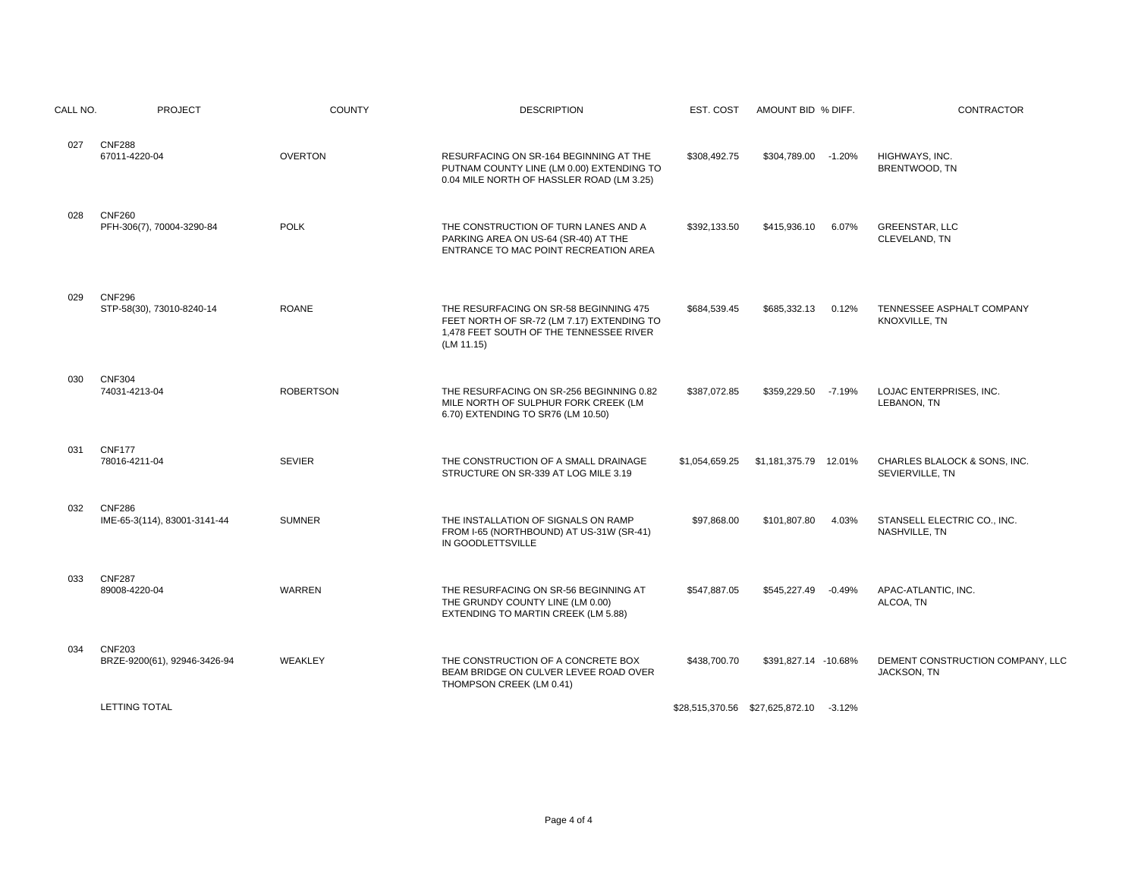| CALL NO. | <b>PROJECT</b>                                | <b>COUNTY</b>    | <b>DESCRIPTION</b>                                                                                                                            | EST. COST      | AMOUNT BID % DIFF.                     | CONTRACTOR                                      |
|----------|-----------------------------------------------|------------------|-----------------------------------------------------------------------------------------------------------------------------------------------|----------------|----------------------------------------|-------------------------------------------------|
| 027      | <b>CNF288</b><br>67011-4220-04                | <b>OVERTON</b>   | RESURFACING ON SR-164 BEGINNING AT THE<br>PUTNAM COUNTY LINE (LM 0.00) EXTENDING TO<br>0.04 MILE NORTH OF HASSLER ROAD (LM 3.25)              | \$308,492.75   | \$304,789.00 -1.20%                    | HIGHWAYS, INC.<br>BRENTWOOD, TN                 |
| 028      | <b>CNF260</b><br>PFH-306(7), 70004-3290-84    | <b>POLK</b>      | THE CONSTRUCTION OF TURN LANES AND A<br>PARKING AREA ON US-64 (SR-40) AT THE<br>ENTRANCE TO MAC POINT RECREATION AREA                         | \$392,133.50   | 6.07%<br>\$415,936.10                  | <b>GREENSTAR, LLC</b><br>CLEVELAND, TN          |
| 029      | <b>CNF296</b><br>STP-58(30), 73010-8240-14    | <b>ROANE</b>     | THE RESURFACING ON SR-58 BEGINNING 475<br>FEET NORTH OF SR-72 (LM 7.17) EXTENDING TO<br>1,478 FEET SOUTH OF THE TENNESSEE RIVER<br>(LM 11.15) | \$684.539.45   | \$685,332.13<br>0.12%                  | TENNESSEE ASPHALT COMPANY<br>KNOXVILLE, TN      |
| 030      | <b>CNF304</b><br>74031-4213-04                | <b>ROBERTSON</b> | THE RESURFACING ON SR-256 BEGINNING 0.82<br>MILE NORTH OF SULPHUR FORK CREEK (LM<br>6.70) EXTENDING TO SR76 (LM 10.50)                        | \$387,072.85   | \$359,229.50 -7.19%                    | LOJAC ENTERPRISES, INC.<br>LEBANON, TN          |
| 031      | <b>CNF177</b><br>78016-4211-04                | <b>SEVIER</b>    | THE CONSTRUCTION OF A SMALL DRAINAGE<br>STRUCTURE ON SR-339 AT LOG MILE 3.19                                                                  | \$1,054,659.25 | \$1,181,375.79 12.01%                  | CHARLES BLALOCK & SONS, INC.<br>SEVIERVILLE, TN |
| 032      | <b>CNF286</b><br>IME-65-3(114), 83001-3141-44 | <b>SUMNER</b>    | THE INSTALLATION OF SIGNALS ON RAMP<br>FROM I-65 (NORTHBOUND) AT US-31W (SR-41)<br>IN GOODLETTSVILLE                                          | \$97,868.00    | 4.03%<br>\$101,807.80                  | STANSELL ELECTRIC CO., INC.<br>NASHVILLE, TN    |
| 033      | <b>CNF287</b><br>89008-4220-04                | WARREN           | THE RESURFACING ON SR-56 BEGINNING AT<br>THE GRUNDY COUNTY LINE (LM 0.00)<br>EXTENDING TO MARTIN CREEK (LM 5.88)                              | \$547,887.05   | \$545,227.49 -0.49%                    | APAC-ATLANTIC, INC.<br>ALCOA, TN                |
| 034      | <b>CNF203</b><br>BRZE-9200(61), 92946-3426-94 | WEAKLEY          | THE CONSTRUCTION OF A CONCRETE BOX<br>BEAM BRIDGE ON CULVER LEVEE ROAD OVER<br>THOMPSON CREEK (LM 0.41)                                       | \$438,700.70   | \$391,827.14 -10.68%                   | DEMENT CONSTRUCTION COMPANY, LLC<br>JACKSON, TN |
|          | <b>LETTING TOTAL</b>                          |                  |                                                                                                                                               |                | \$28,515,370.56 \$27,625,872.10 -3.12% |                                                 |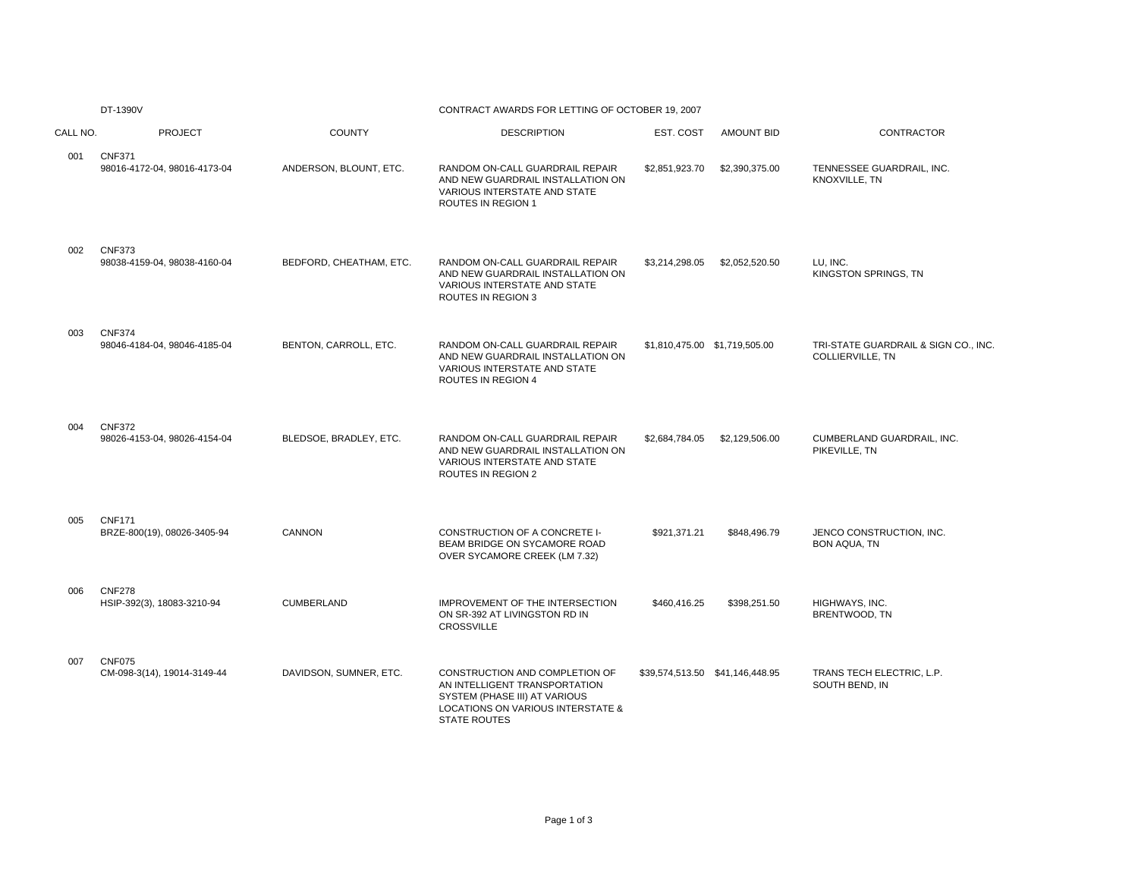|          | DT-1390V                                      |                         | CONTRACT AWARDS FOR LETTING OF OCTOBER 19, 2007                                                                                                              |                |                               |                                                                 |  |
|----------|-----------------------------------------------|-------------------------|--------------------------------------------------------------------------------------------------------------------------------------------------------------|----------------|-------------------------------|-----------------------------------------------------------------|--|
| CALL NO. | <b>PROJECT</b>                                | <b>COUNTY</b>           | <b>DESCRIPTION</b>                                                                                                                                           | EST. COST      | <b>AMOUNT BID</b>             | <b>CONTRACTOR</b>                                               |  |
| 001      | <b>CNF371</b><br>98016-4172-04, 98016-4173-04 | ANDERSON, BLOUNT, ETC.  | RANDOM ON-CALL GUARDRAIL REPAIR<br>AND NEW GUARDRAIL INSTALLATION ON<br>VARIOUS INTERSTATE AND STATE<br>ROUTES IN REGION 1                                   | \$2,851,923.70 | \$2,390,375.00                | TENNESSEE GUARDRAIL, INC.<br>KNOXVILLE, TN                      |  |
| 002      | <b>CNF373</b><br>98038-4159-04, 98038-4160-04 | BEDFORD, CHEATHAM, ETC. | RANDOM ON-CALL GUARDRAIL REPAIR<br>AND NEW GUARDRAIL INSTALLATION ON<br>VARIOUS INTERSTATE AND STATE<br><b>ROUTES IN REGION 3</b>                            | \$3,214,298.05 | \$2,052,520.50                | LU, INC.<br>KINGSTON SPRINGS, TN                                |  |
| 003      | <b>CNF374</b><br>98046-4184-04, 98046-4185-04 | BENTON, CARROLL, ETC.   | RANDOM ON-CALL GUARDRAIL REPAIR<br>AND NEW GUARDRAIL INSTALLATION ON<br>VARIOUS INTERSTATE AND STATE<br><b>ROUTES IN REGION 4</b>                            |                | \$1,810,475.00 \$1,719,505.00 | TRI-STATE GUARDRAIL & SIGN CO., INC.<br><b>COLLIERVILLE, TN</b> |  |
| 004      | <b>CNF372</b><br>98026-4153-04, 98026-4154-04 | BLEDSOE, BRADLEY, ETC.  | RANDOM ON-CALL GUARDRAIL REPAIR<br>AND NEW GUARDRAIL INSTALLATION ON<br>VARIOUS INTERSTATE AND STATE<br>ROUTES IN REGION 2                                   | \$2,684,784.05 | \$2,129,506.00                | CUMBERLAND GUARDRAIL, INC.<br>PIKEVILLE, TN                     |  |
| 005      | <b>CNF171</b><br>BRZE-800(19), 08026-3405-94  | <b>CANNON</b>           | CONSTRUCTION OF A CONCRETE I-<br>BEAM BRIDGE ON SYCAMORE ROAD<br>OVER SYCAMORE CREEK (LM 7.32)                                                               | \$921.371.21   | \$848,496.79                  | JENCO CONSTRUCTION, INC.<br><b>BON AQUA, TN</b>                 |  |
| 006      | <b>CNF278</b><br>HSIP-392(3), 18083-3210-94   | CUMBERLAND              | IMPROVEMENT OF THE INTERSECTION<br>ON SR-392 AT LIVINGSTON RD IN<br><b>CROSSVILLE</b>                                                                        | \$460,416.25   | \$398,251.50                  | HIGHWAYS, INC.<br>BRENTWOOD, TN                                 |  |
| 007      | <b>CNF075</b><br>CM-098-3(14), 19014-3149-44  | DAVIDSON, SUMNER, ETC.  | CONSTRUCTION AND COMPLETION OF<br>AN INTELLIGENT TRANSPORTATION<br>SYSTEM (PHASE III) AT VARIOUS<br>LOCATIONS ON VARIOUS INTERSTATE &<br><b>STATE ROUTES</b> |                |                               | TRANS TECH ELECTRIC, L.P.<br>SOUTH BEND, IN                     |  |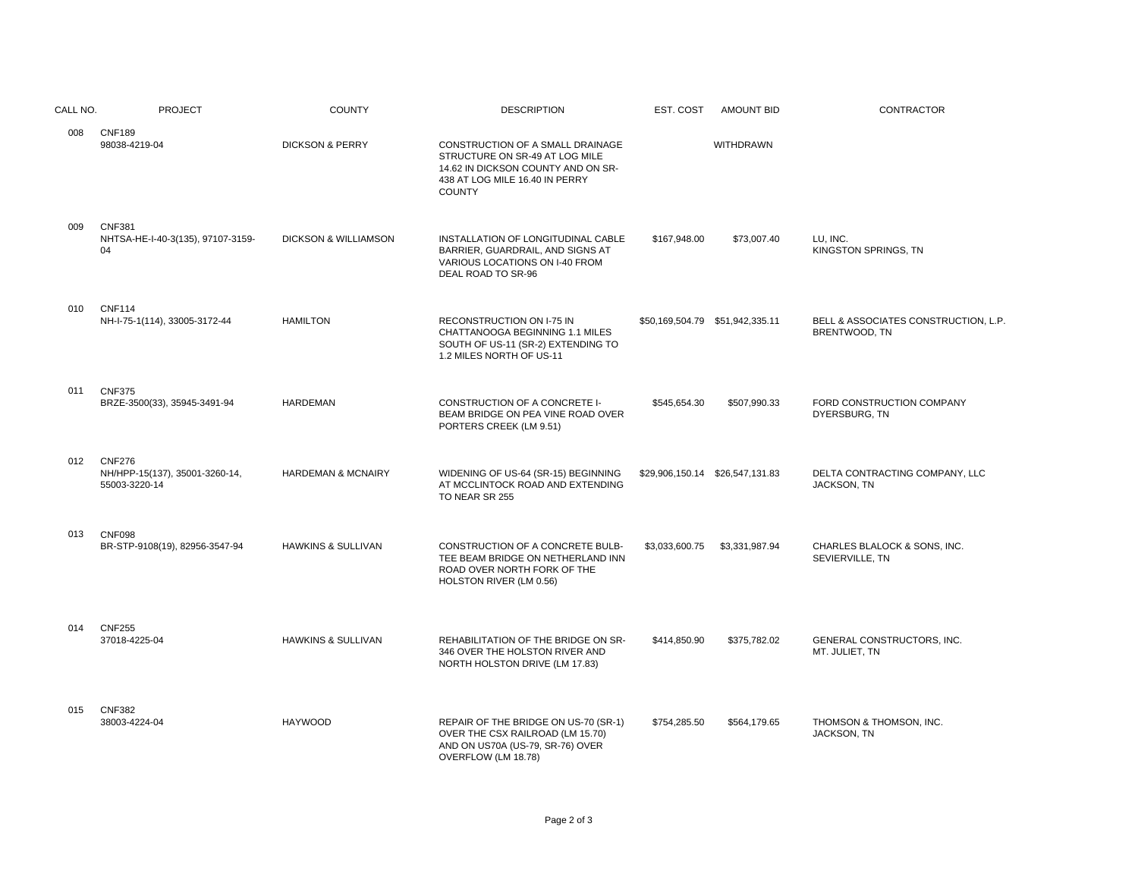| CALL NO. | <b>PROJECT</b>                                                   | <b>COUNTY</b>                   | <b>DESCRIPTION</b>                                                                                                                                          | EST. COST      | <b>AMOUNT BID</b>               | <b>CONTRACTOR</b>                                     |
|----------|------------------------------------------------------------------|---------------------------------|-------------------------------------------------------------------------------------------------------------------------------------------------------------|----------------|---------------------------------|-------------------------------------------------------|
| 008      | <b>CNF189</b><br>98038-4219-04                                   | <b>DICKSON &amp; PERRY</b>      | CONSTRUCTION OF A SMALL DRAINAGE<br>STRUCTURE ON SR-49 AT LOG MILE<br>14.62 IN DICKSON COUNTY AND ON SR-<br>438 AT LOG MILE 16.40 IN PERRY<br><b>COUNTY</b> |                | <b>WITHDRAWN</b>                |                                                       |
| 009      | <b>CNF381</b><br>NHTSA-HE-I-40-3(135), 97107-3159-<br>04         | <b>DICKSON &amp; WILLIAMSON</b> | INSTALLATION OF LONGITUDINAL CABLE<br>BARRIER, GUARDRAIL, AND SIGNS AT<br>VARIOUS LOCATIONS ON I-40 FROM<br>DEAL ROAD TO SR-96                              | \$167,948.00   | \$73,007.40                     | LU, INC.<br>KINGSTON SPRINGS, TN                      |
| 010      | <b>CNF114</b><br>NH-I-75-1(114), 33005-3172-44                   | <b>HAMILTON</b>                 | RECONSTRUCTION ON I-75 IN<br>CHATTANOOGA BEGINNING 1.1 MILES<br>SOUTH OF US-11 (SR-2) EXTENDING TO<br>1.2 MILES NORTH OF US-11                              |                |                                 | BELL & ASSOCIATES CONSTRUCTION, L.P.<br>BRENTWOOD, TN |
| 011      | <b>CNF375</b><br>BRZE-3500(33), 35945-3491-94                    | <b>HARDEMAN</b>                 | CONSTRUCTION OF A CONCRETE I-<br>BEAM BRIDGE ON PEA VINE ROAD OVER<br>PORTERS CREEK (LM 9.51)                                                               | \$545,654.30   | \$507,990.33                    | FORD CONSTRUCTION COMPANY<br>DYERSBURG, TN            |
| 012      | <b>CNF276</b><br>NH/HPP-15(137), 35001-3260-14,<br>55003-3220-14 | <b>HARDEMAN &amp; MCNAIRY</b>   | WIDENING OF US-64 (SR-15) BEGINNING<br>AT MCCLINTOCK ROAD AND EXTENDING<br>TO NEAR SR 255                                                                   |                | \$29,906,150.14 \$26,547,131.83 | DELTA CONTRACTING COMPANY, LLC<br>JACKSON, TN         |
| 013      | <b>CNF098</b><br>BR-STP-9108(19), 82956-3547-94                  | <b>HAWKINS &amp; SULLIVAN</b>   | CONSTRUCTION OF A CONCRETE BULB-<br>TEE BEAM BRIDGE ON NETHERLAND INN<br>ROAD OVER NORTH FORK OF THE<br>HOLSTON RIVER (LM 0.56)                             | \$3,033,600.75 | \$3,331,987.94                  | CHARLES BLALOCK & SONS, INC.<br>SEVIERVILLE, TN       |
| 014      | <b>CNF255</b><br>37018-4225-04                                   | <b>HAWKINS &amp; SULLIVAN</b>   | REHABILITATION OF THE BRIDGE ON SR-<br>346 OVER THE HOLSTON RIVER AND<br>NORTH HOLSTON DRIVE (LM 17.83)                                                     | \$414,850.90   | \$375,782.02                    | GENERAL CONSTRUCTORS, INC.<br>MT. JULIET, TN          |
| 015      | <b>CNF382</b><br>38003-4224-04                                   | <b>HAYWOOD</b>                  | REPAIR OF THE BRIDGE ON US-70 (SR-1)<br>OVER THE CSX RAILROAD (LM 15.70)<br>AND ON US70A (US-79, SR-76) OVER<br>OVERFLOW (LM 18.78)                         | \$754,285.50   | \$564,179.65                    | THOMSON & THOMSON, INC.<br>JACKSON, TN                |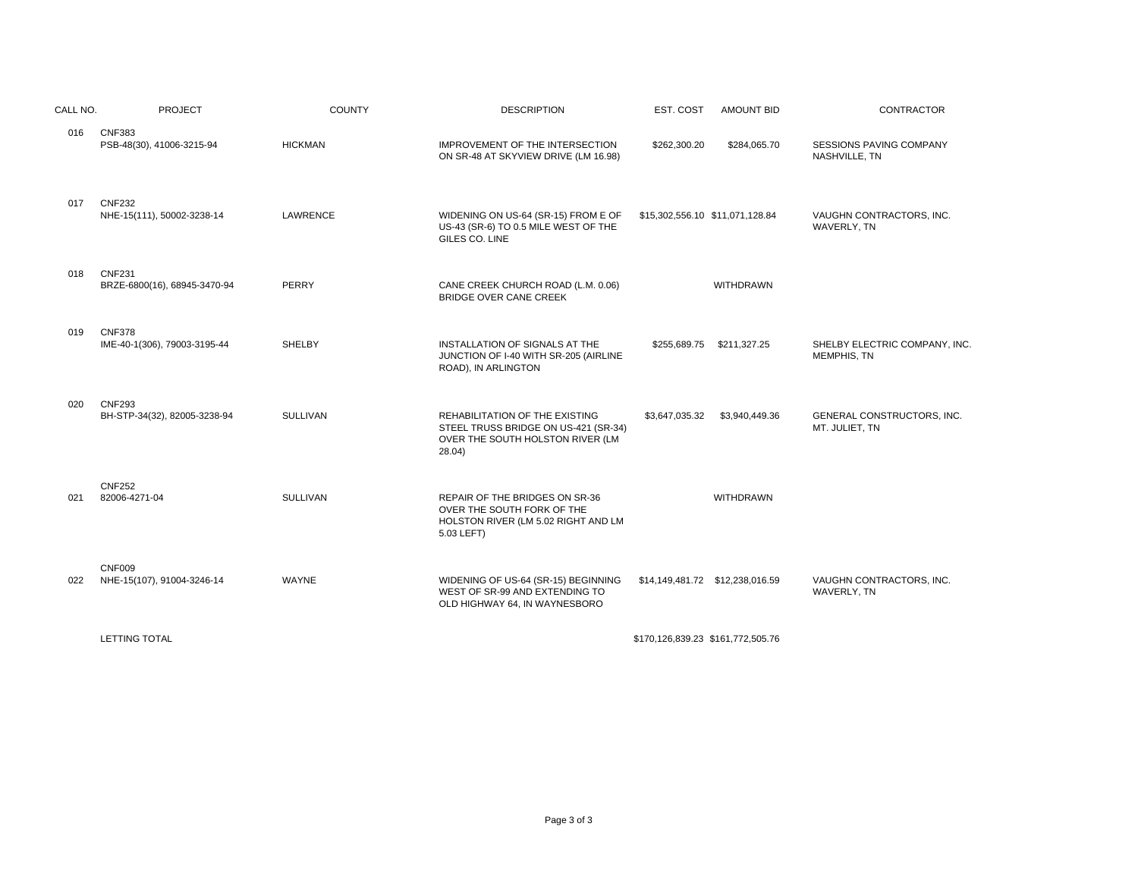| CALL NO. | <b>PROJECT</b>                                | <b>COUNTY</b>   | <b>DESCRIPTION</b>                                                                                                   | EST. COST                         | <b>AMOUNT BID</b>         | CONTRACTOR                                   |
|----------|-----------------------------------------------|-----------------|----------------------------------------------------------------------------------------------------------------------|-----------------------------------|---------------------------|----------------------------------------------|
| 016      | <b>CNF383</b><br>PSB-48(30), 41006-3215-94    | <b>HICKMAN</b>  | IMPROVEMENT OF THE INTERSECTION<br>ON SR-48 AT SKYVIEW DRIVE (LM 16.98)                                              | \$262,300.20                      | \$284,065.70              | SESSIONS PAVING COMPANY<br>NASHVILLE, TN     |
| 017      | <b>CNF232</b><br>NHE-15(111), 50002-3238-14   | LAWRENCE        | WIDENING ON US-64 (SR-15) FROM E OF<br>US-43 (SR-6) TO 0.5 MILE WEST OF THE<br>GILES CO. LINE                        | \$15,302,556.10 \$11,071,128.84   |                           | VAUGHN CONTRACTORS, INC.<br>WAVERLY, TN      |
| 018      | <b>CNF231</b><br>BRZE-6800(16), 68945-3470-94 | PERRY           | CANE CREEK CHURCH ROAD (L.M. 0.06)<br>BRIDGE OVER CANE CREEK                                                         |                                   | WITHDRAWN                 |                                              |
| 019      | <b>CNF378</b><br>IME-40-1(306), 79003-3195-44 | <b>SHELBY</b>   | INSTALLATION OF SIGNALS AT THE<br>JUNCTION OF I-40 WITH SR-205 (AIRLINE<br>ROAD), IN ARLINGTON                       |                                   | \$255.689.75 \$211.327.25 | SHELBY ELECTRIC COMPANY, INC.<br>MEMPHIS, TN |
| 020      | <b>CNF293</b><br>BH-STP-34(32), 82005-3238-94 | <b>SULLIVAN</b> | REHABILITATION OF THE EXISTING<br>STEEL TRUSS BRIDGE ON US-421 (SR-34)<br>OVER THE SOUTH HOLSTON RIVER (LM<br>28.04) | \$3,647,035.32                    | \$3,940,449.36            | GENERAL CONSTRUCTORS, INC.<br>MT. JULIET, TN |
| 021      | <b>CNF252</b><br>82006-4271-04                | <b>SULLIVAN</b> | REPAIR OF THE BRIDGES ON SR-36<br>OVER THE SOUTH FORK OF THE<br>HOLSTON RIVER (LM 5.02 RIGHT AND LM<br>5.03 LEFT)    |                                   | <b>WITHDRAWN</b>          |                                              |
| 022      | <b>CNF009</b><br>NHE-15(107), 91004-3246-14   | <b>WAYNE</b>    | WIDENING OF US-64 (SR-15) BEGINNING<br>WEST OF SR-99 AND EXTENDING TO<br>OLD HIGHWAY 64, IN WAYNESBORO               |                                   |                           | VAUGHN CONTRACTORS, INC.<br>WAVERLY, TN      |
|          | LETTING TOTAL                                 |                 |                                                                                                                      | \$170,126,839.23 \$161,772,505.76 |                           |                                              |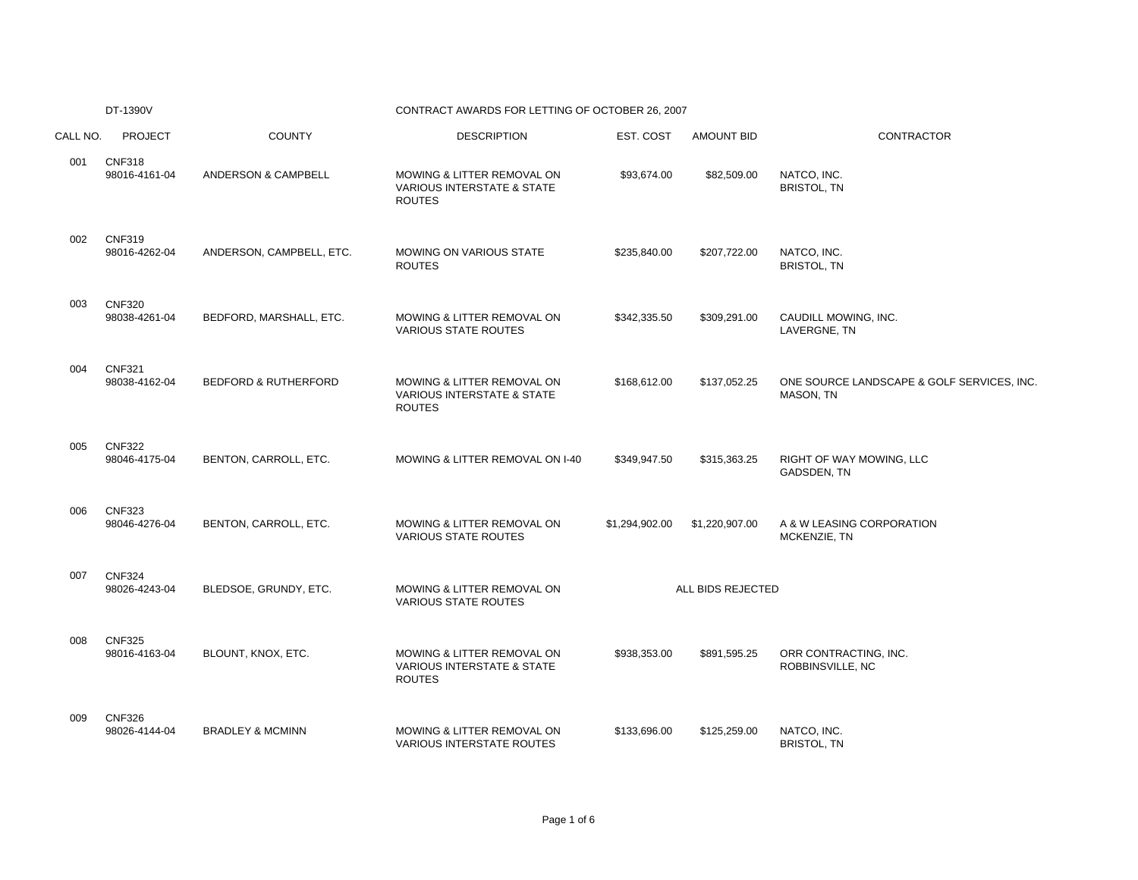|          | DT-1390V                       |                                 | CONTRACT AWARDS FOR LETTING OF OCTOBER 26, 2007                                                 |                |                   |                                                         |
|----------|--------------------------------|---------------------------------|-------------------------------------------------------------------------------------------------|----------------|-------------------|---------------------------------------------------------|
| CALL NO. | <b>PROJECT</b>                 | <b>COUNTY</b>                   | <b>DESCRIPTION</b>                                                                              | EST. COST      | <b>AMOUNT BID</b> | <b>CONTRACTOR</b>                                       |
| 001      | <b>CNF318</b><br>98016-4161-04 | ANDERSON & CAMPBELL             | MOWING & LITTER REMOVAL ON<br><b>VARIOUS INTERSTATE &amp; STATE</b><br><b>ROUTES</b>            | \$93,674.00    | \$82,509.00       | NATCO, INC.<br><b>BRISTOL, TN</b>                       |
| 002      | <b>CNF319</b><br>98016-4262-04 | ANDERSON, CAMPBELL, ETC.        | <b>MOWING ON VARIOUS STATE</b><br><b>ROUTES</b>                                                 | \$235,840.00   | \$207,722.00      | NATCO, INC.<br><b>BRISTOL, TN</b>                       |
| 003      | <b>CNF320</b><br>98038-4261-04 | BEDFORD, MARSHALL, ETC.         | MOWING & LITTER REMOVAL ON<br><b>VARIOUS STATE ROUTES</b>                                       | \$342,335.50   | \$309,291.00      | CAUDILL MOWING, INC.<br>LAVERGNE, TN                    |
| 004      | <b>CNF321</b><br>98038-4162-04 | <b>BEDFORD &amp; RUTHERFORD</b> | <b>MOWING &amp; LITTER REMOVAL ON</b><br><b>VARIOUS INTERSTATE &amp; STATE</b><br><b>ROUTES</b> | \$168,612.00   | \$137,052.25      | ONE SOURCE LANDSCAPE & GOLF SERVICES, INC.<br>MASON, TN |
| 005      | <b>CNF322</b><br>98046-4175-04 | BENTON, CARROLL, ETC.           | MOWING & LITTER REMOVAL ON I-40                                                                 | \$349,947.50   | \$315,363.25      | RIGHT OF WAY MOWING, LLC<br>GADSDEN, TN                 |
| 006      | <b>CNF323</b><br>98046-4276-04 | BENTON, CARROLL, ETC.           | MOWING & LITTER REMOVAL ON<br><b>VARIOUS STATE ROUTES</b>                                       | \$1,294,902.00 | \$1,220,907.00    | A & W LEASING CORPORATION<br>MCKENZIE, TN               |
| 007      | <b>CNF324</b><br>98026-4243-04 | BLEDSOE, GRUNDY, ETC.           | MOWING & LITTER REMOVAL ON<br><b>VARIOUS STATE ROUTES</b>                                       |                | ALL BIDS REJECTED |                                                         |
| 008      | <b>CNF325</b><br>98016-4163-04 | BLOUNT, KNOX, ETC.              | MOWING & LITTER REMOVAL ON<br><b>VARIOUS INTERSTATE &amp; STATE</b><br><b>ROUTES</b>            | \$938,353.00   | \$891,595.25      | ORR CONTRACTING, INC.<br>ROBBINSVILLE, NC               |
| 009      | <b>CNF326</b><br>98026-4144-04 | <b>BRADLEY &amp; MCMINN</b>     | <b>MOWING &amp; LITTER REMOVAL ON</b><br><b>VARIOUS INTERSTATE ROUTES</b>                       | \$133,696.00   | \$125,259.00      | NATCO, INC.<br><b>BRISTOL, TN</b>                       |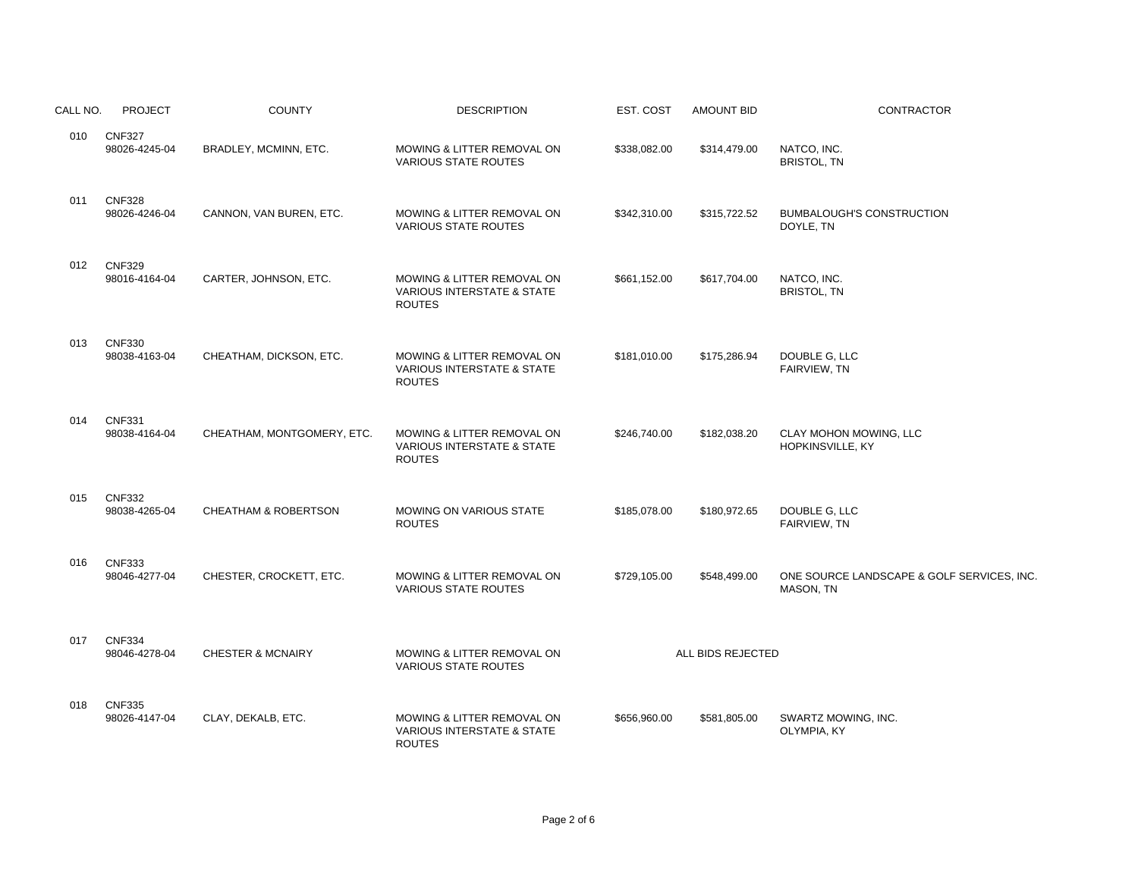| CALL NO. | <b>PROJECT</b>                 | <b>COUNTY</b>                   | <b>DESCRIPTION</b>                                                                   | EST. COST    | <b>AMOUNT BID</b> | <b>CONTRACTOR</b>                                       |
|----------|--------------------------------|---------------------------------|--------------------------------------------------------------------------------------|--------------|-------------------|---------------------------------------------------------|
| 010      | <b>CNF327</b><br>98026-4245-04 | BRADLEY, MCMINN, ETC.           | MOWING & LITTER REMOVAL ON<br><b>VARIOUS STATE ROUTES</b>                            | \$338,082.00 | \$314,479.00      | NATCO, INC.<br><b>BRISTOL, TN</b>                       |
| 011      | <b>CNF328</b><br>98026-4246-04 | CANNON, VAN BUREN, ETC.         | MOWING & LITTER REMOVAL ON<br><b>VARIOUS STATE ROUTES</b>                            | \$342,310.00 | \$315,722.52      | <b>BUMBALOUGH'S CONSTRUCTION</b><br>DOYLE, TN           |
| 012      | <b>CNF329</b><br>98016-4164-04 | CARTER, JOHNSON, ETC.           | MOWING & LITTER REMOVAL ON<br><b>VARIOUS INTERSTATE &amp; STATE</b><br><b>ROUTES</b> | \$661,152.00 | \$617,704.00      | NATCO, INC.<br><b>BRISTOL, TN</b>                       |
| 013      | <b>CNF330</b><br>98038-4163-04 | CHEATHAM, DICKSON, ETC.         | MOWING & LITTER REMOVAL ON<br><b>VARIOUS INTERSTATE &amp; STATE</b><br><b>ROUTES</b> | \$181,010.00 | \$175,286.94      | DOUBLE G, LLC<br>FAIRVIEW, TN                           |
| 014      | <b>CNF331</b><br>98038-4164-04 | CHEATHAM, MONTGOMERY, ETC.      | MOWING & LITTER REMOVAL ON<br><b>VARIOUS INTERSTATE &amp; STATE</b><br><b>ROUTES</b> | \$246,740.00 | \$182,038.20      | CLAY MOHON MOWING, LLC<br>HOPKINSVILLE, KY              |
| 015      | <b>CNF332</b><br>98038-4265-04 | <b>CHEATHAM &amp; ROBERTSON</b> | <b>MOWING ON VARIOUS STATE</b><br><b>ROUTES</b>                                      | \$185,078.00 | \$180,972.65      | DOUBLE G, LLC<br>FAIRVIEW, TN                           |
| 016      | <b>CNF333</b><br>98046-4277-04 | CHESTER, CROCKETT, ETC.         | MOWING & LITTER REMOVAL ON<br><b>VARIOUS STATE ROUTES</b>                            | \$729,105.00 | \$548,499.00      | ONE SOURCE LANDSCAPE & GOLF SERVICES, INC.<br>MASON, TN |
| 017      | <b>CNF334</b><br>98046-4278-04 | <b>CHESTER &amp; MCNAIRY</b>    | <b>MOWING &amp; LITTER REMOVAL ON</b><br><b>VARIOUS STATE ROUTES</b>                 |              | ALL BIDS REJECTED |                                                         |
| 018      | <b>CNF335</b><br>98026-4147-04 | CLAY, DEKALB, ETC.              | MOWING & LITTER REMOVAL ON<br><b>VARIOUS INTERSTATE &amp; STATE</b><br><b>ROUTES</b> | \$656,960.00 | \$581,805.00      | SWARTZ MOWING, INC.<br>OLYMPIA, KY                      |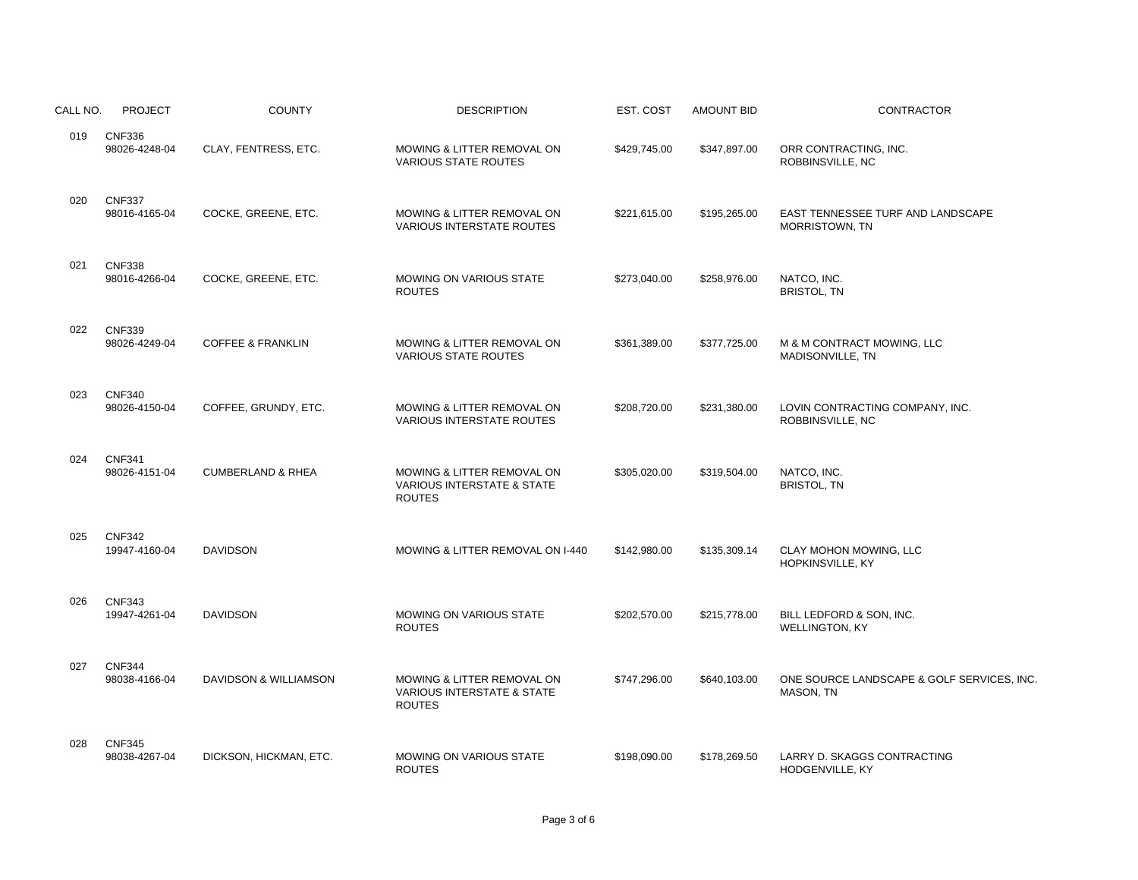| CALL NO. | <b>PROJECT</b>                 | <b>COUNTY</b>                    | <b>DESCRIPTION</b>                                                                              | EST. COST    | <b>AMOUNT BID</b> | CONTRACTOR                                              |
|----------|--------------------------------|----------------------------------|-------------------------------------------------------------------------------------------------|--------------|-------------------|---------------------------------------------------------|
| 019      | <b>CNF336</b><br>98026-4248-04 | CLAY, FENTRESS, ETC.             | MOWING & LITTER REMOVAL ON<br><b>VARIOUS STATE ROUTES</b>                                       | \$429,745.00 | \$347,897.00      | ORR CONTRACTING, INC.<br>ROBBINSVILLE, NC               |
| 020      | <b>CNF337</b><br>98016-4165-04 | COCKE, GREENE, ETC.              | MOWING & LITTER REMOVAL ON<br><b>VARIOUS INTERSTATE ROUTES</b>                                  | \$221,615.00 | \$195,265.00      | EAST TENNESSEE TURF AND LANDSCAPE<br>MORRISTOWN, TN     |
| 021      | <b>CNF338</b><br>98016-4266-04 | COCKE, GREENE, ETC.              | <b>MOWING ON VARIOUS STATE</b><br><b>ROUTES</b>                                                 | \$273.040.00 | \$258,976.00      | NATCO, INC.<br><b>BRISTOL, TN</b>                       |
| 022      | <b>CNF339</b><br>98026-4249-04 | <b>COFFEE &amp; FRANKLIN</b>     | MOWING & LITTER REMOVAL ON<br><b>VARIOUS STATE ROUTES</b>                                       | \$361,389.00 | \$377,725.00      | M & M CONTRACT MOWING, LLC<br>MADISONVILLE, TN          |
| 023      | <b>CNF340</b><br>98026-4150-04 | COFFEE, GRUNDY, ETC.             | MOWING & LITTER REMOVAL ON<br><b>VARIOUS INTERSTATE ROUTES</b>                                  | \$208,720.00 | \$231,380.00      | LOVIN CONTRACTING COMPANY, INC.<br>ROBBINSVILLE, NC     |
| 024      | <b>CNF341</b><br>98026-4151-04 | <b>CUMBERLAND &amp; RHEA</b>     | MOWING & LITTER REMOVAL ON<br><b>VARIOUS INTERSTATE &amp; STATE</b><br><b>ROUTES</b>            | \$305,020.00 | \$319,504.00      | NATCO, INC.<br><b>BRISTOL, TN</b>                       |
| 025      | <b>CNF342</b><br>19947-4160-04 | <b>DAVIDSON</b>                  | MOWING & LITTER REMOVAL ON I-440                                                                | \$142,980.00 | \$135,309.14      | CLAY MOHON MOWING, LLC<br>HOPKINSVILLE, KY              |
| 026      | <b>CNF343</b><br>19947-4261-04 | <b>DAVIDSON</b>                  | MOWING ON VARIOUS STATE<br><b>ROUTES</b>                                                        | \$202,570.00 | \$215,778.00      | BILL LEDFORD & SON, INC.<br><b>WELLINGTON, KY</b>       |
| 027      | <b>CNF344</b><br>98038-4166-04 | <b>DAVIDSON &amp; WILLIAMSON</b> | <b>MOWING &amp; LITTER REMOVAL ON</b><br><b>VARIOUS INTERSTATE &amp; STATE</b><br><b>ROUTES</b> | \$747,296.00 | \$640,103.00      | ONE SOURCE LANDSCAPE & GOLF SERVICES. INC.<br>MASON, TN |
| 028      | <b>CNF345</b><br>98038-4267-04 | DICKSON, HICKMAN, ETC.           | MOWING ON VARIOUS STATE<br><b>ROUTES</b>                                                        | \$198,090.00 | \$178,269.50      | LARRY D. SKAGGS CONTRACTING<br>HODGENVILLE, KY          |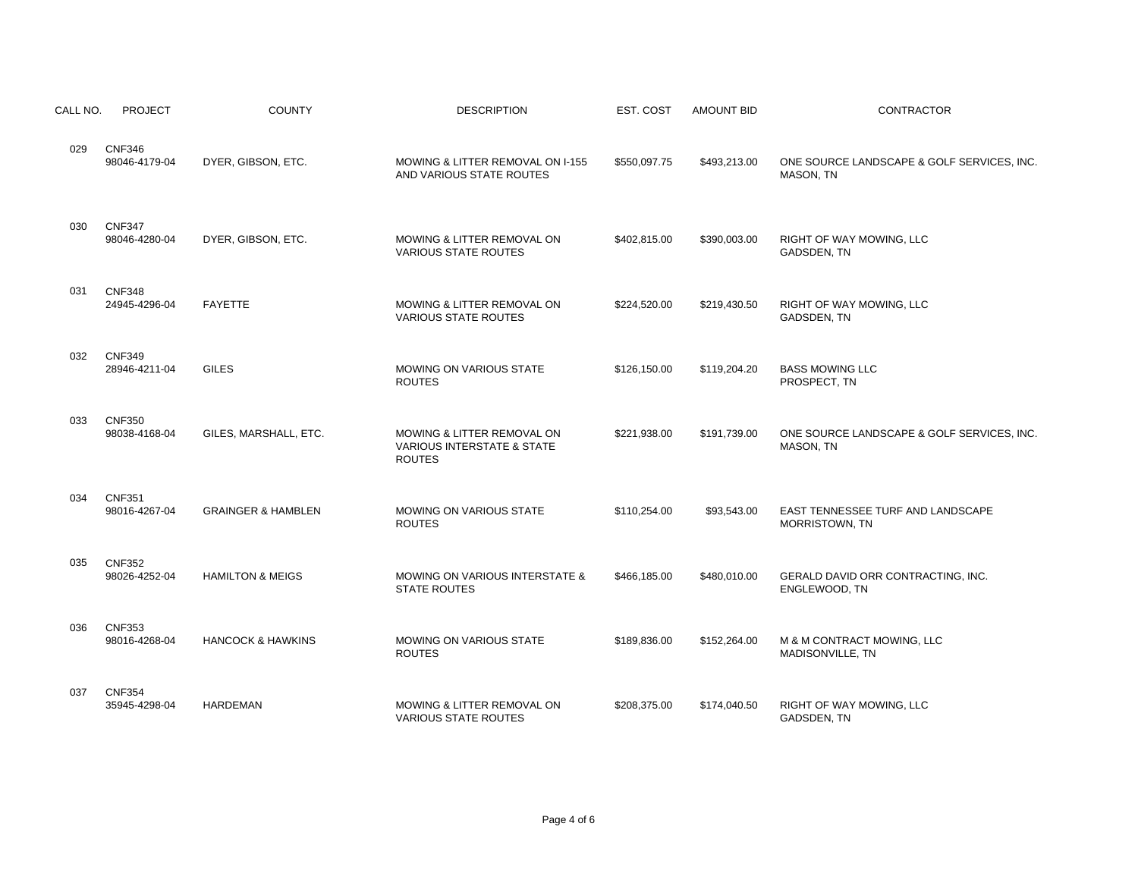| CALL NO. | <b>PROJECT</b>                 | <b>COUNTY</b>                 | <b>DESCRIPTION</b>                                                                   | EST. COST    | <b>AMOUNT BID</b> | <b>CONTRACTOR</b>                                       |
|----------|--------------------------------|-------------------------------|--------------------------------------------------------------------------------------|--------------|-------------------|---------------------------------------------------------|
| 029      | <b>CNF346</b><br>98046-4179-04 | DYER, GIBSON, ETC.            | MOWING & LITTER REMOVAL ON I-155<br>AND VARIOUS STATE ROUTES                         | \$550,097.75 | \$493,213.00      | ONE SOURCE LANDSCAPE & GOLF SERVICES, INC.<br>MASON, TN |
| 030      | <b>CNF347</b><br>98046-4280-04 | DYER, GIBSON, ETC.            | MOWING & LITTER REMOVAL ON<br><b>VARIOUS STATE ROUTES</b>                            | \$402,815.00 | \$390,003.00      | RIGHT OF WAY MOWING, LLC<br>GADSDEN, TN                 |
| 031      | <b>CNF348</b><br>24945-4296-04 | <b>FAYETTE</b>                | MOWING & LITTER REMOVAL ON<br><b>VARIOUS STATE ROUTES</b>                            | \$224,520.00 | \$219,430.50      | RIGHT OF WAY MOWING, LLC<br>GADSDEN, TN                 |
| 032      | <b>CNF349</b><br>28946-4211-04 | <b>GILES</b>                  | MOWING ON VARIOUS STATE<br><b>ROUTES</b>                                             | \$126,150.00 | \$119,204.20      | <b>BASS MOWING LLC</b><br>PROSPECT, TN                  |
| 033      | <b>CNF350</b><br>98038-4168-04 | GILES, MARSHALL, ETC.         | MOWING & LITTER REMOVAL ON<br><b>VARIOUS INTERSTATE &amp; STATE</b><br><b>ROUTES</b> | \$221,938.00 | \$191,739.00      | ONE SOURCE LANDSCAPE & GOLF SERVICES, INC.<br>MASON, TN |
| 034      | <b>CNF351</b><br>98016-4267-04 | <b>GRAINGER &amp; HAMBLEN</b> | MOWING ON VARIOUS STATE<br><b>ROUTES</b>                                             | \$110,254.00 | \$93,543.00       | EAST TENNESSEE TURF AND LANDSCAPE<br>MORRISTOWN, TN     |
| 035      | <b>CNF352</b><br>98026-4252-04 | <b>HAMILTON &amp; MEIGS</b>   | MOWING ON VARIOUS INTERSTATE &<br><b>STATE ROUTES</b>                                | \$466,185.00 | \$480,010.00      | GERALD DAVID ORR CONTRACTING, INC.<br>ENGLEWOOD, TN     |
| 036      | <b>CNF353</b><br>98016-4268-04 | <b>HANCOCK &amp; HAWKINS</b>  | MOWING ON VARIOUS STATE<br><b>ROUTES</b>                                             | \$189,836.00 | \$152,264.00      | M & M CONTRACT MOWING, LLC<br>MADISONVILLE, TN          |
| 037      | <b>CNF354</b><br>35945-4298-04 | <b>HARDEMAN</b>               | MOWING & LITTER REMOVAL ON<br><b>VARIOUS STATE ROUTES</b>                            | \$208,375.00 | \$174,040.50      | RIGHT OF WAY MOWING, LLC<br>GADSDEN, TN                 |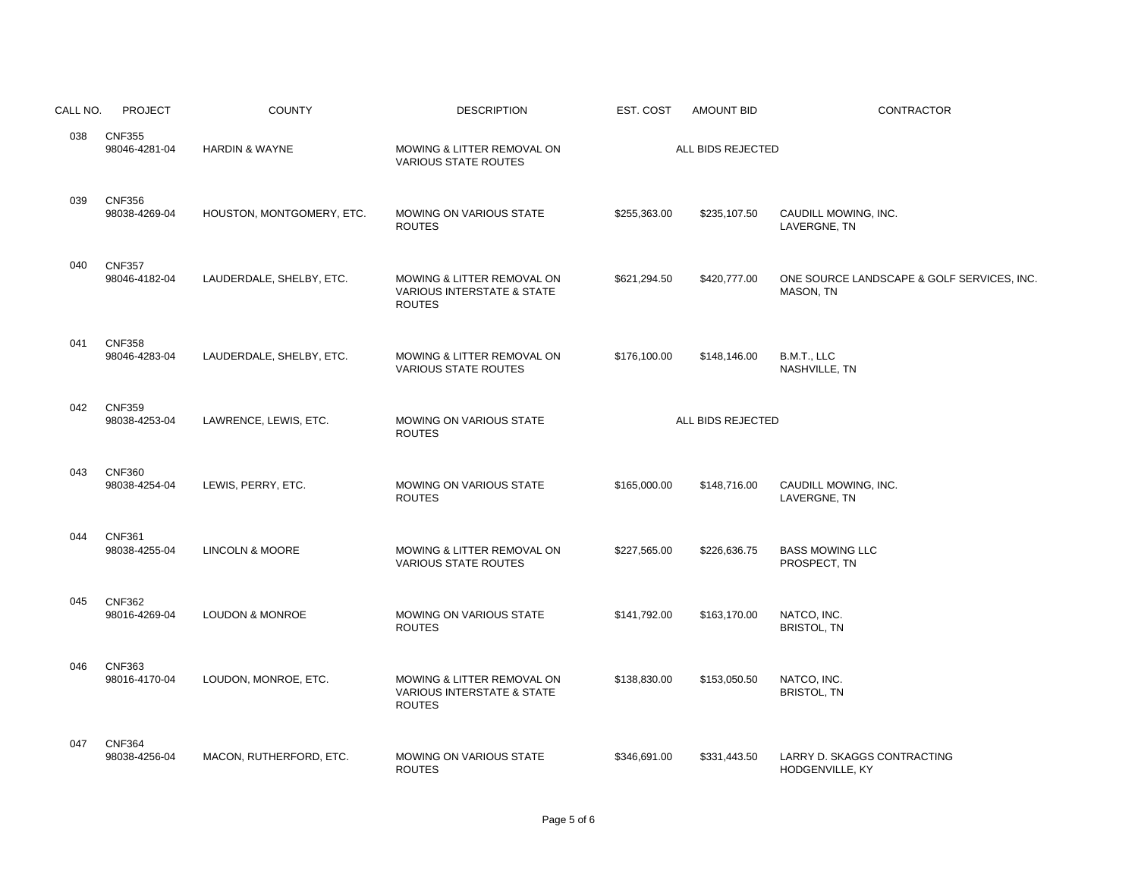| CALL NO. | <b>PROJECT</b>                 | <b>COUNTY</b>              | <b>DESCRIPTION</b>                                                                              | EST. COST    | <b>AMOUNT BID</b> | <b>CONTRACTOR</b>                                       |
|----------|--------------------------------|----------------------------|-------------------------------------------------------------------------------------------------|--------------|-------------------|---------------------------------------------------------|
| 038      | <b>CNF355</b><br>98046-4281-04 | <b>HARDIN &amp; WAYNE</b>  | MOWING & LITTER REMOVAL ON<br><b>VARIOUS STATE ROUTES</b>                                       |              | ALL BIDS REJECTED |                                                         |
| 039      | <b>CNF356</b><br>98038-4269-04 | HOUSTON, MONTGOMERY, ETC.  | MOWING ON VARIOUS STATE<br><b>ROUTES</b>                                                        | \$255,363.00 | \$235,107.50      | CAUDILL MOWING, INC.<br>LAVERGNE, TN                    |
| 040      | <b>CNF357</b><br>98046-4182-04 | LAUDERDALE, SHELBY, ETC.   | MOWING & LITTER REMOVAL ON<br><b>VARIOUS INTERSTATE &amp; STATE</b><br><b>ROUTES</b>            | \$621,294.50 | \$420,777.00      | ONE SOURCE LANDSCAPE & GOLF SERVICES, INC.<br>MASON, TN |
| 041      | <b>CNF358</b><br>98046-4283-04 | LAUDERDALE, SHELBY, ETC.   | MOWING & LITTER REMOVAL ON<br><b>VARIOUS STATE ROUTES</b>                                       | \$176,100.00 | \$148,146.00      | B.M.T., LLC<br>NASHVILLE, TN                            |
| 042      | <b>CNF359</b><br>98038-4253-04 | LAWRENCE, LEWIS, ETC.      | <b>MOWING ON VARIOUS STATE</b><br><b>ROUTES</b>                                                 |              | ALL BIDS REJECTED |                                                         |
| 043      | <b>CNF360</b><br>98038-4254-04 | LEWIS, PERRY, ETC.         | <b>MOWING ON VARIOUS STATE</b><br><b>ROUTES</b>                                                 | \$165,000.00 | \$148,716.00      | CAUDILL MOWING, INC.<br>LAVERGNE, TN                    |
| 044      | <b>CNF361</b><br>98038-4255-04 | LINCOLN & MOORE            | MOWING & LITTER REMOVAL ON<br><b>VARIOUS STATE ROUTES</b>                                       | \$227,565.00 | \$226,636.75      | <b>BASS MOWING LLC</b><br>PROSPECT, TN                  |
| 045      | <b>CNF362</b><br>98016-4269-04 | <b>LOUDON &amp; MONROE</b> | <b>MOWING ON VARIOUS STATE</b><br><b>ROUTES</b>                                                 | \$141,792.00 | \$163,170.00      | NATCO, INC.<br><b>BRISTOL, TN</b>                       |
| 046      | <b>CNF363</b><br>98016-4170-04 | LOUDON, MONROE, ETC.       | <b>MOWING &amp; LITTER REMOVAL ON</b><br><b>VARIOUS INTERSTATE &amp; STATE</b><br><b>ROUTES</b> | \$138,830.00 | \$153,050.50      | NATCO, INC.<br><b>BRISTOL, TN</b>                       |
| 047      | <b>CNF364</b><br>98038-4256-04 | MACON, RUTHERFORD, ETC.    | MOWING ON VARIOUS STATE<br><b>ROUTES</b>                                                        | \$346,691.00 | \$331,443.50      | LARRY D. SKAGGS CONTRACTING<br>HODGENVILLE, KY          |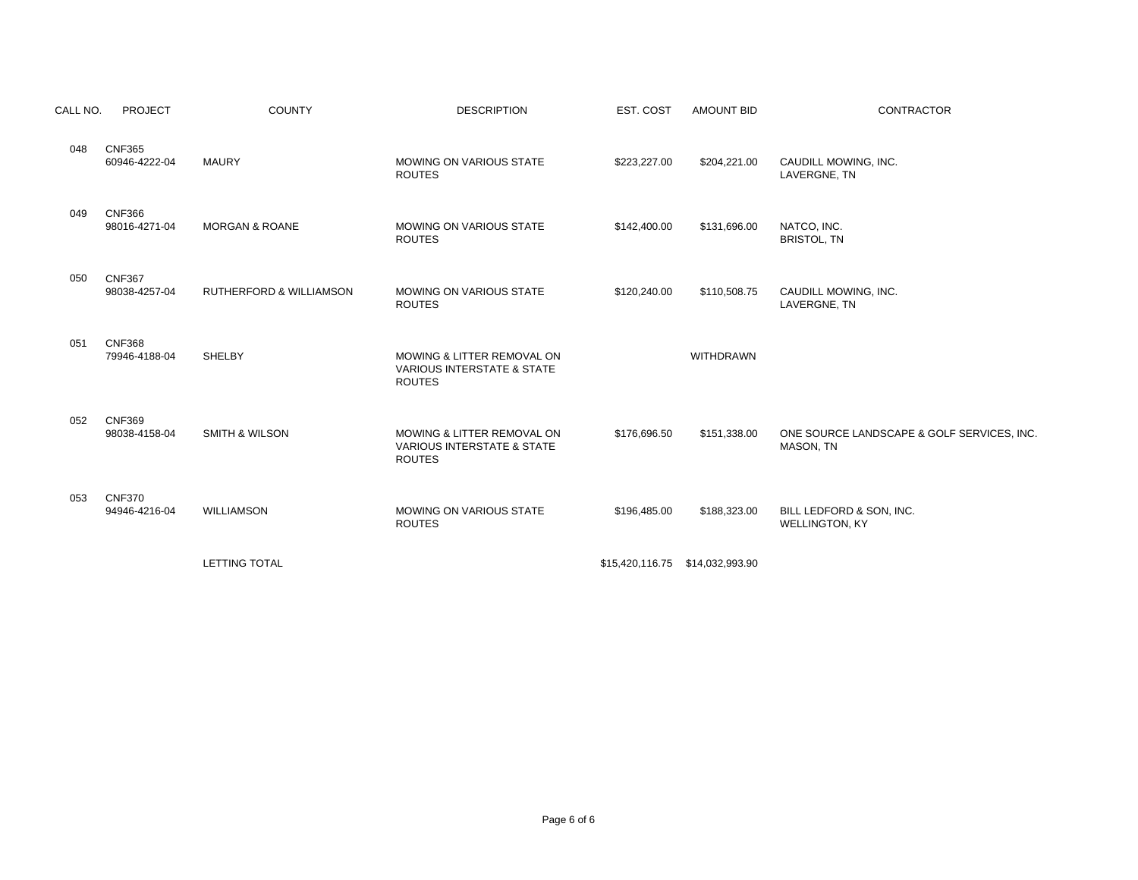| CALL NO. | <b>PROJECT</b>                 | <b>COUNTY</b>             | <b>DESCRIPTION</b>                                                                              | EST. COST    | <b>AMOUNT BID</b> | <b>CONTRACTOR</b>                                       |
|----------|--------------------------------|---------------------------|-------------------------------------------------------------------------------------------------|--------------|-------------------|---------------------------------------------------------|
| 048      | <b>CNF365</b><br>60946-4222-04 | <b>MAURY</b>              | MOWING ON VARIOUS STATE<br><b>ROUTES</b>                                                        | \$223,227.00 | \$204,221.00      | CAUDILL MOWING, INC.<br>LAVERGNE, TN                    |
| 049      | <b>CNF366</b><br>98016-4271-04 | <b>MORGAN &amp; ROANE</b> | MOWING ON VARIOUS STATE<br><b>ROUTES</b>                                                        | \$142,400.00 | \$131,696.00      | NATCO, INC.<br><b>BRISTOL, TN</b>                       |
| 050      | <b>CNF367</b><br>98038-4257-04 | RUTHERFORD & WILLIAMSON   | MOWING ON VARIOUS STATE<br><b>ROUTES</b>                                                        | \$120,240.00 | \$110,508.75      | CAUDILL MOWING, INC.<br>LAVERGNE, TN                    |
| 051      | <b>CNF368</b><br>79946-4188-04 | <b>SHELBY</b>             | <b>MOWING &amp; LITTER REMOVAL ON</b><br><b>VARIOUS INTERSTATE &amp; STATE</b><br><b>ROUTES</b> |              | <b>WITHDRAWN</b>  |                                                         |
| 052      | <b>CNF369</b><br>98038-4158-04 | <b>SMITH &amp; WILSON</b> | <b>MOWING &amp; LITTER REMOVAL ON</b><br><b>VARIOUS INTERSTATE &amp; STATE</b><br><b>ROUTES</b> | \$176,696.50 | \$151,338.00      | ONE SOURCE LANDSCAPE & GOLF SERVICES, INC.<br>MASON, TN |
| 053      | <b>CNF370</b><br>94946-4216-04 | <b>WILLIAMSON</b>         | MOWING ON VARIOUS STATE<br><b>ROUTES</b>                                                        | \$196,485.00 | \$188,323.00      | BILL LEDFORD & SON, INC.<br><b>WELLINGTON, KY</b>       |
|          |                                | <b>LETTING TOTAL</b>      |                                                                                                 |              |                   |                                                         |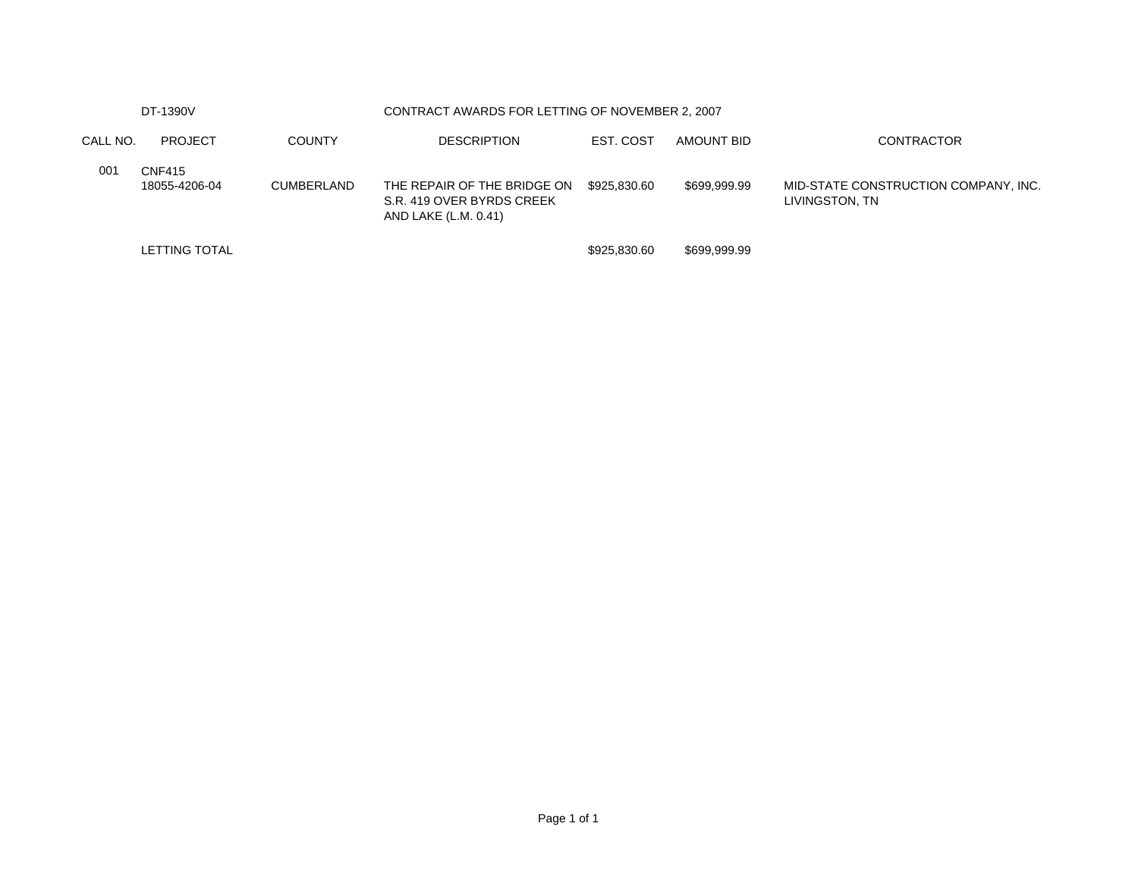| DT-1390V |                                |                   | CONTRACT AWARDS FOR LETTING OF NOVEMBER 2, 2007                                  |              |              |                                                        |
|----------|--------------------------------|-------------------|----------------------------------------------------------------------------------|--------------|--------------|--------------------------------------------------------|
| CALL NO. | <b>PROJECT</b>                 | <b>COUNTY</b>     | <b>DESCRIPTION</b>                                                               | EST. COST    | AMOUNT BID   | <b>CONTRACTOR</b>                                      |
| 001      | <b>CNF415</b><br>18055-4206-04 | <b>CUMBERLAND</b> | THE REPAIR OF THE BRIDGE ON<br>S.R. 419 OVER BYRDS CREEK<br>AND LAKE (L.M. 0.41) | \$925.830.60 | \$699.999.99 | MID-STATE CONSTRUCTION COMPANY, INC.<br>LIVINGSTON, TN |
|          | <b>LETTING TOTAL</b>           |                   |                                                                                  | \$925,830,60 | \$699.999.99 |                                                        |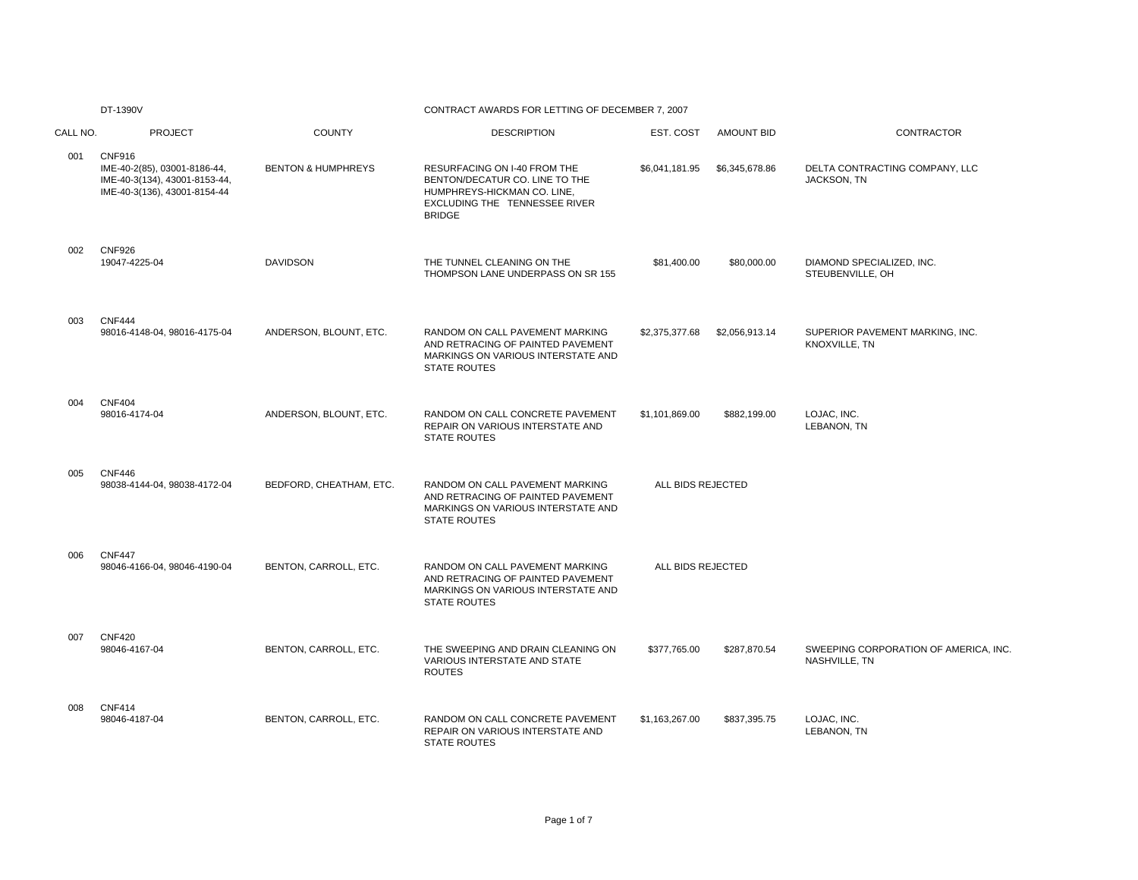## DT-1390V CONTRACT AWARDS FOR LETTING OF DECEMBER 7, 2007

| CALL NO. | <b>PROJECT</b>                                                                                                 | <b>COUNTY</b>                 | <b>DESCRIPTION</b>                                                                                                                              | EST. COST         | <b>AMOUNT BID</b> | <b>CONTRACTOR</b>                                     |
|----------|----------------------------------------------------------------------------------------------------------------|-------------------------------|-------------------------------------------------------------------------------------------------------------------------------------------------|-------------------|-------------------|-------------------------------------------------------|
| 001      | <b>CNF916</b><br>IME-40-2(85), 03001-8186-44,<br>IME-40-3(134), 43001-8153-44,<br>IME-40-3(136), 43001-8154-44 | <b>BENTON &amp; HUMPHREYS</b> | RESURFACING ON I-40 FROM THE<br>BENTON/DECATUR CO. LINE TO THE<br>HUMPHREYS-HICKMAN CO. LINE,<br>EXCLUDING THE TENNESSEE RIVER<br><b>BRIDGE</b> | \$6,041,181.95    | \$6,345,678.86    | DELTA CONTRACTING COMPANY, LLC<br>JACKSON, TN         |
| 002      | <b>CNF926</b><br>19047-4225-04                                                                                 | <b>DAVIDSON</b>               | THE TUNNEL CLEANING ON THE<br>THOMPSON LANE UNDERPASS ON SR 155                                                                                 | \$81,400.00       | \$80,000.00       | DIAMOND SPECIALIZED. INC.<br>STEUBENVILLE, OH         |
| 003      | <b>CNF444</b><br>98016-4148-04, 98016-4175-04                                                                  | ANDERSON, BLOUNT, ETC.        | RANDOM ON CALL PAVEMENT MARKING<br>AND RETRACING OF PAINTED PAVEMENT<br>MARKINGS ON VARIOUS INTERSTATE AND<br><b>STATE ROUTES</b>               | \$2,375,377.68    | \$2,056,913.14    | SUPERIOR PAVEMENT MARKING, INC.<br>KNOXVILLE, TN      |
| 004      | <b>CNF404</b><br>98016-4174-04                                                                                 | ANDERSON, BLOUNT, ETC.        | RANDOM ON CALL CONCRETE PAVEMENT<br>REPAIR ON VARIOUS INTERSTATE AND<br><b>STATE ROUTES</b>                                                     | \$1,101,869.00    | \$882,199.00      | LOJAC, INC.<br>LEBANON, TN                            |
| 005      | <b>CNF446</b><br>98038-4144-04, 98038-4172-04                                                                  | BEDFORD, CHEATHAM, ETC.       | RANDOM ON CALL PAVEMENT MARKING<br>AND RETRACING OF PAINTED PAVEMENT<br>MARKINGS ON VARIOUS INTERSTATE AND<br><b>STATE ROUTES</b>               | ALL BIDS REJECTED |                   |                                                       |
| 006      | <b>CNF447</b><br>98046-4166-04, 98046-4190-04                                                                  | BENTON, CARROLL, ETC.         | RANDOM ON CALL PAVEMENT MARKING<br>AND RETRACING OF PAINTED PAVEMENT<br>MARKINGS ON VARIOUS INTERSTATE AND<br><b>STATE ROUTES</b>               | ALL BIDS REJECTED |                   |                                                       |
| 007      | <b>CNF420</b><br>98046-4167-04                                                                                 | BENTON, CARROLL, ETC.         | THE SWEEPING AND DRAIN CLEANING ON<br>VARIOUS INTERSTATE AND STATE<br><b>ROUTES</b>                                                             | \$377,765.00      | \$287,870.54      | SWEEPING CORPORATION OF AMERICA, INC<br>NASHVILLE, TN |
| 008      | <b>CNF414</b><br>98046-4187-04                                                                                 | BENTON, CARROLL, ETC.         | RANDOM ON CALL CONCRETE PAVEMENT<br>REPAIR ON VARIOUS INTERSTATE AND<br><b>STATE ROUTES</b>                                                     | \$1,163,267.00    | \$837,395.75      | LOJAC, INC.<br>LEBANON, TN                            |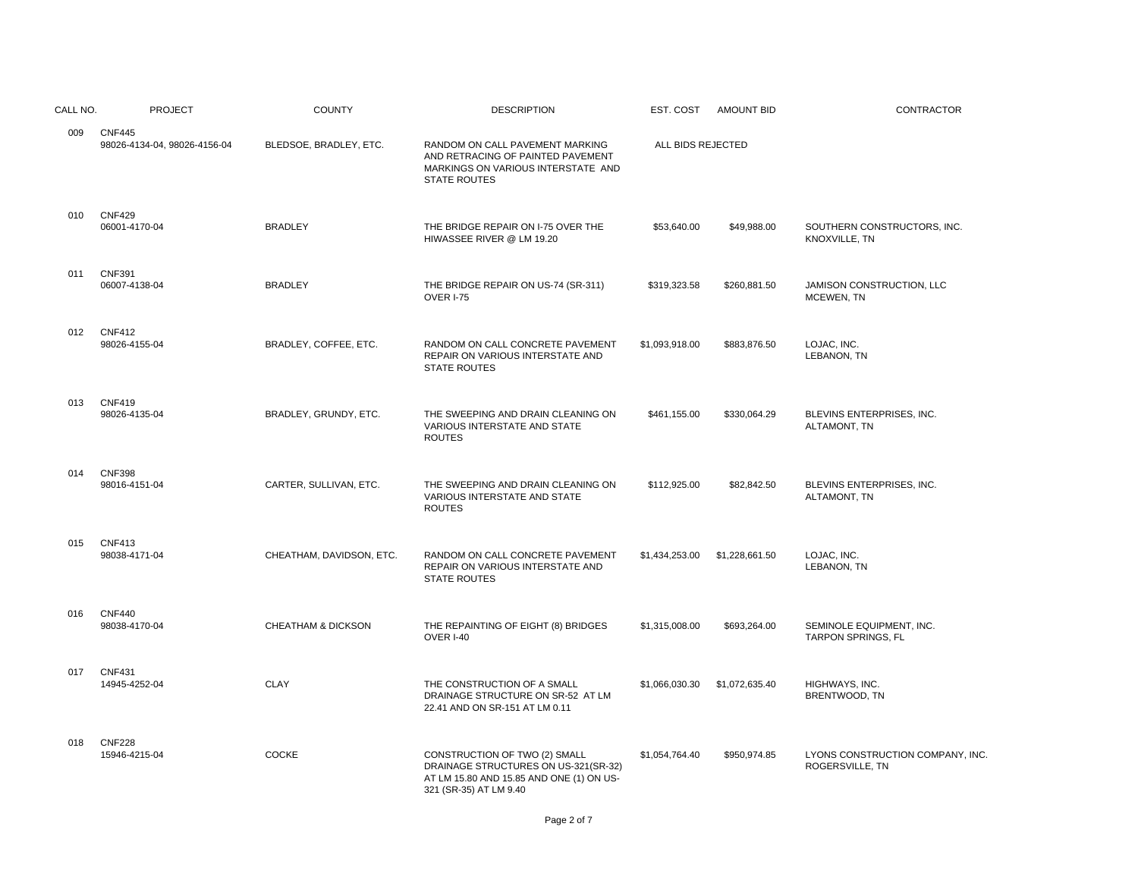| CALL NO. | <b>PROJECT</b>                                | <b>COUNTY</b>                 | <b>DESCRIPTION</b>                                                                                                                          | EST. COST         | AMOUNT BID     | <b>CONTRACTOR</b>                                   |
|----------|-----------------------------------------------|-------------------------------|---------------------------------------------------------------------------------------------------------------------------------------------|-------------------|----------------|-----------------------------------------------------|
| 009      | <b>CNF445</b><br>98026-4134-04, 98026-4156-04 | BLEDSOE, BRADLEY, ETC.        | RANDOM ON CALL PAVEMENT MARKING<br>AND RETRACING OF PAINTED PAVEMENT<br>MARKINGS ON VARIOUS INTERSTATE AND<br><b>STATE ROUTES</b>           | ALL BIDS REJECTED |                |                                                     |
| 010      | <b>CNF429</b><br>06001-4170-04                | <b>BRADLEY</b>                | THE BRIDGE REPAIR ON I-75 OVER THE<br>HIWASSEE RIVER @ LM 19.20                                                                             | \$53,640.00       | \$49,988.00    | SOUTHERN CONSTRUCTORS, INC.<br>KNOXVILLE, TN        |
| 011      | <b>CNF391</b><br>06007-4138-04                | <b>BRADLEY</b>                | THE BRIDGE REPAIR ON US-74 (SR-311)<br><b>OVER I-75</b>                                                                                     | \$319,323.58      | \$260,881.50   | JAMISON CONSTRUCTION, LLC<br>MCEWEN, TN             |
| 012      | <b>CNF412</b><br>98026-4155-04                | BRADLEY, COFFEE, ETC.         | RANDOM ON CALL CONCRETE PAVEMENT<br>REPAIR ON VARIOUS INTERSTATE AND<br><b>STATE ROUTES</b>                                                 | \$1,093,918.00    | \$883,876.50   | LOJAC, INC.<br>LEBANON, TN                          |
| 013      | <b>CNF419</b><br>98026-4135-04                | BRADLEY, GRUNDY, ETC.         | THE SWEEPING AND DRAIN CLEANING ON<br>VARIOUS INTERSTATE AND STATE<br><b>ROUTES</b>                                                         | \$461,155.00      | \$330,064.29   | BLEVINS ENTERPRISES, INC.<br>ALTAMONT, TN           |
| 014      | <b>CNF398</b><br>98016-4151-04                | CARTER, SULLIVAN, ETC.        | THE SWEEPING AND DRAIN CLEANING ON<br><b>VARIOUS INTERSTATE AND STATE</b><br><b>ROUTES</b>                                                  | \$112,925.00      | \$82,842.50    | BLEVINS ENTERPRISES, INC.<br>ALTAMONT, TN           |
| 015      | <b>CNF413</b><br>98038-4171-04                | CHEATHAM, DAVIDSON, ETC.      | RANDOM ON CALL CONCRETE PAVEMENT<br>REPAIR ON VARIOUS INTERSTATE AND<br><b>STATE ROUTES</b>                                                 | \$1,434,253.00    | \$1,228,661.50 | LOJAC, INC.<br>LEBANON, TN                          |
| 016      | <b>CNF440</b><br>98038-4170-04                | <b>CHEATHAM &amp; DICKSON</b> | THE REPAINTING OF EIGHT (8) BRIDGES<br><b>OVER I-40</b>                                                                                     | \$1,315,008.00    | \$693,264.00   | SEMINOLE EQUIPMENT, INC.<br>TARPON SPRINGS, FL      |
| 017      | <b>CNF431</b><br>14945-4252-04                | <b>CLAY</b>                   | THE CONSTRUCTION OF A SMALL<br>DRAINAGE STRUCTURE ON SR-52 AT LM<br>22.41 AND ON SR-151 AT LM 0.11                                          | \$1,066,030.30    | \$1,072,635.40 | HIGHWAYS, INC.<br>BRENTWOOD, TN                     |
| 018      | <b>CNF228</b><br>15946-4215-04                | COCKE                         | CONSTRUCTION OF TWO (2) SMALL<br>DRAINAGE STRUCTURES ON US-321(SR-32)<br>AT LM 15.80 AND 15.85 AND ONE (1) ON US-<br>321 (SR-35) AT LM 9.40 | \$1,054,764.40    | \$950,974.85   | LYONS CONSTRUCTION COMPANY, INC.<br>ROGERSVILLE, TN |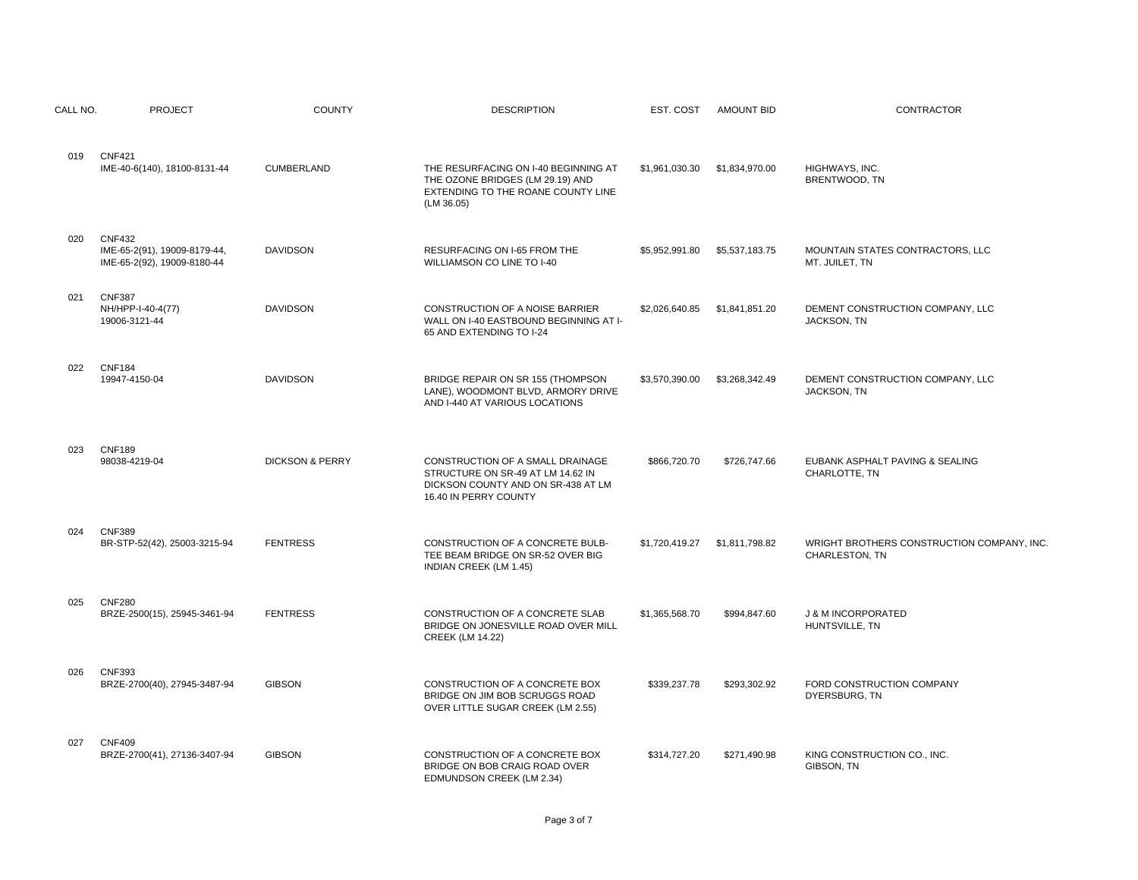| CALL NO. | <b>PROJECT</b>                                                               | <b>COUNTY</b>              | <b>DESCRIPTION</b>                                                                                                                   | EST. COST      | <b>AMOUNT BID</b> | CONTRACTOR                                                   |
|----------|------------------------------------------------------------------------------|----------------------------|--------------------------------------------------------------------------------------------------------------------------------------|----------------|-------------------|--------------------------------------------------------------|
| 019      | <b>CNF421</b><br>IME-40-6(140), 18100-8131-44                                | <b>CUMBERLAND</b>          | THE RESURFACING ON I-40 BEGINNING AT<br>THE OZONE BRIDGES (LM 29.19) AND<br>EXTENDING TO THE ROANE COUNTY LINE<br>(LM 36.05)         | \$1,961,030.30 | \$1,834,970.00    | HIGHWAYS, INC.<br>BRENTWOOD, TN                              |
| 020      | <b>CNF432</b><br>IME-65-2(91), 19009-8179-44,<br>IME-65-2(92), 19009-8180-44 | <b>DAVIDSON</b>            | RESURFACING ON I-65 FROM THE<br>WILLIAMSON CO LINE TO I-40                                                                           | \$5,952,991.80 | \$5,537,183.75    | MOUNTAIN STATES CONTRACTORS, LLC<br>MT. JUILET, TN           |
| 021      | <b>CNF387</b><br>NH/HPP-I-40-4(77)<br>19006-3121-44                          | <b>DAVIDSON</b>            | CONSTRUCTION OF A NOISE BARRIER<br>WALL ON I-40 EASTBOUND BEGINNING AT I-<br>65 AND EXTENDING TO I-24                                | \$2,026,640.85 | \$1,841,851.20    | DEMENT CONSTRUCTION COMPANY, LLC<br>JACKSON, TN              |
| 022      | <b>CNF184</b><br>19947-4150-04                                               | <b>DAVIDSON</b>            | BRIDGE REPAIR ON SR 155 (THOMPSON<br>LANE), WOODMONT BLVD, ARMORY DRIVE<br>AND I-440 AT VARIOUS LOCATIONS                            | \$3.570.390.00 | \$3,268,342.49    | DEMENT CONSTRUCTION COMPANY, LLC<br>JACKSON, TN              |
| 023      | <b>CNF189</b><br>98038-4219-04                                               | <b>DICKSON &amp; PERRY</b> | CONSTRUCTION OF A SMALL DRAINAGE<br>STRUCTURE ON SR-49 AT LM 14.62 IN<br>DICKSON COUNTY AND ON SR-438 AT LM<br>16.40 IN PERRY COUNTY | \$866,720.70   | \$726,747.66      | EUBANK ASPHALT PAVING & SEALING<br>CHARLOTTE, TN             |
| 024      | <b>CNF389</b><br>BR-STP-52(42), 25003-3215-94                                | <b>FENTRESS</b>            | CONSTRUCTION OF A CONCRETE BULB-<br>TEE BEAM BRIDGE ON SR-52 OVER BIG<br>INDIAN CREEK (LM 1.45)                                      | \$1,720,419.27 | \$1,811,798.82    | WRIGHT BROTHERS CONSTRUCTION COMPANY, INC.<br>CHARLESTON, TN |
| 025      | <b>CNF280</b><br>BRZE-2500(15), 25945-3461-94                                | <b>FENTRESS</b>            | CONSTRUCTION OF A CONCRETE SLAB<br>BRIDGE ON JONESVILLE ROAD OVER MILL<br><b>CREEK (LM 14.22)</b>                                    | \$1,365,568.70 | \$994,847.60      | <b>J &amp; M INCORPORATED</b><br>HUNTSVILLE, TN              |
| 026      | <b>CNF393</b><br>BRZE-2700(40), 27945-3487-94                                | <b>GIBSON</b>              | CONSTRUCTION OF A CONCRETE BOX<br>BRIDGE ON JIM BOB SCRUGGS ROAD<br>OVER LITTLE SUGAR CREEK (LM 2.55)                                | \$339,237.78   | \$293,302.92      | FORD CONSTRUCTION COMPANY<br>DYERSBURG, TN                   |
| 027      | <b>CNF409</b><br>BRZE-2700(41), 27136-3407-94                                | <b>GIBSON</b>              | CONSTRUCTION OF A CONCRETE BOX<br>BRIDGE ON BOB CRAIG ROAD OVER<br>EDMUNDSON CREEK (LM 2.34)                                         | \$314,727.20   | \$271,490.98      | KING CONSTRUCTION CO., INC.<br>GIBSON, TN                    |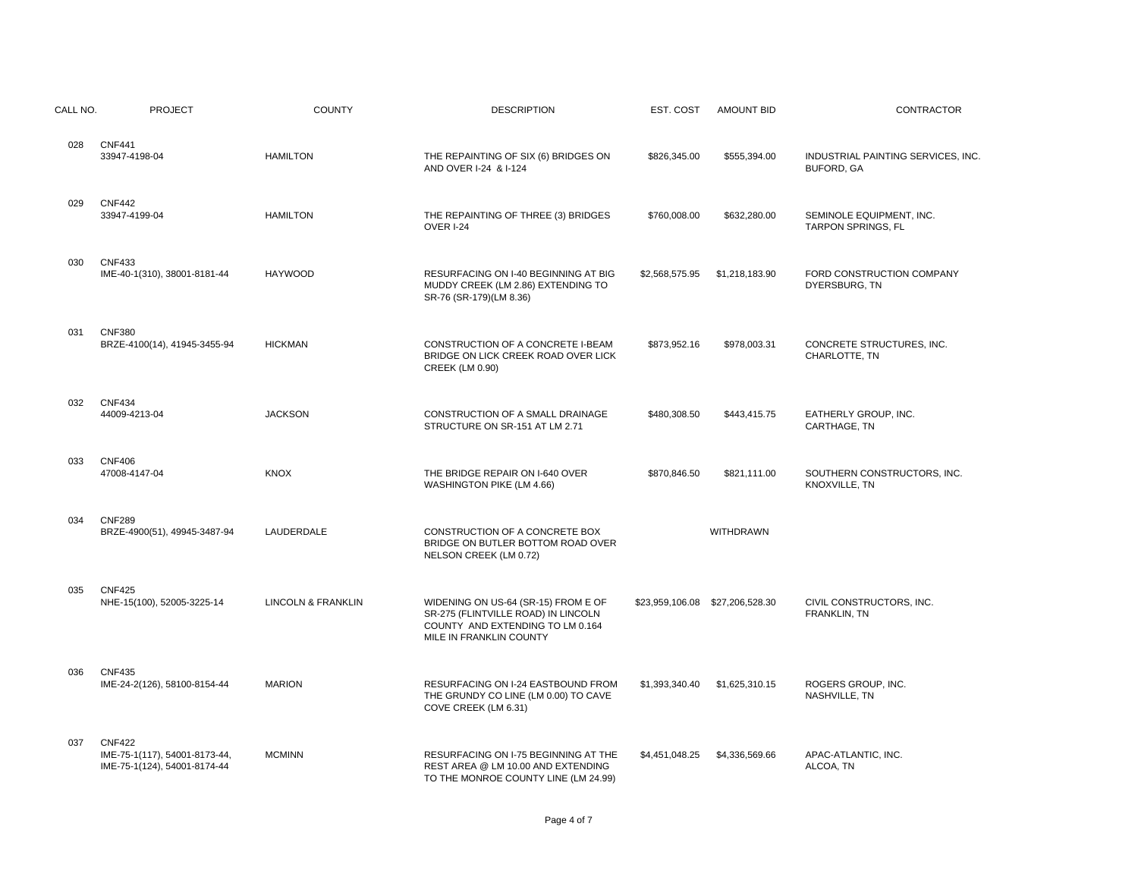| CALL NO. | <b>PROJECT</b>                                                                 | <b>COUNTY</b>      | <b>DESCRIPTION</b>                                                                                                                        | EST. COST      | <b>AMOUNT BID</b>               | CONTRACTOR                                              |
|----------|--------------------------------------------------------------------------------|--------------------|-------------------------------------------------------------------------------------------------------------------------------------------|----------------|---------------------------------|---------------------------------------------------------|
| 028      | <b>CNF441</b><br>33947-4198-04                                                 | <b>HAMILTON</b>    | THE REPAINTING OF SIX (6) BRIDGES ON<br>AND OVER I-24 & I-124                                                                             | \$826,345.00   | \$555,394.00                    | INDUSTRIAL PAINTING SERVICES, INC.<br><b>BUFORD, GA</b> |
| 029      | <b>CNF442</b><br>33947-4199-04                                                 | <b>HAMILTON</b>    | THE REPAINTING OF THREE (3) BRIDGES<br><b>OVER I-24</b>                                                                                   | \$760,008.00   | \$632,280.00                    | SEMINOLE EQUIPMENT, INC.<br>TARPON SPRINGS, FL          |
| 030      | <b>CNF433</b><br>IME-40-1(310), 38001-8181-44                                  | <b>HAYWOOD</b>     | RESURFACING ON I-40 BEGINNING AT BIG<br>MUDDY CREEK (LM 2.86) EXTENDING TO<br>SR-76 (SR-179)(LM 8.36)                                     | \$2,568,575.95 | \$1,218,183.90                  | FORD CONSTRUCTION COMPANY<br>DYERSBURG, TN              |
| 031      | <b>CNF380</b><br>BRZE-4100(14), 41945-3455-94                                  | <b>HICKMAN</b>     | CONSTRUCTION OF A CONCRETE I-BEAM<br>BRIDGE ON LICK CREEK ROAD OVER LICK<br><b>CREEK (LM 0.90)</b>                                        | \$873,952.16   | \$978,003.31                    | CONCRETE STRUCTURES, INC.<br>CHARLOTTE, TN              |
| 032      | <b>CNF434</b><br>44009-4213-04                                                 | <b>JACKSON</b>     | CONSTRUCTION OF A SMALL DRAINAGE<br>STRUCTURE ON SR-151 AT LM 2.71                                                                        | \$480,308.50   | \$443,415.75                    | EATHERLY GROUP, INC.<br>CARTHAGE, TN                    |
| 033      | <b>CNF406</b><br>47008-4147-04                                                 | <b>KNOX</b>        | THE BRIDGE REPAIR ON I-640 OVER<br>WASHINGTON PIKE (LM 4.66)                                                                              | \$870,846.50   | \$821,111.00                    | SOUTHERN CONSTRUCTORS, INC.<br>KNOXVILLE, TN            |
| 034      | <b>CNF289</b><br>BRZE-4900(51), 49945-3487-94                                  | LAUDERDALE         | CONSTRUCTION OF A CONCRETE BOX<br>BRIDGE ON BUTLER BOTTOM ROAD OVER<br>NELSON CREEK (LM 0.72)                                             |                | WITHDRAWN                       |                                                         |
| 035      | <b>CNF425</b><br>NHE-15(100), 52005-3225-14                                    | LINCOLN & FRANKLIN | WIDENING ON US-64 (SR-15) FROM E OF<br>SR-275 (FLINTVILLE ROAD) IN LINCOLN<br>COUNTY AND EXTENDING TO LM 0.164<br>MILE IN FRANKLIN COUNTY |                | \$23,959,106.08 \$27,206,528.30 | CIVIL CONSTRUCTORS, INC.<br>FRANKLIN, TN                |
| 036      | <b>CNF435</b><br>IME-24-2(126), 58100-8154-44                                  | <b>MARION</b>      | RESURFACING ON I-24 EASTBOUND FROM<br>THE GRUNDY CO LINE (LM 0.00) TO CAVE<br>COVE CREEK (LM 6.31)                                        | \$1,393,340.40 | \$1,625,310.15                  | ROGERS GROUP, INC.<br>NASHVILLE, TN                     |
| 037      | <b>CNF422</b><br>IME-75-1(117), 54001-8173-44,<br>IME-75-1(124), 54001-8174-44 | <b>MCMINN</b>      | RESURFACING ON I-75 BEGINNING AT THE<br>REST AREA @ LM 10.00 AND EXTENDING<br>TO THE MONROE COUNTY LINE (LM 24.99)                        | \$4,451,048.25 | \$4,336,569.66                  | APAC-ATLANTIC, INC.<br>ALCOA, TN                        |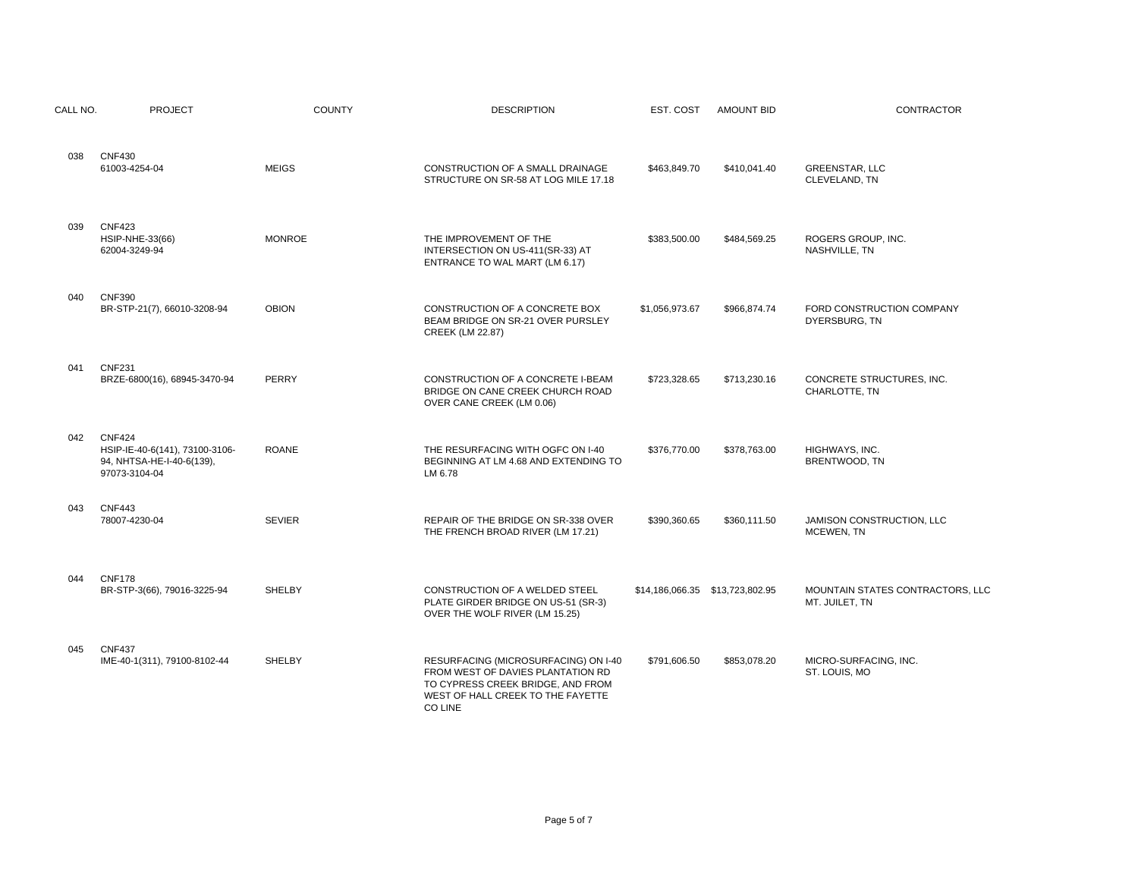| CALL NO. | <b>PROJECT</b>                                                                                | <b>COUNTY</b> | <b>DESCRIPTION</b>                                                                                                                                                    | EST. COST                       | <b>AMOUNT BID</b> | CONTRACTOR                                         |
|----------|-----------------------------------------------------------------------------------------------|---------------|-----------------------------------------------------------------------------------------------------------------------------------------------------------------------|---------------------------------|-------------------|----------------------------------------------------|
| 038      | <b>CNF430</b><br>61003-4254-04                                                                | <b>MEIGS</b>  | CONSTRUCTION OF A SMALL DRAINAGE<br>STRUCTURE ON SR-58 AT LOG MILE 17.18                                                                                              | \$463,849.70                    | \$410,041.40      | <b>GREENSTAR, LLC</b><br>CLEVELAND, TN             |
| 039      | <b>CNF423</b><br><b>HSIP-NHE-33(66)</b><br>62004-3249-94                                      | <b>MONROE</b> | THE IMPROVEMENT OF THE<br>INTERSECTION ON US-411(SR-33) AT<br>ENTRANCE TO WAL MART (LM 6.17)                                                                          | \$383,500.00                    | \$484,569.25      | ROGERS GROUP, INC.<br>NASHVILLE, TN                |
| 040      | <b>CNF390</b><br>BR-STP-21(7), 66010-3208-94                                                  | <b>OBION</b>  | CONSTRUCTION OF A CONCRETE BOX<br>BEAM BRIDGE ON SR-21 OVER PURSLEY<br><b>CREEK (LM 22.87)</b>                                                                        | \$1,056,973.67                  | \$966,874.74      | FORD CONSTRUCTION COMPANY<br>DYERSBURG, TN         |
| 041      | <b>CNF231</b><br>BRZE-6800(16), 68945-3470-94                                                 | PERRY         | CONSTRUCTION OF A CONCRETE I-BEAM<br>BRIDGE ON CANE CREEK CHURCH ROAD<br>OVER CANE CREEK (LM 0.06)                                                                    | \$723,328.65                    | \$713,230.16      | CONCRETE STRUCTURES, INC.<br>CHARLOTTE, TN         |
| 042      | <b>CNF424</b><br>HSIP-IE-40-6(141), 73100-3106-<br>94, NHTSA-HE-I-40-6(139),<br>97073-3104-04 | <b>ROANE</b>  | THE RESURFACING WITH OGFC ON I-40<br>BEGINNING AT LM 4.68 AND EXTENDING TO<br>LM 6.78                                                                                 | \$376,770.00                    | \$378,763.00      | HIGHWAYS, INC.<br>BRENTWOOD, TN                    |
| 043      | <b>CNF443</b><br>78007-4230-04                                                                | <b>SEVIER</b> | REPAIR OF THE BRIDGE ON SR-338 OVER<br>THE FRENCH BROAD RIVER (LM 17.21)                                                                                              | \$390,360.65                    | \$360,111.50      | JAMISON CONSTRUCTION, LLC<br>MCEWEN, TN            |
| 044      | <b>CNF178</b><br>BR-STP-3(66), 79016-3225-94                                                  | <b>SHELBY</b> | CONSTRUCTION OF A WELDED STEEL<br>PLATE GIRDER BRIDGE ON US-51 (SR-3)<br>OVER THE WOLF RIVER (LM 15.25)                                                               | \$14,186,066.35 \$13,723,802.95 |                   | MOUNTAIN STATES CONTRACTORS, LLC<br>MT. JUILET, TN |
| 045      | <b>CNF437</b><br>IME-40-1(311), 79100-8102-44                                                 | <b>SHELBY</b> | RESURFACING (MICROSURFACING) ON I-40<br>FROM WEST OF DAVIES PLANTATION RD<br>TO CYPRESS CREEK BRIDGE, AND FROM<br>WEST OF HALL CREEK TO THE FAYETTE<br><b>CO LINE</b> | \$791,606.50                    | \$853,078.20      | MICRO-SURFACING, INC.<br>ST. LOUIS, MO             |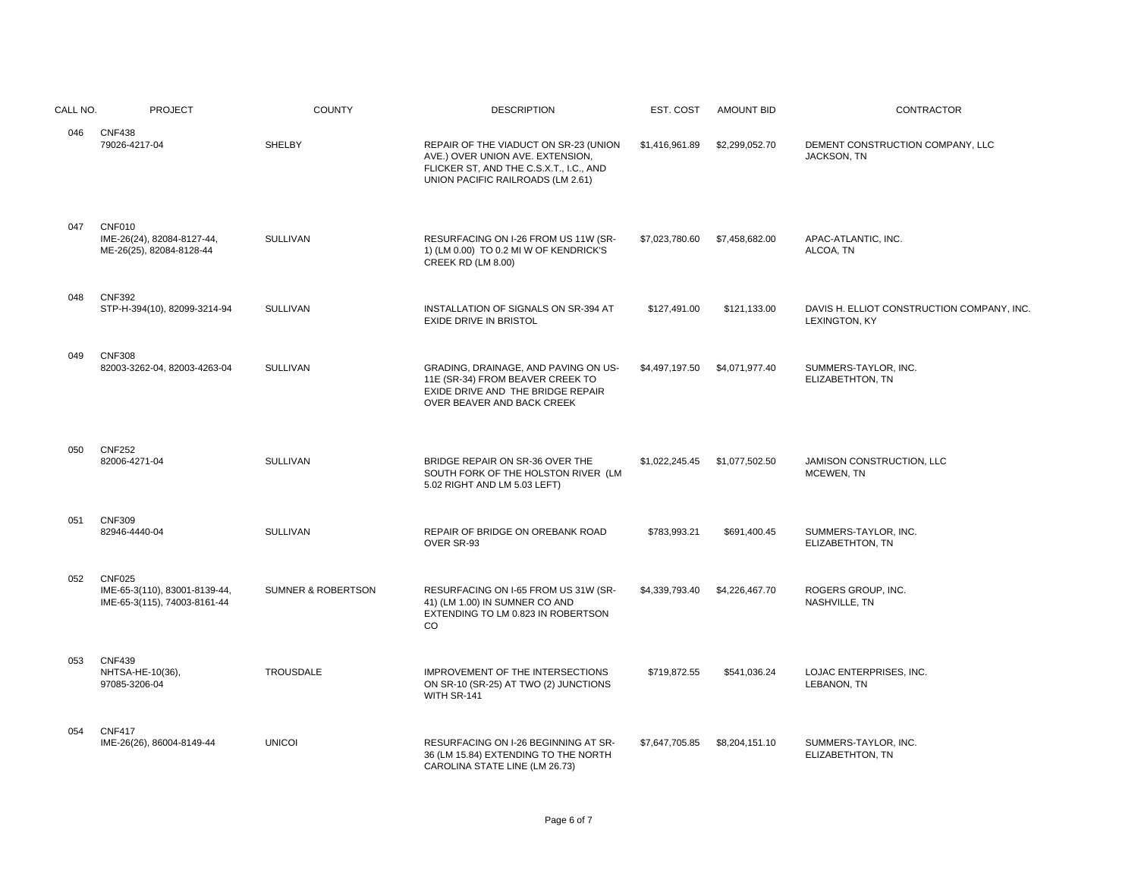| CALL NO. | <b>PROJECT</b>                                                                 | <b>COUNTY</b>                 | <b>DESCRIPTION</b>                                                                                                                                        | EST. COST      | <b>AMOUNT BID</b> | CONTRACTOR                                                  |
|----------|--------------------------------------------------------------------------------|-------------------------------|-----------------------------------------------------------------------------------------------------------------------------------------------------------|----------------|-------------------|-------------------------------------------------------------|
| 046      | <b>CNF438</b><br>79026-4217-04                                                 | <b>SHELBY</b>                 | REPAIR OF THE VIADUCT ON SR-23 (UNION<br>AVE.) OVER UNION AVE. EXTENSION,<br>FLICKER ST, AND THE C.S.X.T., I.C., AND<br>UNION PACIFIC RAILROADS (LM 2.61) | \$1,416,961.89 | \$2,299,052.70    | DEMENT CONSTRUCTION COMPANY, LLC<br>JACKSON, TN             |
| 047      | CNF010<br>IME-26(24), 82084-8127-44,<br>ME-26(25), 82084-8128-44               | SULLIVAN                      | RESURFACING ON I-26 FROM US 11W (SR-<br>1) (LM 0.00) TO 0.2 MI W OF KENDRICK'S<br>CREEK RD (LM 8.00)                                                      | \$7,023,780.60 | \$7,458,682.00    | APAC-ATLANTIC, INC.<br>ALCOA, TN                            |
| 048      | <b>CNF392</b><br>STP-H-394(10), 82099-3214-94                                  | <b>SULLIVAN</b>               | INSTALLATION OF SIGNALS ON SR-394 AT<br><b>EXIDE DRIVE IN BRISTOL</b>                                                                                     | \$127,491.00   | \$121,133.00      | DAVIS H. ELLIOT CONSTRUCTION COMPANY, INC.<br>LEXINGTON, KY |
| 049      | <b>CNF308</b><br>82003-3262-04, 82003-4263-04                                  | <b>SULLIVAN</b>               | GRADING, DRAINAGE, AND PAVING ON US-<br>11E (SR-34) FROM BEAVER CREEK TO<br>EXIDE DRIVE AND THE BRIDGE REPAIR<br>OVER BEAVER AND BACK CREEK               | \$4,497,197.50 | \$4,071,977.40    | SUMMERS-TAYLOR, INC.<br>ELIZABETHTON, TN                    |
| 050      | <b>CNF252</b><br>82006-4271-04                                                 | SULLIVAN                      | BRIDGE REPAIR ON SR-36 OVER THE<br>SOUTH FORK OF THE HOLSTON RIVER (LM<br>5.02 RIGHT AND LM 5.03 LEFT)                                                    | \$1,022,245.45 | \$1,077,502.50    | JAMISON CONSTRUCTION, LLC<br>MCEWEN, TN                     |
| 051      | <b>CNF309</b><br>82946-4440-04                                                 | <b>SULLIVAN</b>               | REPAIR OF BRIDGE ON OREBANK ROAD<br>OVER SR-93                                                                                                            | \$783,993.21   | \$691,400.45      | SUMMERS-TAYLOR, INC.<br>ELIZABETHTON, TN                    |
| 052      | <b>CNF025</b><br>IME-65-3(110), 83001-8139-44,<br>IME-65-3(115), 74003-8161-44 | <b>SUMNER &amp; ROBERTSON</b> | RESURFACING ON I-65 FROM US 31W (SR-<br>41) (LM 1.00) IN SUMNER CO AND<br>EXTENDING TO LM 0.823 IN ROBERTSON<br>CO                                        | \$4,339,793.40 | \$4,226,467.70    | ROGERS GROUP, INC.<br>NASHVILLE, TN                         |
| 053      | <b>CNF439</b><br>NHTSA-HE-10(36),<br>97085-3206-04                             | TROUSDALE                     | IMPROVEMENT OF THE INTERSECTIONS<br>ON SR-10 (SR-25) AT TWO (2) JUNCTIONS<br>WITH SR-141                                                                  | \$719,872.55   | \$541,036.24      | LOJAC ENTERPRISES, INC.<br>LEBANON, TN                      |
| 054      | <b>CNF417</b><br>IME-26(26), 86004-8149-44                                     | <b>UNICOI</b>                 | RESURFACING ON I-26 BEGINNING AT SR-<br>36 (LM 15.84) EXTENDING TO THE NORTH<br>CAROLINA STATE LINE (LM 26.73)                                            | \$7,647,705.85 | \$8,204,151.10    | SUMMERS-TAYLOR, INC.<br>ELIZABETHTON, TN                    |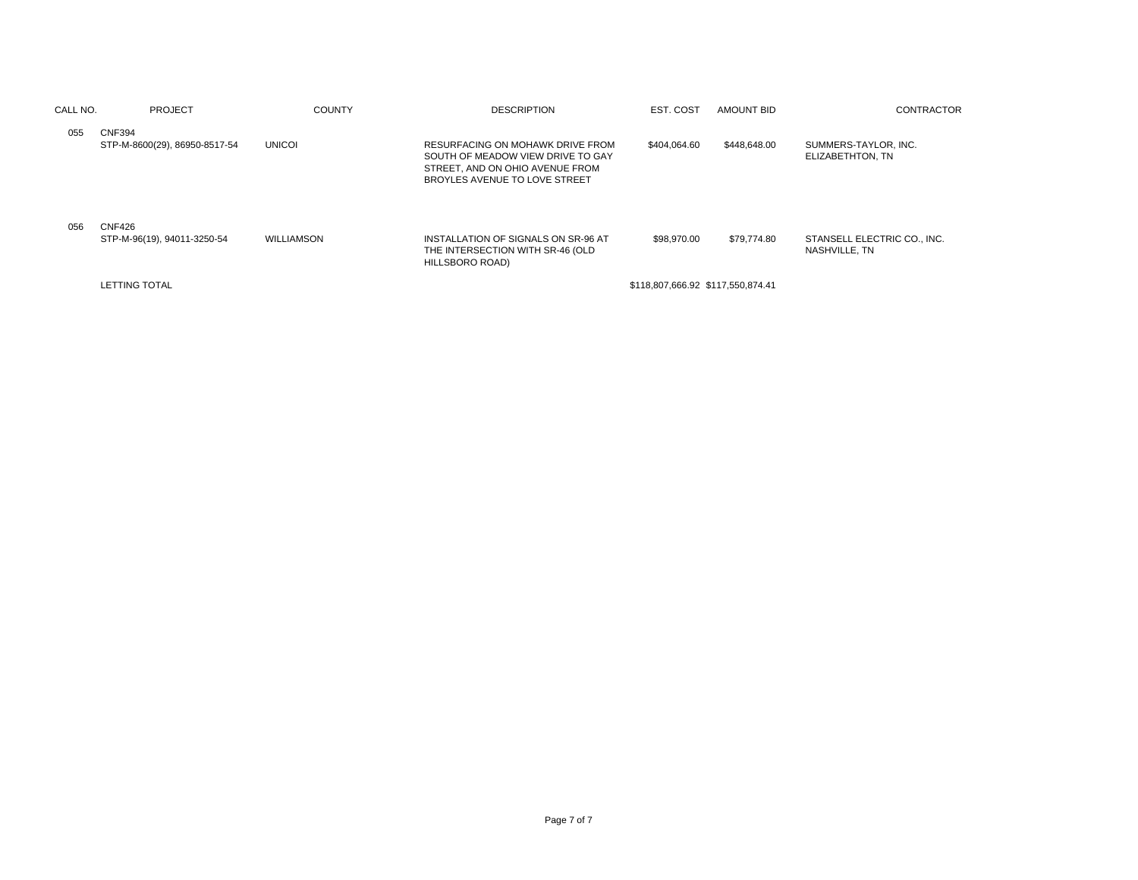| CALL NO. | PROJECT                                        | <b>COUNTY</b> | <b>DESCRIPTION</b>                                                                                                                        | EST. COST                         | <b>AMOUNT BID</b> | <b>CONTRACTOR</b>                            |
|----------|------------------------------------------------|---------------|-------------------------------------------------------------------------------------------------------------------------------------------|-----------------------------------|-------------------|----------------------------------------------|
| 055      | <b>CNF394</b><br>STP-M-8600(29), 86950-8517-54 | <b>UNICOI</b> | RESURFACING ON MOHAWK DRIVE FROM<br>SOUTH OF MEADOW VIEW DRIVE TO GAY<br>STREET, AND ON OHIO AVENUE FROM<br>BROYLES AVENUE TO LOVE STREET | \$404.064.60                      | \$448,648,00      | SUMMERS-TAYLOR, INC.<br>ELIZABETHTON, TN     |
| 056      | <b>CNF426</b><br>STP-M-96(19), 94011-3250-54   | WILLIAMSON    | INSTALLATION OF SIGNALS ON SR-96 AT<br>THE INTERSECTION WITH SR-46 (OLD<br>HILLSBORO ROAD)                                                | \$98,970.00                       | \$79.774.80       | STANSELL ELECTRIC CO., INC.<br>NASHVILLE, TN |
|          | <b>LETTING TOTAL</b>                           |               |                                                                                                                                           | \$118.807.666.92 \$117.550.874.41 |                   |                                              |